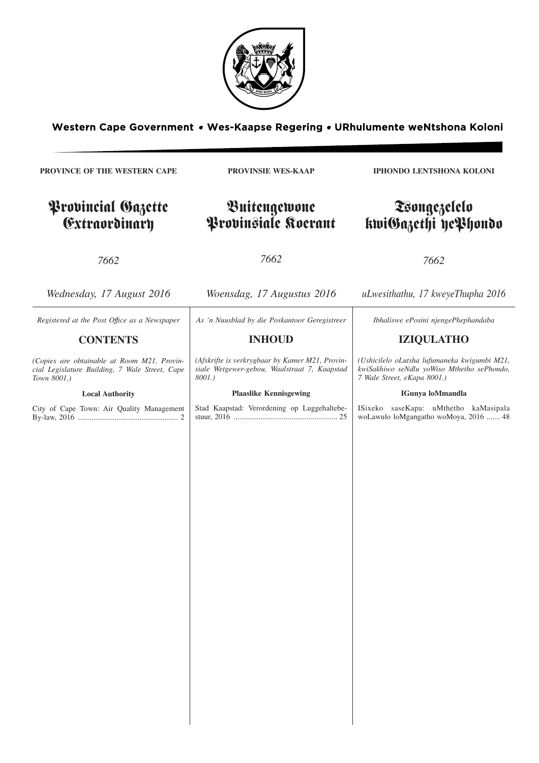

Western Cape Government . Wes-Kaapse Regering . URhulumente weNtshona Koloni

**PROVINCE OF THE WESTERN CAPE** Provincial Gazette Extraordinary *7662 Wednesday, 17 August 2016* **PROVINSIE WES-KAAP** Buitengewone Provinsiale Koerant *7662 Woensdag, 17 Augustus 2016* **IPHONDO LENTSHONA KOLONI** Tsongezelelo kwiGazethi yePhondo *7662 uLwesithathu, 17 kweyeThupha 2016 Registered at the Post Offıce as a Newspaper* **CONTENTS** *(Copies are obtainable at Room M21, Provincial Legislature Building, 7 Wale Street, Cape Town 8001.)* **Local Authority** City of Cape Town: Air Quality Management By-law, 2016 .................................................... 2 *As 'n Nuusblad by die Poskantoor Geregistreer* **INHOUD** *(Afskrifte is verkrygbaar by Kamer M21, Provinsiale Wetgewer-gebou, Waalstraat 7, Kaapstad 8001.)* **Plaaslike Kennisgewing** Stad Kaapstad: Verordening op Luggehaltebestuur, 2016 ...................................................... 25 *Ibhaliswe ePosini njengePhephandaba* **IZIQULATHO** *(Ushicilelo oLutsha lufumaneka kwigumbi M21, kwiSakhiwo seNdlu yoWiso Mthetho sePhondo, 7 Wale Street, eKapa 8001.)* **IGunya loMmandla** ISixeko saseKapa: uMthetho kaMasipala woLawulo loMgangatho woMoya, 2016 ....... 48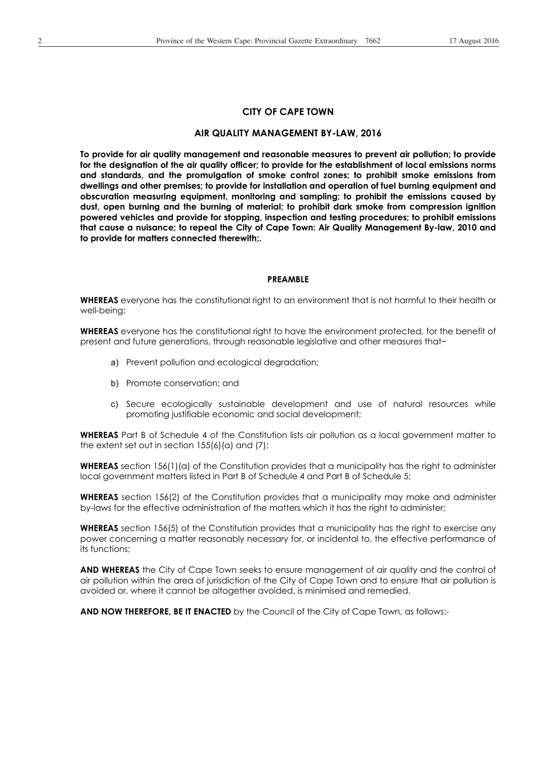#### **CITY OF CAPE TOWN**

### **AIR QUALITY MANAGEMENT BY-LAW, 2016**

**To provide for air quality management and reasonable measures to prevent air pollution; to provide for the designation of the air quality officer; to provide for the establishment of local emissions norms and standards, and the promulgation of smoke control zones; to prohibit smoke emissions from dwellings and other premises; to provide for installation and operation of fuel burning equipment and obscuration measuring equipment, monitoring and sampling; to prohibit the emissions caused by dust, open burning and the burning of material; to prohibit dark smoke from compression ignition powered vehicles and provide for stopping, inspection and testing procedures; to prohibit emissions that cause a nuisance; to repeal the City of Cape Town: Air Quality Management By-law, 2010 and to provide for matters connected therewith;.** 

#### **PREAMBLE**

**WHEREAS** everyone has the constitutional right to an environment that is not harmful to their health or well-being;

**WHEREAS** everyone has the constitutional right to have the environment protected, for the benefit of present and future generations, through reasonable legislative and other measures that-

- a) Prevent pollution and ecological degradation;
- b) Promote conservation; and
- c) Secure ecologically sustainable development and use of natural resources while promoting justifiable economic and social development;

**WHEREAS** Part B of Schedule 4 of the Constitution lists air pollution as a local government matter to the extent set out in section 155(6)(a) and (7);

**WHEREAS** section 156(1)(a) of the Constitution provides that a municipality has the right to administer local government matters listed in Part B of Schedule 4 and Part B of Schedule 5;

**WHEREAS** section 156(2) of the Constitution provides that a municipality may make and administer by-laws for the effective administration of the matters which it has the right to administer;

**WHEREAS** section 156(5) of the Constitution provides that a municipality has the right to exercise any power concerning a matter reasonably necessary for, or incidental to, the effective performance of its functions;

**AND WHEREAS** the City of Cape Town seeks to ensure management of air quality and the control of air pollution within the area of jurisdiction of the City of Cape Town and to ensure that air pollution is avoided or, where it cannot be altogether avoided, is minimised and remedied.

**AND NOW THEREFORE, BE IT ENACTED** by the Council of the City of Cape Town, as follows:-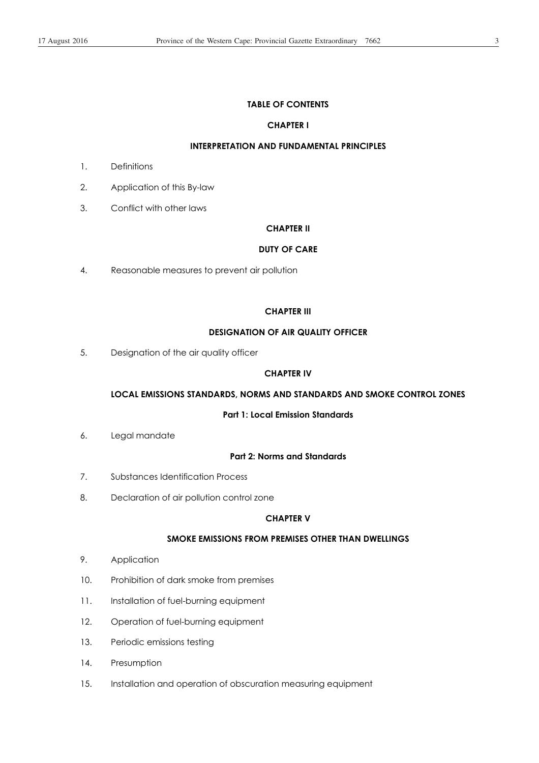## **TABLE OF CONTENTS**

## **CHAPTER I**

## **INTERPRETATION AND FUNDAMENTAL PRINCIPLES**

- 1. Definitions
- 2. Application of this By-law
- 3. Conflict with other laws

#### **CHAPTER II**

#### **DUTY OF CARE**

4. Reasonable measures to prevent air pollution

#### **CHAPTER III**

## **DESIGNATION OF AIR QUALITY OFFICER**

5. Designation of the air quality officer

## **CHAPTER IV**

## **LOCAL EMISSIONS STANDARDS, NORMS AND STANDARDS AND SMOKE CONTROL ZONES**

## **Part 1: Local Emission Standards**

6. Legal mandate

### **Part 2: Norms and Standards**

- 7. Substances Identification Process
- 8. Declaration of air pollution control zone

#### **CHAPTER V**

## **SMOKE EMISSIONS FROM PREMISES OTHER THAN DWELLINGS**

- 9. Application
- 10. Prohibition of dark smoke from premises
- 11. Installation of fuel-burning equipment
- 12. Operation of fuel-burning equipment
- 13. Periodic emissions testing
- 14. Presumption
- 15. Installation and operation of obscuration measuring equipment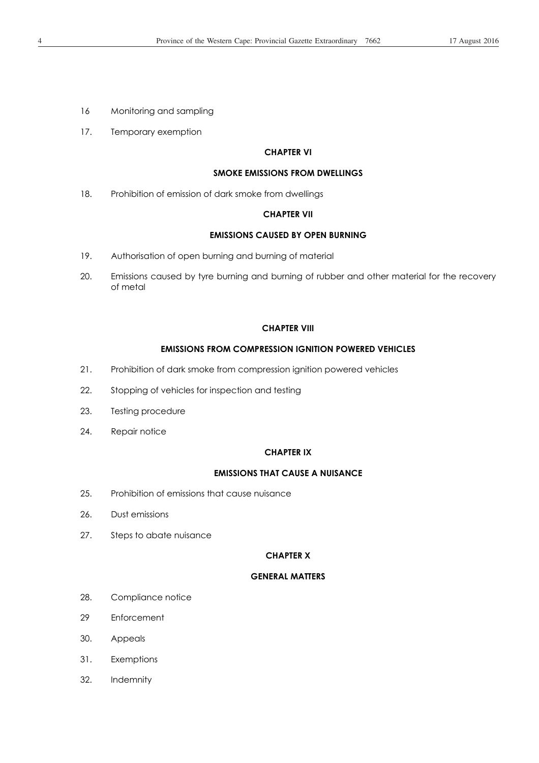- 16 Monitoring and sampling
- 17. Temporary exemption

### **CHAPTER VI**

### **SMOKE EMISSIONS FROM DWELLINGS**

18. Prohibition of emission of dark smoke from dwellings

## **CHAPTER VII**

### **EMISSIONS CAUSED BY OPEN BURNING**

- 19. Authorisation of open burning and burning of material
- 20. Emissions caused by tyre burning and burning of rubber and other material for the recovery of metal

#### **CHAPTER VIII**

#### **EMISSIONS FROM COMPRESSION IGNITION POWERED VEHICLES**

- 21. Prohibition of dark smoke from compression ignition powered vehicles
- 22. Stopping of vehicles for inspection and testing
- 23. Testing procedure
- 24. Repair notice

#### **CHAPTER IX**

### **EMISSIONS THAT CAUSE A NUISANCE**

- 25. Prohibition of emissions that cause nuisance
- 26. Dust emissions
- 27. Steps to abate nuisance

#### **CHAPTER X**

#### **GENERAL MATTERS**

- 28. Compliance notice
- 29 Enforcement
- 30. Appeals
- 31. Exemptions
- 32. Indemnity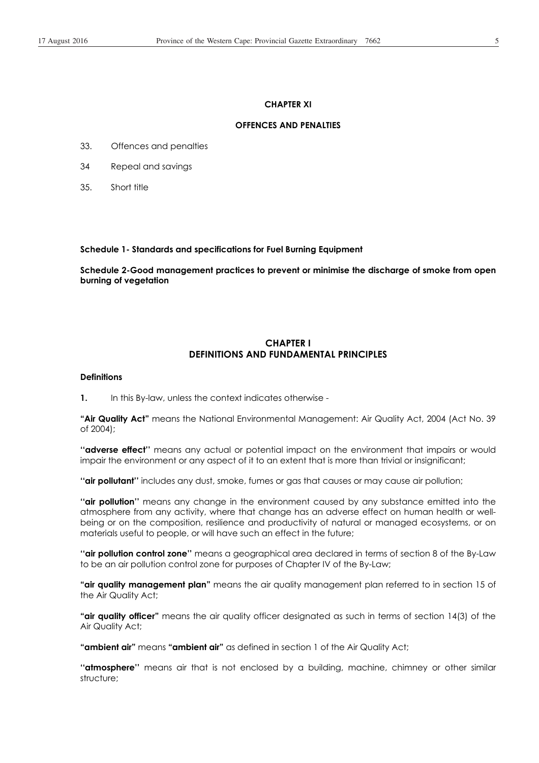### **CHAPTER XI**

## **OFFENCES AND PENALTIES**

- 33. Offences and penalties
- 34 Repeal and savings
- 35. Short title

**Schedule 1- Standards and specifications for Fuel Burning Equipment** 

**Schedule 2-Good management practices to prevent or minimise the discharge of smoke from open burning of vegetation** 

## **CHAPTER I DEFINITIONS AND FUNDAMENTAL PRINCIPLES**

#### **Definitions**

**1.** In this By-law, unless the context indicates otherwise -

**"Air Quality Act"** means the National Environmental Management: Air Quality Act, 2004 (Act No. 39 of 2004);

**''adverse effect''** means any actual or potential impact on the environment that impairs or would impair the environment or any aspect of it to an extent that is more than trivial or insignificant;

**''air pollutant''** includes any dust, smoke, fumes or gas that causes or may cause air pollution;

**''air pollution''** means any change in the environment caused by any substance emitted into the atmosphere from any activity, where that change has an adverse effect on human health or wellbeing or on the composition, resilience and productivity of natural or managed ecosystems, or on materials useful to people, or will have such an effect in the future;

**''air pollution control zone''** means a geographical area declared in terms of section 8 of the By-Law to be an air pollution control zone for purposes of Chapter IV of the By-Law;

**"air quality management plan"** means the air quality management plan referred to in section 15 of the Air Quality Act;

**"air quality officer"** means the air quality officer designated as such in terms of section 14(3) of the Air Quality Act;

**"ambient air"** means **"ambient air"** as defined in section 1 of the Air Quality Act;

**''atmosphere''** means air that is not enclosed by a building, machine, chimney or other similar structure;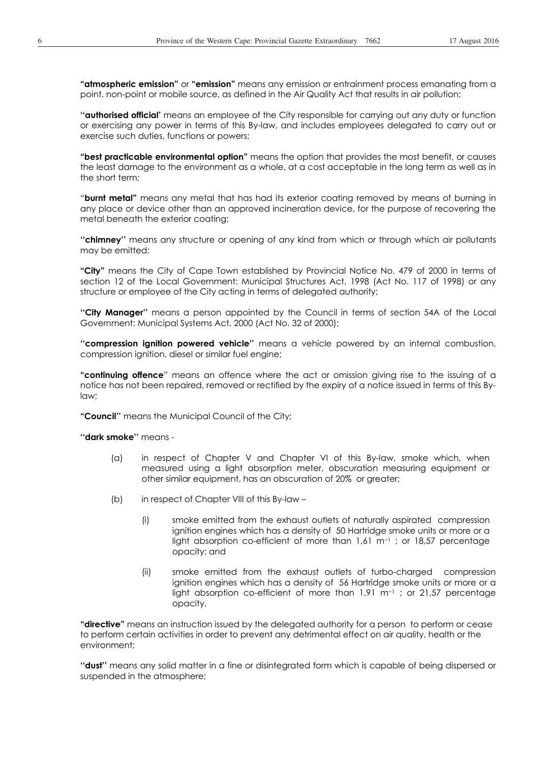**"atmospheric emission"** or **"emission"** means any emission or entrainment process emanating from a point, non-point or mobile source, as defined in the Air Quality Act that results in air pollution;

**''authorised official'** means an employee of the City responsible for carrying out any duty or function or exercising any power in terms of this By-law, and includes employees delegated to carry out or exercise such duties, functions or powers;

**"best practicable environmental option"** means the option that provides the most benefit, or causes the least damage to the environment as a whole, at a cost acceptable in the long term as well as in the short term;

"**burnt metal"** means any metal that has had its exterior coating removed by means of burning in any place or device other than an approved incineration device, for the purpose of recovering the metal beneath the exterior coating;

**''chimney''** means any structure or opening of any kind from which or through which air pollutants may be emitted;

**"City"** means the City of Cape Town established by Provincial Notice No. 479 of 2000 in terms of section 12 of the Local Government: Municipal Structures Act, 1998 (Act No. 117 of 1998) or any structure or employee of the City acting in terms of delegated authority;

**''City Manager''** means a person appointed by the Council in terms of section 54A of the Local Government: Municipal Systems Act, 2000 (Act No. 32 of 2000);

**''compression ignition powered vehicle''** means a vehicle powered by an internal combustion, compression ignition, diesel or similar fuel engine;

**"continuing offence**" means an offence where the act or omission giving rise to the issuing of a notice has not been repaired, removed or rectified by the expiry of a notice issued in terms of this Bylaw;

**"Council''** means the Municipal Council of the City;

**''dark smoke''** means -

- (a) in respect of Chapter V and Chapter VI of this By-law, smoke which, when measured using a light absorption meter, obscuration measuring equipment or other similar equipment, has an obscuration of 20% or greater;
- (b) in respect of Chapter VIII of this By-law
	- (i) smoke emitted from the exhaust outlets of naturally aspirated compression ignition engines which has a density of 50 Hartridge smoke units or more or a light absorption co-efficient of more than  $1,61 \text{ m}^{-1}$ ; or 18,57 percentage opacity; and
	- (ii) smoke emitted from the exhaust outlets of turbo-charged compression ignition engines which has a density of 56 Hartridge smoke units or more or a light absorption co-efficient of more than  $1.91 \text{ m}^{-1}$  ; or 21,57 percentage opacity.

**"directive"** means an instruction issued by the delegated authority for a person to perform or cease to perform certain activities in order to prevent any detrimental effect on air quality, health or the environment;

**''dust''** means any solid matter in a fine or disintegrated form which is capable of being dispersed or suspended in the atmosphere;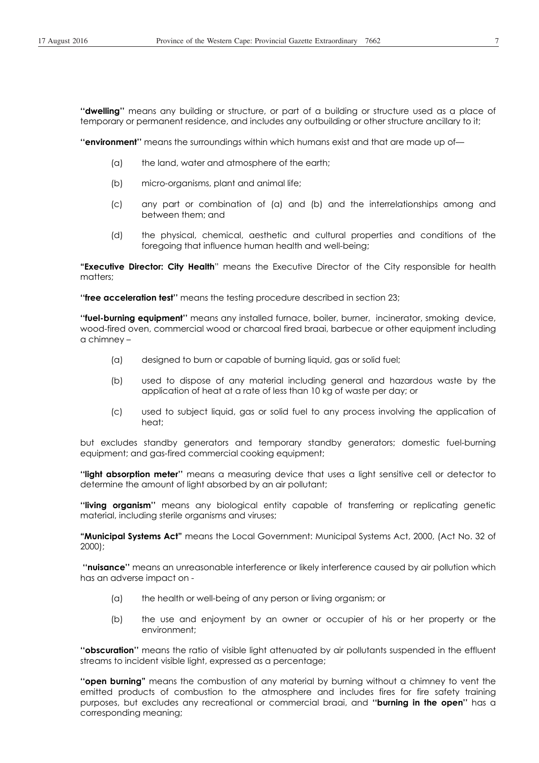**''dwelling''** means any building or structure, or part of a building or structure used as a place of temporary or permanent residence, and includes any outbuilding or other structure ancillary to it;

**''environment''** means the surroundings within which humans exist and that are made up of—

- (a) the land, water and atmosphere of the earth;
- (b) micro-organisms, plant and animal life;
- (c) any part or combination of (a) and (b) and the interrelationships among and between them; and
- (d) the physical, chemical, aesthetic and cultural properties and conditions of the foregoing that influence human health and well-being;

**"Executive Director: City Health**" means the Executive Director of the City responsible for health matters;

**''free acceleration test''** means the testing procedure described in section 23;

**''fuel-burning equipment''** means any installed furnace, boiler, burner, incinerator, smoking device, wood-fired oven, commercial wood or charcoal fired braai, barbecue or other equipment including a chimney –

- (a) designed to burn or capable of burning liquid, gas or solid fuel;
- (b) used to dispose of any material including general and hazardous waste by the application of heat at a rate of less than 10 kg of waste per day; or
- (c) used to subject liquid, gas or solid fuel to any process involving the application of heat;

but excludes standby generators and temporary standby generators; domestic fuel-burning equipment; and gas-fired commercial cooking equipment;

**''light absorption meter''** means a measuring device that uses a light sensitive cell or detector to determine the amount of light absorbed by an air pollutant;

**''living organism''** means any biological entity capable of transferring or replicating genetic material, including sterile organisms and viruses;

**"Municipal Systems Act"** means the Local Government: Municipal Systems Act, 2000, (Act No. 32 of 2000);

 **''nuisance''** means an unreasonable interference or likely interference caused by air pollution which has an adverse impact on -

- (a) the health or well-being of any person or living organism; or
- (b) the use and enjoyment by an owner or occupier of his or her property or the environment;

**''obscuration''** means the ratio of visible light attenuated by air pollutants suspended in the effluent streams to incident visible light, expressed as a percentage;

**''open burning"** means the combustion of any material by burning without a chimney to vent the emitted products of combustion to the atmosphere and includes fires for fire safety training purposes, but excludes any recreational or commercial braai, and **''burning in the open''** has a corresponding meaning;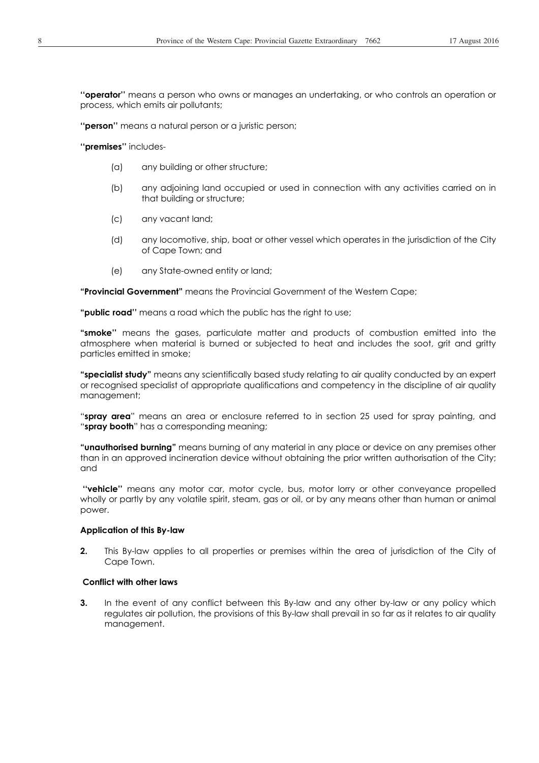**''operator''** means a person who owns or manages an undertaking, or who controls an operation or process, which emits air pollutants;

**''person''** means a natural person or a juristic person;

**''premises''** includes-

- (a) any building or other structure;
- (b) any adjoining land occupied or used in connection with any activities carried on in that building or structure;
- (c) any vacant land;
- (d) any locomotive, ship, boat or other vessel which operates in the jurisdiction of the City of Cape Town; and
- (e) any State-owned entity or land;

**"Provincial Government"** means the Provincial Government of the Western Cape;

**"public road''** means a road which the public has the right to use;

**"smoke''** means the gases, particulate matter and products of combustion emitted into the atmosphere when material is burned or subjected to heat and includes the soot, grit and gritty particles emitted in smoke;

**"specialist study"** means any scientifically based study relating to air quality conducted by an expert or recognised specialist of appropriate qualifications and competency in the discipline of air quality management;

"**spray area**" means an area or enclosure referred to in section 25 used for spray painting, and "**spray booth**" has a corresponding meaning;

**"unauthorised burning"** means burning of any material in any place or device on any premises other than in an approved incineration device without obtaining the prior written authorisation of the City; and

 **''vehicle''** means any motor car, motor cycle, bus, motor lorry or other conveyance propelled wholly or partly by any volatile spirit, steam, gas or oil, or by any means other than human or animal power.

#### **Application of this By-law**

**2.** This By-law applies to all properties or premises within the area of jurisdiction of the City of Cape Town.

#### **Conflict with other laws**

**3.** In the event of any conflict between this By-law and any other by-law or any policy which regulates air pollution, the provisions of this By-law shall prevail in so far as it relates to air quality management.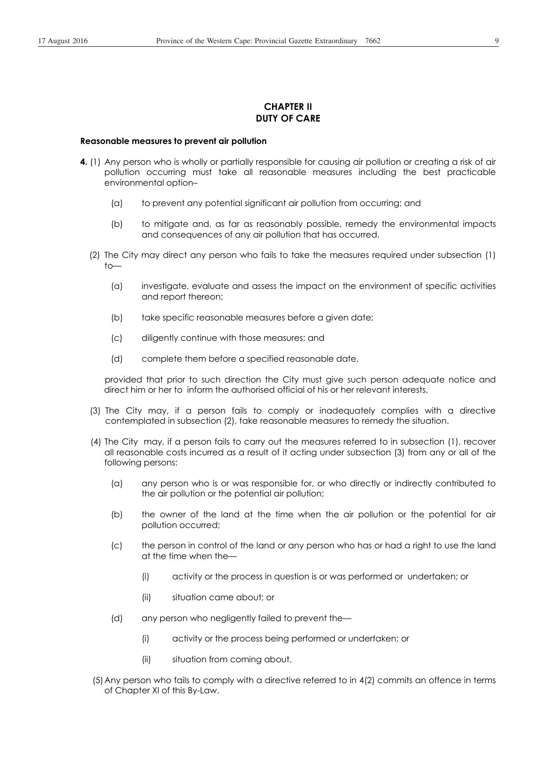## **CHAPTER II DUTY OF CARE**

#### **Reasonable measures to prevent air pollution**

- **4.** (1) Any person who is wholly or partially responsible for causing air pollution or creating a risk of air pollution occurring must take all reasonable measures including the best practicable environmental option–
	- (a) to prevent any potential significant air pollution from occurring; and
	- (b) to mitigate and, as far as reasonably possible, remedy the environmental impacts and consequences of any air pollution that has occurred.
	- (2) The City may direct any person who fails to take the measures required under subsection (1) to—
		- (a) investigate, evaluate and assess the impact on the environment of specific activities and report thereon;
		- (b) take specific reasonable measures before a given date;
		- (c) diligently continue with those measures; and
		- (d) complete them before a specified reasonable date,

provided that prior to such direction the City must give such person adequate notice and direct him or her to inform the authorised official of his or her relevant interests.

- (3) The City may, if a person fails to comply or inadequately complies with a directive contemplated in subsection (2), take reasonable measures to remedy the situation.
- (4) The City may, if a person fails to carry out the measures referred to in subsection (1), recover all reasonable costs incurred as a result of it acting under subsection (3) from any or all of the following persons:
	- (a) any person who is or was responsible for, or who directly or indirectly contributed to the air pollution or the potential air pollution;
	- (b) the owner of the land at the time when the air pollution or the potential for air pollution occurred;
	- (c) the person in control of the land or any person who has or had a right to use the land at the time when the—
		- (i) activity or the process in question is or was performed or undertaken; or
		- (ii) situation came about; or
	- (d) any person who negligently failed to prevent the—
		- (i) activity or the process being performed or undertaken; or
		- (ii) situation from coming about.
- (5) Any person who fails to comply with a directive referred to in 4(2) commits an offence in terms of Chapter XI of this By-Law.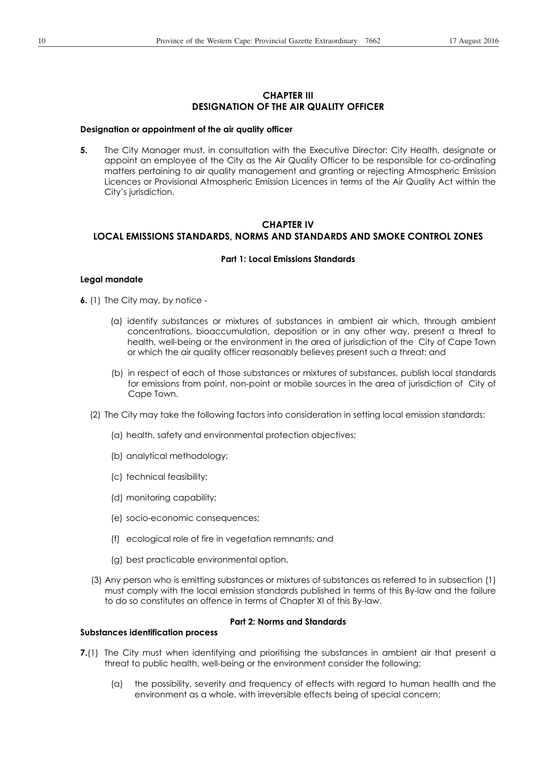## **CHAPTER III DESIGNATION OF THE AIR QUALITY OFFICER**

#### **Designation or appointment of the air quality officer**

**5.** The City Manager must, in consultation with the Executive Director: City Health, designate or appoint an employee of the City as the Air Quality Officer to be responsible for co-ordinating matters pertaining to air quality management and granting or rejecting Atmospheric Emission Licences or Provisional Atmospheric Emission Licences in terms of the Air Quality Act within the City's jurisdiction.

## **CHAPTER IV LOCAL EMISSIONS STANDARDS, NORMS AND STANDARDS AND SMOKE CONTROL ZONES**

#### **Part 1: Local Emissions Standards**

#### **Legal mandate**

**6.** (1) The City may, by notice -

- (a) identify substances or mixtures of substances in ambient air which, through ambient concentrations, bioaccumulation, deposition or in any other way, present a threat to health, well-being or the environment in the area of jurisdiction of the City of Cape Town or which the air quality officer reasonably believes present such a threat; and
- (b) in respect of each of those substances or mixtures of substances, publish local standards for emissions from point, non-point or mobile sources in the area of jurisdiction of City of Cape Town.
- (2) The City may take the following factors into consideration in setting local emission standards:
	- (a) health, safety and environmental protection objectives;
	- (b) analytical methodology;
	- (c) technical feasibility;
	- (d) monitoring capability;
	- (e) socio-economic consequences;
	- (f) ecological role of fire in vegetation remnants; and
	- (g) best practicable environmental option.
- (3) Any person who is emitting substances or mixtures of substances as referred to in subsection (1) must comply with the local emission standards published in terms of this By-law and the failure to do so constitutes an offence in terms of Chapter XI of this By-law.

#### **Part 2: Norms and Standards**

### **Substances identification process**

- **7.**(1) The City must when identifying and prioritising the substances in ambient air that present a threat to public health, well-being or the environment consider the following:
	- (a) the possibility, severity and frequency of effects with regard to human health and the environment as a whole, with irreversible effects being of special concern;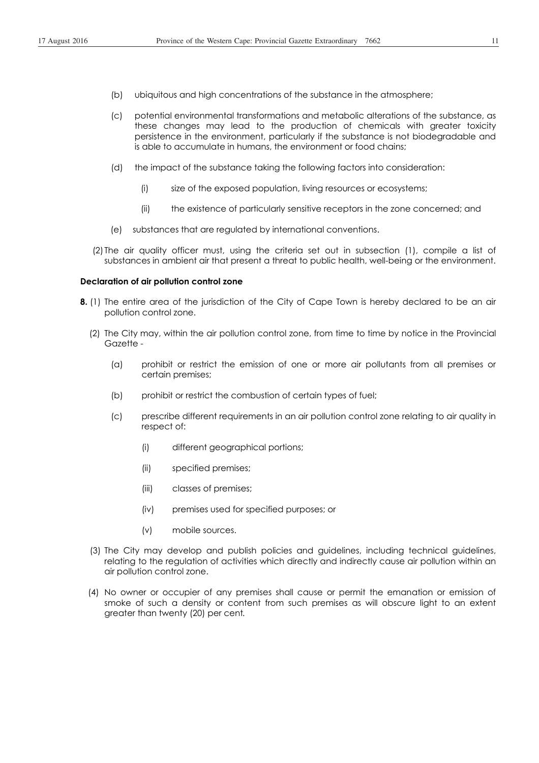- (b) ubiquitous and high concentrations of the substance in the atmosphere;
- (c) potential environmental transformations and metabolic alterations of the substance, as these changes may lead to the production of chemicals with greater toxicity persistence in the environment, particularly if the substance is not biodegradable and is able to accumulate in humans, the environment or food chains;
- (d) the impact of the substance taking the following factors into consideration:
	- (i) size of the exposed population, living resources or ecosystems;
	- (ii) the existence of particularly sensitive receptors in the zone concerned; and
- (e) substances that are regulated by international conventions.
- (2)The air quality officer must, using the criteria set out in subsection (1), compile a list of substances in ambient air that present a threat to public health, well-being or the environment.

#### **Declaration of air pollution control zone**

- **8.** (1) The entire area of the jurisdiction of the City of Cape Town is hereby declared to be an air pollution control zone.
	- (2) The City may, within the air pollution control zone, from time to time by notice in the Provincial Gazette -
		- (a) prohibit or restrict the emission of one or more air pollutants from all premises or certain premises;
		- (b) prohibit or restrict the combustion of certain types of fuel;
		- (c) prescribe different requirements in an air pollution control zone relating to air quality in respect of:
			- (i) different geographical portions;
			- (ii) specified premises;
			- (iii) classes of premises;
			- (iv) premises used for specified purposes; or
			- (v) mobile sources.
	- (3) The City may develop and publish policies and guidelines, including technical guidelines, relating to the regulation of activities which directly and indirectly cause air pollution within an air pollution control zone.
	- (4) No owner or occupier of any premises shall cause or permit the emanation or emission of smoke of such a density or content from such premises as will obscure light to an extent greater than twenty (20) per cent*.*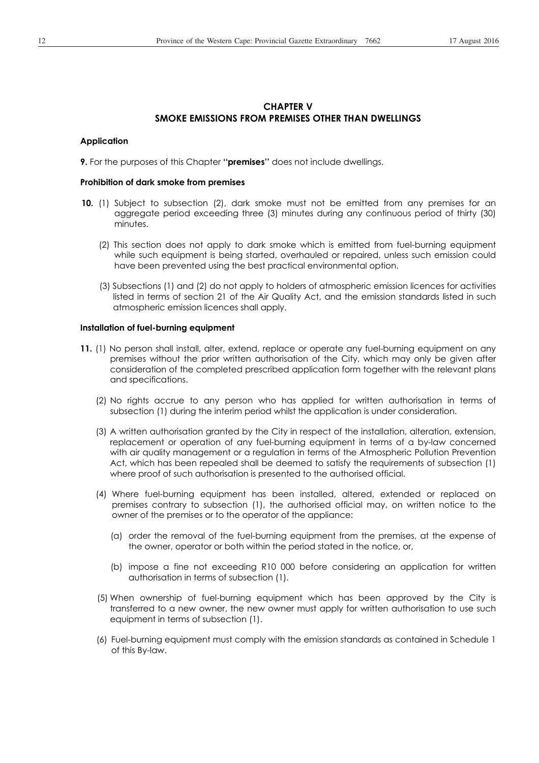## **CHAPTER V SMOKE EMISSIONS FROM PREMISES OTHER THAN DWELLINGS**

#### **Application**

**9.** For the purposes of this Chapter **''premises''** does not include dwellings.

#### **Prohibition of dark smoke from premises**

- **10.** (1) Subject to subsection (2), dark smoke must not be emitted from any premises for an aggregate period exceeding three (3) minutes during any continuous period of thirty (30) minutes.
	- (2) This section does not apply to dark smoke which is emitted from fuel-burning equipment while such equipment is being started, overhauled or repaired, unless such emission could have been prevented using the best practical environmental option.
	- (3) Subsections (1) and (2) do not apply to holders of atmospheric emission licences for activities listed in terms of section 21 of the Air Quality Act, and the emission standards listed in such atmospheric emission licences shall apply.

#### **Installation of fuel-burning equipment**

- **11.** (1) No person shall install, alter, extend, replace or operate any fuel-burning equipment on any premises without the prior written authorisation of the City, which may only be given after consideration of the completed prescribed application form together with the relevant plans and specifications.
	- (2) No rights accrue to any person who has applied for written authorisation in terms of subsection (1) during the interim period whilst the application is under consideration.
	- (3) A written authorisation granted by the City in respect of the installation, alteration, extension, replacement or operation of any fuel-burning equipment in terms of a by-law concerned with air quality management or a regulation in terms of the Atmospheric Pollution Prevention Act, which has been repealed shall be deemed to satisfy the requirements of subsection (1) where proof of such authorisation is presented to the authorised official.
	- (4) Where fuel-burning equipment has been installed, altered, extended or replaced on premises contrary to subsection (1), the authorised official may, on written notice to the owner of the premises or to the operator of the appliance:
		- (a) order the removal of the fuel-burning equipment from the premises, at the expense of the owner, operator or both within the period stated in the notice, or,
		- (b) impose a fine not exceeding R10 000 before considering an application for written authorisation in terms of subsection (1).
	- (5) When ownership of fuel-burning equipment which has been approved by the City is transferred to a new owner, the new owner must apply for written authorisation to use such equipment in terms of subsection (1).
	- (6) Fuel-burning equipment must comply with the emission standards as contained in Schedule 1 of this By-law.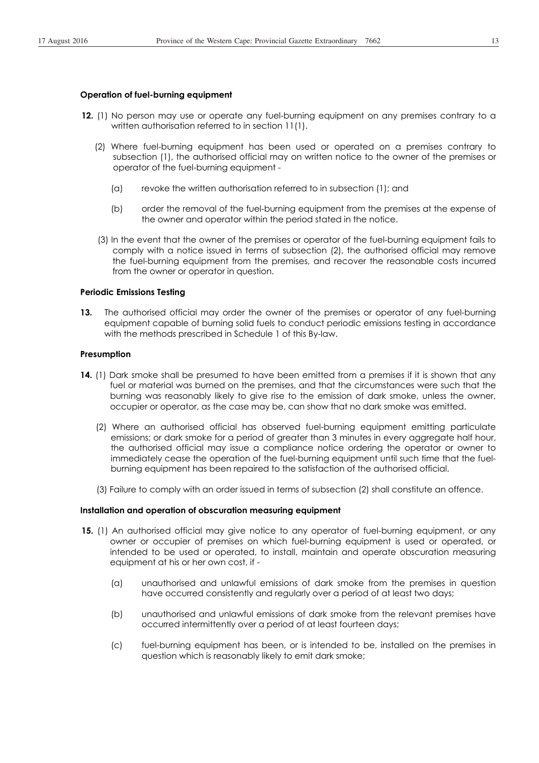#### **Operation of fuel-burning equipment**

- **12.** (1) No person may use or operate any fuel-burning equipment on any premises contrary to a written authorisation referred to in section 11(1).
	- (2) Where fuel-burning equipment has been used or operated on a premises contrary to subsection (1), the authorised official may on written notice to the owner of the premises or operator of the fuel-burning equipment -
		- (a) revoke the written authorisation referred to in subsection (1); and
		- (b) order the removal of the fuel-burning equipment from the premises at the expense of the owner and operator within the period stated in the notice.
	- (3) In the event that the owner of the premises or operator of the fuel-burning equipment fails to comply with a notice issued in terms of subsection (2), the authorised official may remove the fuel-burning equipment from the premises, and recover the reasonable costs incurred from the owner or operator in question.

## **Periodic Emissions Testing**

**13.** The authorised official may order the owner of the premises or operator of any fuel-burning equipment capable of burning solid fuels to conduct periodic emissions testing in accordance with the methods prescribed in Schedule 1 of this By-law.

### **Presumption**

- **14.** (1) Dark smoke shall be presumed to have been emitted from a premises if it is shown that any fuel or material was burned on the premises, and that the circumstances were such that the burning was reasonably likely to give rise to the emission of dark smoke, unless the owner, occupier or operator, as the case may be, can show that no dark smoke was emitted.
	- (2) Where an authorised official has observed fuel-burning equipment emitting particulate emissions; or dark smoke for a period of greater than 3 minutes in every aggregate half hour, the authorised official may issue a compliance notice ordering the operator or owner to immediately cease the operation of the fuel-burning equipment until such time that the fuelburning equipment has been repaired to the satisfaction of the authorised official.
	- (3) Failure to comply with an order issued in terms of subsection (2) shall constitute an offence.

#### **Installation and operation of obscuration measuring equipment**

- **15.** (1) An authorised official may give notice to any operator of fuel-burning equipment, or any owner or occupier of premises on which fuel-burning equipment is used or operated, or intended to be used or operated, to install, maintain and operate obscuration measuring equipment at his or her own cost, if -
	- (a) unauthorised and unlawful emissions of dark smoke from the premises in question have occurred consistently and regularly over a period of at least two days;
	- (b) unauthorised and unlawful emissions of dark smoke from the relevant premises have occurred intermittently over a period of at least fourteen days;
	- (c) fuel-burning equipment has been, or is intended to be, installed on the premises in question which is reasonably likely to emit dark smoke;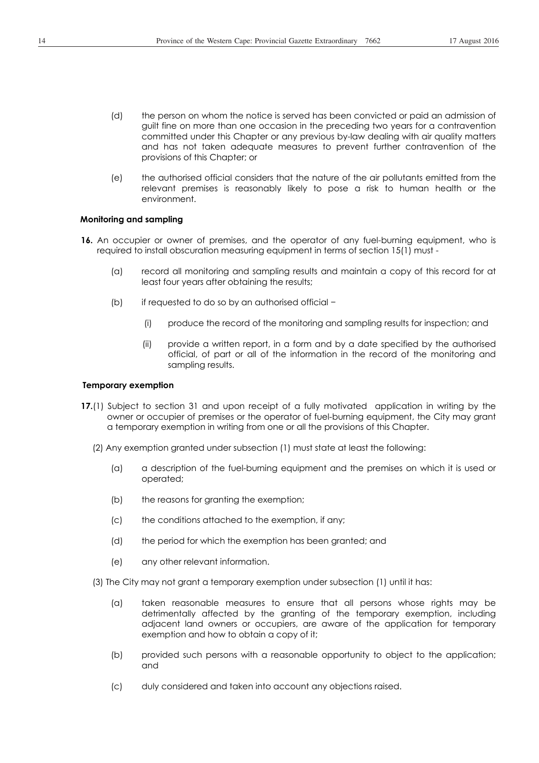- (d) the person on whom the notice is served has been convicted or paid an admission of guilt fine on more than one occasion in the preceding two years for a contravention committed under this Chapter or any previous by-law dealing with air quality matters and has not taken adequate measures to prevent further contravention of the provisions of this Chapter; or
- (e) the authorised official considers that the nature of the air pollutants emitted from the relevant premises is reasonably likely to pose a risk to human health or the environment.

## **Monitoring and sampling**

- **16.** An occupier or owner of premises, and the operator of any fuel-burning equipment, who is required to install obscuration measuring equipment in terms of section 15(1) must -
	- (a) record all monitoring and sampling results and maintain a copy of this record for at least four years after obtaining the results;
	- (b) if requested to do so by an authorised official  $-$ 
		- (i) produce the record of the monitoring and sampling results for inspection; and
		- (ii) provide a written report, in a form and by a date specified by the authorised official, of part or all of the information in the record of the monitoring and sampling results.

#### **Temporary exemption**

- **17.**(1) Subject to section 31 and upon receipt of a fully motivated application in writing by the owner or occupier of premises or the operator of fuel-burning equipment, the City may grant a temporary exemption in writing from one or all the provisions of this Chapter.
	- (2) Any exemption granted under subsection (1) must state at least the following:
		- (a) a description of the fuel-burning equipment and the premises on which it is used or operated;
		- (b) the reasons for granting the exemption;
		- (c) the conditions attached to the exemption, if any;
		- (d) the period for which the exemption has been granted; and
		- (e) any other relevant information.
	- (3) The City may not grant a temporary exemption under subsection (1) until it has:
		- (a) taken reasonable measures to ensure that all persons whose rights may be detrimentally affected by the granting of the temporary exemption, including adjacent land owners or occupiers, are aware of the application for temporary exemption and how to obtain a copy of it;
		- (b) provided such persons with a reasonable opportunity to object to the application; and
		- (c) duly considered and taken into account any objections raised.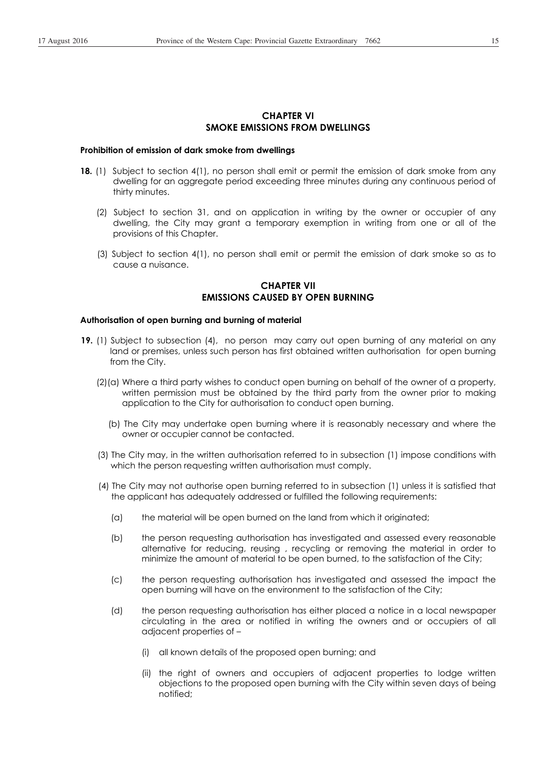## **CHAPTER VI SMOKE EMISSIONS FROM DWELLINGS**

### **Prohibition of emission of dark smoke from dwellings**

- **18.** (1) Subject to section 4(1), no person shall emit or permit the emission of dark smoke from any dwelling for an aggregate period exceeding three minutes during any continuous period of thirty minutes.
	- (2) Subject to section 31, and on application in writing by the owner or occupier of any dwelling, the City may grant a temporary exemption in writing from one or all of the provisions of this Chapter.
	- (3) Subject to section 4(1), no person shall emit or permit the emission of dark smoke so as to cause a nuisance.

# **CHAPTER VII EMISSIONS CAUSED BY OPEN BURNING**

#### **Authorisation of open burning and burning of material**

- **19.** (1) Subject to subsection (4), no person may carry out open burning of any material on any land or premises, unless such person has first obtained written authorisation for open burning from the City.
	- (2)(a) Where a third party wishes to conduct open burning on behalf of the owner of a property, written permission must be obtained by the third party from the owner prior to making application to the City for authorisation to conduct open burning.
		- (b) The City may undertake open burning where it is reasonably necessary and where the owner or occupier cannot be contacted.
	- (3) The City may, in the written authorisation referred to in subsection (1) impose conditions with which the person requesting written authorisation must comply.
	- (4) The City may not authorise open burning referred to in subsection (1) unless it is satisfied that the applicant has adequately addressed or fulfilled the following requirements:
		- (a) the material will be open burned on the land from which it originated;
		- (b) the person requesting authorisation has investigated and assessed every reasonable alternative for reducing, reusing , recycling or removing the material in order to minimize the amount of material to be open burned, to the satisfaction of the City;
		- (c) the person requesting authorisation has investigated and assessed the impact the open burning will have on the environment to the satisfaction of the City;
		- (d) the person requesting authorisation has either placed a notice in a local newspaper circulating in the area or notified in writing the owners and or occupiers of all adjacent properties of –
			- (i) all known details of the proposed open burning; and
			- (ii) the right of owners and occupiers of adjacent properties to lodge written objections to the proposed open burning with the City within seven days of being notified;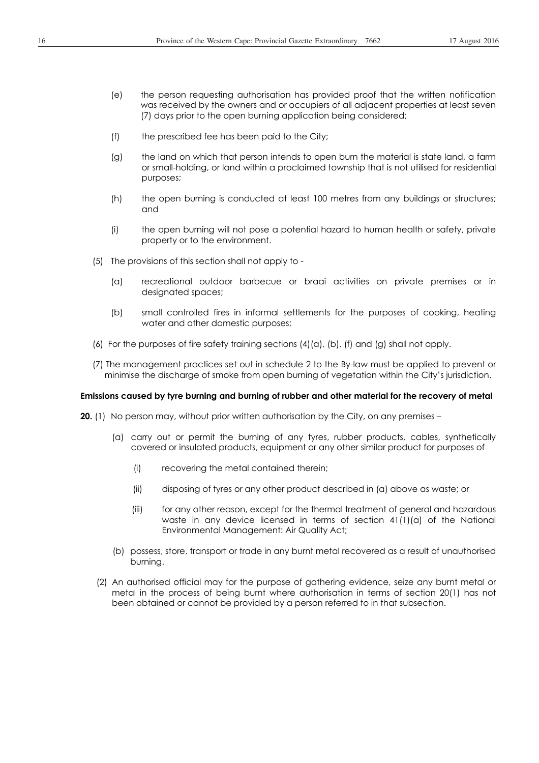- (e) the person requesting authorisation has provided proof that the written notification was received by the owners and or occupiers of all adjacent properties at least seven (7) days prior to the open burning application being considered;
- (f) the prescribed fee has been paid to the City;
- (g) the land on which that person intends to open burn the material is state land, a farm or small-holding, or land within a proclaimed township that is not utilised for residential purposes;
- (h) the open burning is conducted at least 100 metres from any buildings or structures; and
- (i) the open burning will not pose a potential hazard to human health or safety, private property or to the environment.
- (5) The provisions of this section shall not apply to
	- (a) recreational outdoor barbecue or braai activities on private premises or in designated spaces;
	- (b) small controlled fires in informal settlements for the purposes of cooking, heating water and other domestic purposes;
- (6) For the purposes of fire safety training sections  $(4)(a)$ ,  $(b)$ ,  $(f)$  and  $(g)$  shall not apply.
- (7) The management practices set out in schedule 2 to the By-law must be applied to prevent or minimise the discharge of smoke from open burning of vegetation within the City's jurisdiction.

#### **Emissions caused by tyre burning and burning of rubber and other material for the recovery of metal**

**20.** (1) No person may, without prior written authorisation by the City, on any premises –

- (a) carry out or permit the burning of any tyres, rubber products, cables, synthetically covered or insulated products, equipment or any other similar product for purposes of
	- (i) recovering the metal contained therein;
	- (ii) disposing of tyres or any other product described in (a) above as waste; or
	- (iii) for any other reason, except for the thermal treatment of general and hazardous waste in any device licensed in terms of section  $41(1)(a)$  of the National Environmental Management: Air Quality Act;
- (b) possess, store, transport or trade in any burnt metal recovered as a result of unauthorised burning.
- (2) An authorised official may for the purpose of gathering evidence, seize any burnt metal or metal in the process of being burnt where authorisation in terms of section 20(1) has not been obtained or cannot be provided by a person referred to in that subsection.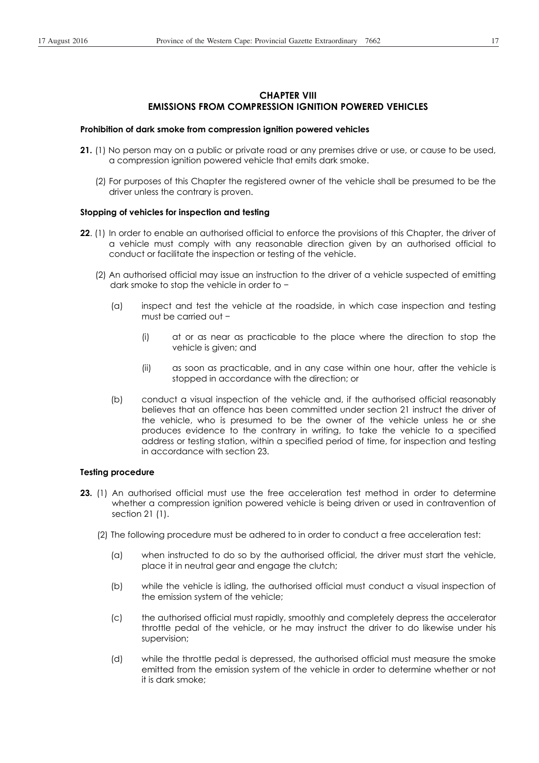# **CHAPTER VIII EMISSIONS FROM COMPRESSION IGNITION POWERED VEHICLES**

#### **Prohibition of dark smoke from compression ignition powered vehicles**

- **21.** (1) No person may on a public or private road or any premises drive or use, or cause to be used, a compression ignition powered vehicle that emits dark smoke.
	- (2) For purposes of this Chapter the registered owner of the vehicle shall be presumed to be the driver unless the contrary is proven.

### **Stopping of vehicles for inspection and testing**

- **22**. (1) In order to enable an authorised official to enforce the provisions of this Chapter, the driver of a vehicle must comply with any reasonable direction given by an authorised official to conduct or facilitate the inspection or testing of the vehicle.
	- (2) An authorised official may issue an instruction to the driver of a vehicle suspected of emitting dark smoke to stop the vehicle in order to  $-$ 
		- (a) inspect and test the vehicle at the roadside, in which case inspection and testing must be carried out  $-$ 
			- (i) at or as near as practicable to the place where the direction to stop the vehicle is given; and
			- (ii) as soon as practicable, and in any case within one hour, after the vehicle is stopped in accordance with the direction; or
		- (b) conduct a visual inspection of the vehicle and, if the authorised official reasonably believes that an offence has been committed under section 21 instruct the driver of the vehicle, who is presumed to be the owner of the vehicle unless he or she produces evidence to the contrary in writing, to take the vehicle to a specified address or testing station, within a specified period of time, for inspection and testing in accordance with section 23.

### **Testing procedure**

- **23.** (1) An authorised official must use the free acceleration test method in order to determine whether a compression ignition powered vehicle is being driven or used in contravention of section 21 (1).
	- (2) The following procedure must be adhered to in order to conduct a free acceleration test:
		- (a) when instructed to do so by the authorised official, the driver must start the vehicle, place it in neutral gear and engage the clutch;
		- (b) while the vehicle is idling, the authorised official must conduct a visual inspection of the emission system of the vehicle;
		- (c) the authorised official must rapidly, smoothly and completely depress the accelerator throttle pedal of the vehicle, or he may instruct the driver to do likewise under his supervision;
		- (d) while the throttle pedal is depressed, the authorised official must measure the smoke emitted from the emission system of the vehicle in order to determine whether or not it is dark smoke;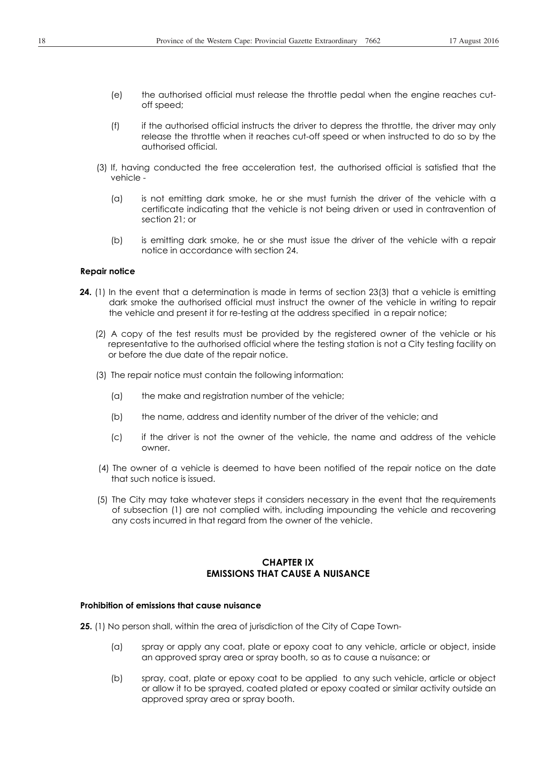- (e) the authorised official must release the throttle pedal when the engine reaches cutoff speed;
- (f) if the authorised official instructs the driver to depress the throttle, the driver may only release the throttle when it reaches cut-off speed or when instructed to do so by the authorised official.
- (3) If, having conducted the free acceleration test, the authorised official is satisfied that the vehicle -
	- (a) is not emitting dark smoke, he or she must furnish the driver of the vehicle with a certificate indicating that the vehicle is not being driven or used in contravention of section 21; or
	- (b) is emitting dark smoke, he or she must issue the driver of the vehicle with a repair notice in accordance with section 24.

#### **Repair notice**

- **24.** (1) In the event that a determination is made in terms of section 23(3) that a vehicle is emitting dark smoke the authorised official must instruct the owner of the vehicle in writing to repair the vehicle and present it for re-testing at the address specified in a repair notice;
	- (2) A copy of the test results must be provided by the registered owner of the vehicle or his representative to the authorised official where the testing station is not a City testing facility on or before the due date of the repair notice.
	- (3) The repair notice must contain the following information:
		- (a) the make and registration number of the vehicle;
		- (b) the name, address and identity number of the driver of the vehicle; and
		- (c) if the driver is not the owner of the vehicle, the name and address of the vehicle owner.
	- (4) The owner of a vehicle is deemed to have been notified of the repair notice on the date that such notice is issued.
	- (5) The City may take whatever steps it considers necessary in the event that the requirements of subsection (1) are not complied with, including impounding the vehicle and recovering any costs incurred in that regard from the owner of the vehicle.

# **CHAPTER IX EMISSIONS THAT CAUSE A NUISANCE**

#### **Prohibition of emissions that cause nuisance**

**25.** (1) No person shall, within the area of jurisdiction of the City of Cape Town-

- (a) spray or apply any coat, plate or epoxy coat to any vehicle, article or object, inside an approved spray area or spray booth, so as to cause a nuisance; or
- (b) spray, coat, plate or epoxy coat to be applied to any such vehicle, article or object or allow it to be sprayed, coated plated or epoxy coated or similar activity outside an approved spray area or spray booth.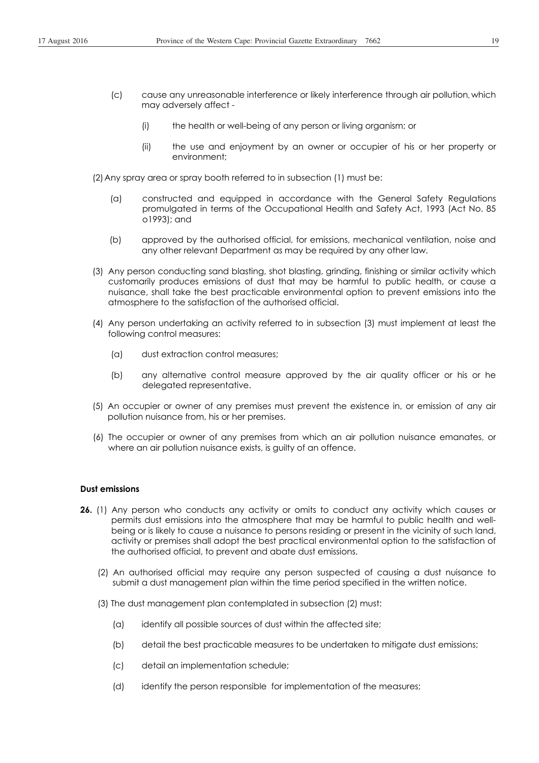- (c) cause any unreasonable interference or likely interference through air pollution, which may adversely affect -
	- (i) the health or well-being of any person or living organism; or
	- (ii) the use and enjoyment by an owner or occupier of his or her property or environment;
- (2) Any spray area or spray booth referred to in subsection (1) must be:
	- (a) constructed and equipped in accordance with the General Safety Regulations promulgated in terms of the Occupational Health and Safety Act, 1993 (Act No. 85 o1993); and
	- (b) approved by the authorised official, for emissions, mechanical ventilation, noise and any other relevant Department as may be required by any other law.
- (3) Any person conducting sand blasting, shot blasting, grinding, finishing or similar activity which customarily produces emissions of dust that may be harmful to public health, or cause a nuisance, shall take the best practicable environmental option to prevent emissions into the atmosphere to the satisfaction of the authorised official.
- (4) Any person undertaking an activity referred to in subsection (3) must implement at least the following control measures:
	- (a) dust extraction control measures;
	- (b) any alternative control measure approved by the air quality officer or his or he delegated representative.
- (5) An occupier or owner of any premises must prevent the existence in, or emission of any air pollution nuisance from, his or her premises.
- (6) The occupier or owner of any premises from which an air pollution nuisance emanates, or where an air pollution nuisance exists, is guilty of an offence.

### **Dust emissions**

- **26.** (1) Any person who conducts any activity or omits to conduct any activity which causes or permits dust emissions into the atmosphere that may be harmful to public health and wellbeing or is likely to cause a nuisance to persons residing or present in the vicinity of such land, activity or premises shall adopt the best practical environmental option to the satisfaction of the authorised official, to prevent and abate dust emissions.
	- (2) An authorised official may require any person suspected of causing a dust nuisance to submit a dust management plan within the time period specified in the written notice.
	- (3) The dust management plan contemplated in subsection (2) must:
		- (a) identify all possible sources of dust within the affected site;
		- (b) detail the best practicable measures to be undertaken to mitigate dust emissions;
		- (c) detail an implementation schedule;
		- (d) identify the person responsible for implementation of the measures;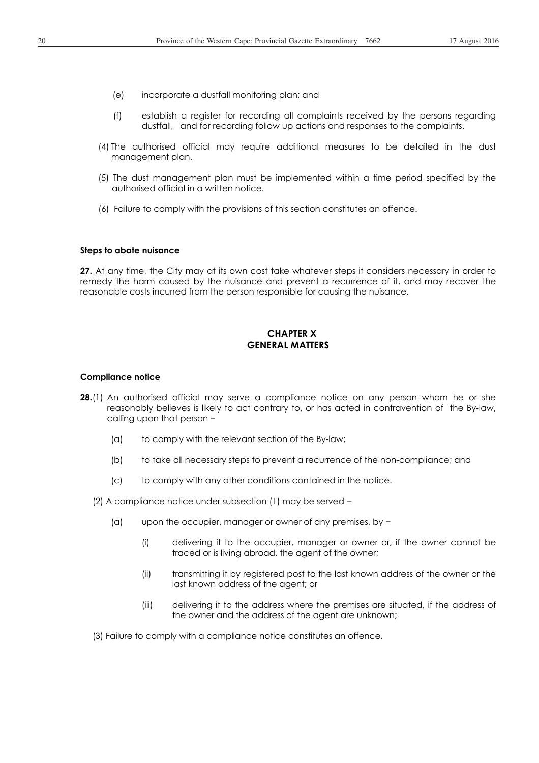- (e) incorporate a dustfall monitoring plan; and
- (f) establish a register for recording all complaints received by the persons regarding dustfall, and for recording follow up actions and responses to the complaints.
- (4) The authorised official may require additional measures to be detailed in the dust management plan.
- (5) The dust management plan must be implemented within a time period specified by the authorised official in a written notice.
- (6) Failure to comply with the provisions of this section constitutes an offence.

#### **Steps to abate nuisance**

**27.** At any time, the City may at its own cost take whatever steps it considers necessary in order to remedy the harm caused by the nuisance and prevent a recurrence of it, and may recover the reasonable costs incurred from the person responsible for causing the nuisance.

## **CHAPTER X GENERAL MATTERS**

#### **Compliance notice**

- **28.**(1) An authorised official may serve a compliance notice on any person whom he or she reasonably believes is likely to act contrary to, or has acted in contravention of the By-law, calling upon that person  $-$ 
	- (a) to comply with the relevant section of the By-law;
	- (b) to take all necessary steps to prevent a recurrence of the non-compliance; and
	- (c) to comply with any other conditions contained in the notice.
	- (2) A compliance notice under subsection (1) may be served  $\overline{\phantom{a}}$ 
		- (a) upon the occupier, manager or owner of any premises, by  $\overline{\phantom{a}}$ 
			- (i) delivering it to the occupier, manager or owner or, if the owner cannot be traced or is living abroad, the agent of the owner;
			- (ii) transmitting it by registered post to the last known address of the owner or the last known address of the agent; or
			- (iii) delivering it to the address where the premises are situated, if the address of the owner and the address of the agent are unknown;

(3) Failure to comply with a compliance notice constitutes an offence.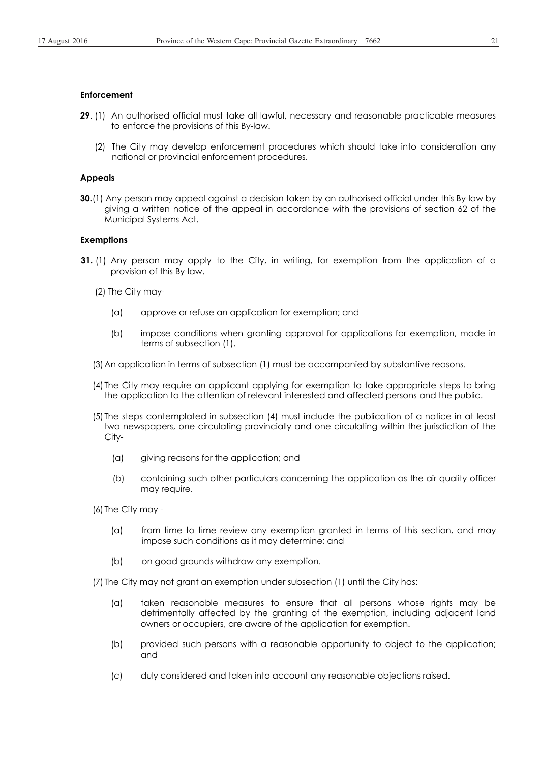#### **Enforcement**

- **29**. (1) An authorised official must take all lawful, necessary and reasonable practicable measures to enforce the provisions of this By-law.
	- (2) The City may develop enforcement procedures which should take into consideration any national or provincial enforcement procedures.

### **Appeals**

**30.**(1) Any person may appeal against a decision taken by an authorised official under this By-law by giving a written notice of the appeal in accordance with the provisions of section 62 of the Municipal Systems Act.

#### **Exemptions**

- **31.** (1) Any person may apply to the City, in writing, for exemption from the application of a provision of this By-law.
	- (2) The City may-
		- (a) approve or refuse an application for exemption; and
		- (b) impose conditions when granting approval for applications for exemption, made in terms of subsection (1).
	- (3) An application in terms of subsection (1) must be accompanied by substantive reasons.
	- (4) The City may require an applicant applying for exemption to take appropriate steps to bring the application to the attention of relevant interested and affected persons and the public.
	- (5) The steps contemplated in subsection (4) must include the publication of a notice in at least two newspapers, one circulating provincially and one circulating within the jurisdiction of the City-
		- (a) giving reasons for the application; and
		- (b) containing such other particulars concerning the application as the air quality officer may require.

(6) The City may -

- (a) from time to time review any exemption granted in terms of this section, and may impose such conditions as it may determine; and
- (b) on good grounds withdraw any exemption.

(7) The City may not grant an exemption under subsection (1) until the City has:

- (a) taken reasonable measures to ensure that all persons whose rights may be detrimentally affected by the granting of the exemption, including adjacent land owners or occupiers, are aware of the application for exemption.
- (b) provided such persons with a reasonable opportunity to object to the application; and
- (c) duly considered and taken into account any reasonable objections raised.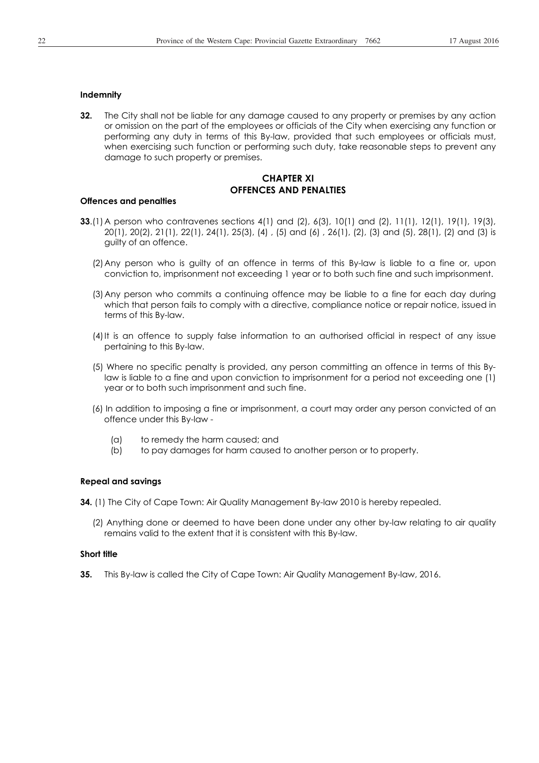#### **Indemnity**

**32.** The City shall not be liable for any damage caused to any property or premises by any action or omission on the part of the employees or officials of the City when exercising any function or performing any duty in terms of this By-law, provided that such employees or officials must, when exercising such function or performing such duty, take reasonable steps to prevent any damage to such property or premises.

## **CHAPTER XI OFFENCES AND PENALTIES**

#### **Offences and penalties**

- **33**.(1) A person who contravenes sections 4(1) and (2), 6(3), 10(1) and (2), 11(1), 12(1), 19(1), 19(3), 20(1), 20(2), 21(1), 22(1), 24(1), 25(3), (4) , (5) and (6) , 26(1), (2), (3) and (5), 28(1), (2) and (3) is guilty of an offence.
	- (2) Any person who is guilty of an offence in terms of this By-law is liable to a fine or, upon conviction to, imprisonment not exceeding 1 year or to both such fine and such imprisonment.
	- (3) Any person who commits a continuing offence may be liable to a fine for each day during which that person fails to comply with a directive, compliance notice or repair notice, issued in terms of this By-law.
	- (4) It is an offence to supply false information to an authorised official in respect of any issue pertaining to this By-law.
	- (5) Where no specific penalty is provided, any person committing an offence in terms of this Bylaw is liable to a fine and upon conviction to imprisonment for a period not exceeding one (1) year or to both such imprisonment and such fine.
	- (6) In addition to imposing a fine or imprisonment, a court may order any person convicted of an offence under this By-law -
		- (a) to remedy the harm caused; and
		- (b) to pay damages for harm caused to another person or to property.

#### **Repeal and savings**

**34.** (1) The City of Cape Town: Air Quality Management By-law 2010 is hereby repealed.

(2) Anything done or deemed to have been done under any other by-law relating to air quality remains valid to the extent that it is consistent with this By-law.

### **Short title**

**35.** This By-law is called the City of Cape Town: Air Quality Management By-law, 2016.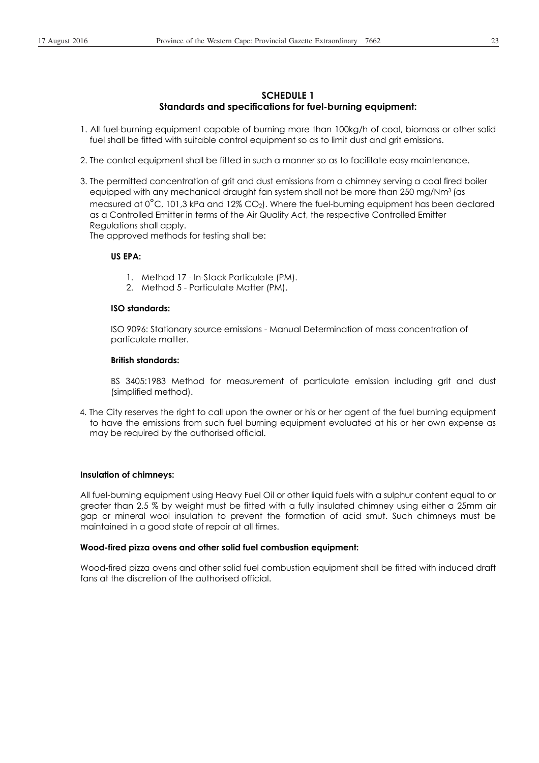## **SCHEDULE 1 Standards and specifications for fuel-burning equipment:**

- 1. All fuel-burning equipment capable of burning more than 100kg/h of coal, biomass or other solid fuel shall be fitted with suitable control equipment so as to limit dust and grit emissions.
- 2. The control equipment shall be fitted in such a manner so as to facilitate easy maintenance.
- 3. The permitted concentration of grit and dust emissions from a chimney serving a coal fired boiler equipped with any mechanical draught fan system shall not be more than 250 mg/Nm<sup>3</sup> (as measured at 0°C, 101,3 kPa and 12% CO2). Where the fuel-burning equipment has been declared as a Controlled Emitter in terms of the Air Quality Act, the respective Controlled Emitter Regulations shall apply.

The approved methods for testing shall be:

### **US EPA:**

- 1. Method 17 In-Stack Particulate (PM).
- 2. Method 5 Particulate Matter (PM).

## **ISO standards:**

ISO 9096: Stationary source emissions - Manual Determination of mass concentration of particulate matter.

#### **British standards:**

BS 3405:1983 Method for measurement of particulate emission including grit and dust (simplified method).

4. The City reserves the right to call upon the owner or his or her agent of the fuel burning equipment to have the emissions from such fuel burning equipment evaluated at his or her own expense as may be required by the authorised official.

### **Insulation of chimneys:**

All fuel-burning equipment using Heavy Fuel Oil or other liquid fuels with a sulphur content equal to or greater than 2.5 % by weight must be fitted with a fully insulated chimney using either a 25mm air gap or mineral wool insulation to prevent the formation of acid smut. Such chimneys must be maintained in a good state of repair at all times.

### **Wood-fired pizza ovens and other solid fuel combustion equipment:**

Wood-fired pizza ovens and other solid fuel combustion equipment shall be fitted with induced draft fans at the discretion of the authorised official.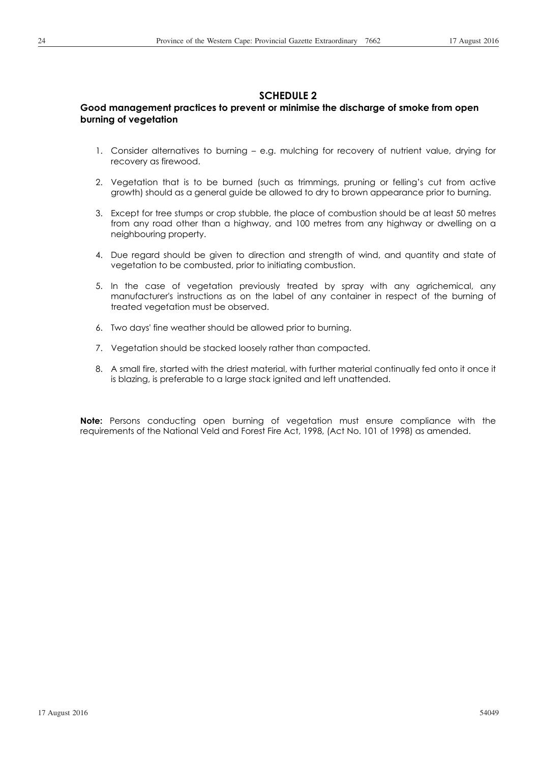# **SCHEDULE 2**

# **Good management practices to prevent or minimise the discharge of smoke from open burning of vegetation**

- 1. Consider alternatives to burning e.g. mulching for recovery of nutrient value, drying for recovery as firewood.
- 2. Vegetation that is to be burned (such as trimmings, pruning or felling's cut from active growth) should as a general guide be allowed to dry to brown appearance prior to burning.
- 3. Except for tree stumps or crop stubble, the place of combustion should be at least 50 metres from any road other than a highway, and 100 metres from any highway or dwelling on a neighbouring property.
- 4. Due regard should be given to direction and strength of wind, and quantity and state of vegetation to be combusted, prior to initiating combustion.
- 5. In the case of vegetation previously treated by spray with any agrichemical, any manufacturer's instructions as on the label of any container in respect of the burning of treated vegetation must be observed.
- 6. Two days' fine weather should be allowed prior to burning.
- 7. Vegetation should be stacked loosely rather than compacted.
- 8. A small fire, started with the driest material, with further material continually fed onto it once it is blazing, is preferable to a large stack ignited and left unattended.

**Note:** Persons conducting open burning of vegetation must ensure compliance with the requirements of the National Veld and Forest Fire Act, 1998, (Act No. 101 of 1998) as amended.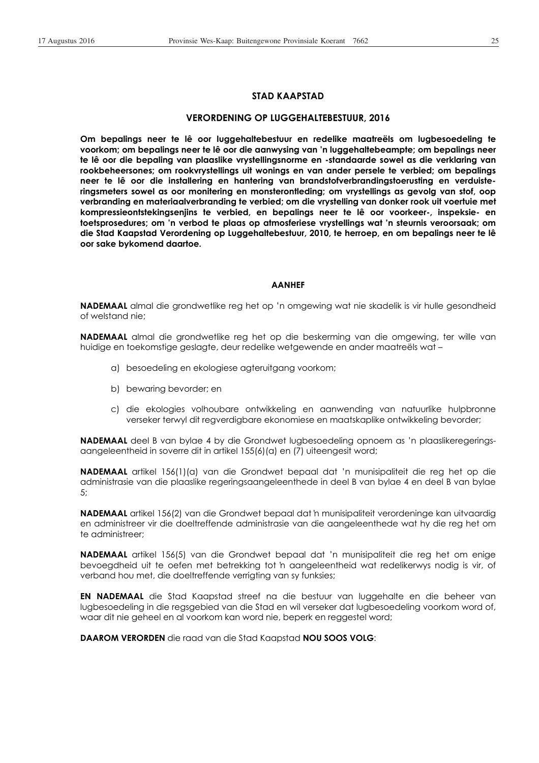### **STAD KAAPSTAD**

#### **VERORDENING OP LUGGEHALTEBESTUUR, 2016**

**Om bepalings neer te lê oor luggehaltebestuur en redelike maatreëls om lugbesoedeling te voorkom; om bepalings neer te lê oor die aanwysing van 'n luggehaltebeampte; om bepalings neer te lê oor die bepaling van plaaslike vrystellingsnorme en -standaarde sowel as die verklaring van rookbeheersones; om rookvrystellings uit wonings en van ander persele te verbied; om bepalings neer te lê oor die installering en hantering van brandstofverbrandingstoerusting en verduisteringsmeters sowel as oor monitering en monsterontleding; om vrystellings as gevolg van stof, oop verbranding en materiaalverbranding te verbied; om die vrystelling van donker rook uit voertuie met kompressieontstekingsenjins te verbied, en bepalings neer te lê oor voorkeer-, inspeksie- en toetsprosedures; om 'n verbod te plaas op atmosferiese vrystellings wat 'n steurnis veroorsaak; om die Stad Kaapstad Verordening op Luggehaltebestuur, 2010, te herroep, en om bepalings neer te lê oor sake bykomend daartoe.** 

#### **AANHEF**

**NADEMAAL** almal die grondwetlike reg het op 'n omgewing wat nie skadelik is vir hulle gesondheid of welstand nie;

**NADEMAAL** almal die grondwetlike reg het op die beskerming van die omgewing, ter wille van huidige en toekomstige geslagte, deur redelike wetgewende en ander maatreëls wat –

- a) besoedeling en ekologiese agteruitgang voorkom;
- b) bewaring bevorder; en
- c) die ekologies volhoubare ontwikkeling en aanwending van natuurlike hulpbronne verseker terwyl dit regverdigbare ekonomiese en maatskaplike ontwikkeling bevorder;

**NADEMAAL** deel B van bylae 4 by die Grondwet lugbesoedeling opnoem as 'n plaaslikeregeringsaangeleentheid in soverre dit in artikel 155(6)(a) en (7) uiteengesit word;

**NADEMAAL** artikel 156(1)(a) van die Grondwet bepaal dat 'n munisipaliteit die reg het op die administrasie van die plaaslike regeringsaangeleenthede in deel B van bylae 4 en deel B van bylae 5;

**NADEMAAL** artikel 156(2) van die Grondwet bepaal dat 'n munisipaliteit verordeninge kan uitvaardig en administreer vir die doeltreffende administrasie van die aangeleenthede wat hy die reg het om te administreer;

**NADEMAAL** artikel 156(5) van die Grondwet bepaal dat 'n munisipaliteit die reg het om enige bevoegdheid uit te oefen met betrekking tot 'n aangeleentheid wat redelikerwys nodig is vir, of verband hou met, die doeltreffende verrigting van sy funksies;

**EN NADEMAAL** die Stad Kaapstad streef na die bestuur van luggehalte en die beheer van lugbesoedeling in die regsgebied van die Stad en wil verseker dat lugbesoedeling voorkom word of, waar dit nie geheel en al voorkom kan word nie, beperk en reggestel word;

**DAAROM VERORDEN** die raad van die Stad Kaapstad **NOU SOOS VOLG**: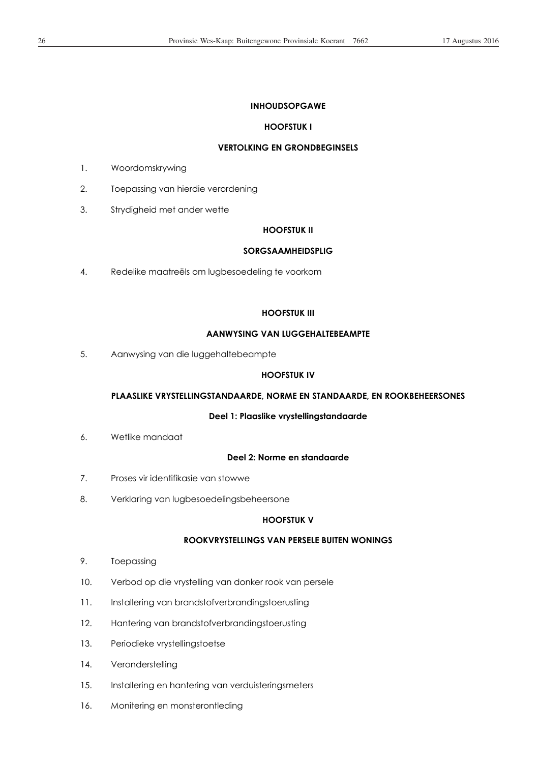### **INHOUDSOPGAWE**

### **HOOFSTUK I**

## **VERTOLKING EN GRONDBEGINSELS**

- 1. Woordomskrywing
- 2. Toepassing van hierdie verordening
- 3. Strydigheid met ander wette

### **HOOFSTUK II**

#### **SORGSAAMHEIDSPLIG**

4. Redelike maatreëls om lugbesoedeling te voorkom

### **HOOFSTUK III**

## **AANWYSING VAN LUGGEHALTEBEAMPTE**

5. Aanwysing van die luggehaltebeampte

## **HOOFSTUK IV**

# **PLAASLIKE VRYSTELLINGSTANDAARDE, NORME EN STANDAARDE, EN ROOKBEHEERSONES**

### **Deel 1: Plaaslike vrystellingstandaarde**

6. Wetlike mandaat

### **Deel 2: Norme en standaarde**

- 7. Proses vir identifikasie van stowwe
- 8. Verklaring van lugbesoedelingsbeheersone

## **HOOFSTUK V**

## **ROOKVRYSTELLINGS VAN PERSELE BUITEN WONINGS**

- 9. Toepassing
- 10. Verbod op die vrystelling van donker rook van persele
- 11. Installering van brandstofverbrandingstoerusting
- 12. Hantering van brandstofverbrandingstoerusting
- 13. Periodieke vrystellingstoetse
- 14. Veronderstelling
- 15. Installering en hantering van verduisteringsmeters
- 16. Monitering en monsterontleding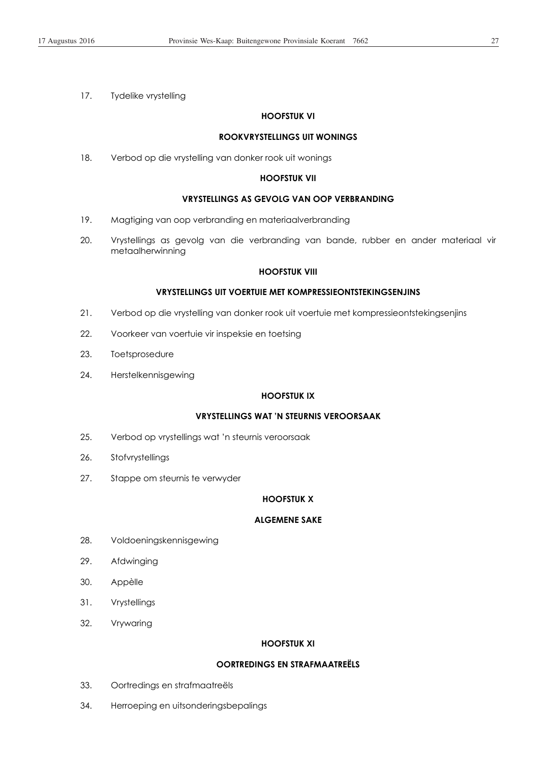17. Tydelike vrystelling

### **HOOFSTUK VI**

### **ROOKVRYSTELLINGS UIT WONINGS**

18. Verbod op die vrystelling van donker rook uit wonings

### **HOOFSTUK VII**

## **VRYSTELLINGS AS GEVOLG VAN OOP VERBRANDING**

- 19. Magtiging van oop verbranding en materiaalverbranding
- 20. Vrystellings as gevolg van die verbranding van bande, rubber en ander materiaal vir metaalherwinning

### **HOOFSTUK VIII**

## **VRYSTELLINGS UIT VOERTUIE MET KOMPRESSIEONTSTEKINGSENJINS**

- 21. Verbod op die vrystelling van donker rook uit voertuie met kompressieontstekingsenjins
- 22. Voorkeer van voertuie vir inspeksie en toetsing
- 23. Toetsprosedure
- 24. Herstelkennisgewing

## **HOOFSTUK IX**

## **VRYSTELLINGS WAT 'N STEURNIS VEROORSAAK**

- 25. Verbod op vrystellings wat 'n steurnis veroorsaak
- 26. Stofvrystellings
- 27. Stappe om steurnis te verwyder

### **HOOFSTUK X**

## **ALGEMENE SAKE**

- 28. Voldoeningskennisgewing
- 29. Afdwinging
- 30. Appèlle
- 31. Vrystellings
- 32. Vrywaring

#### **HOOFSTUK XI**

## **OORTREDINGS EN STRAFMAATREËLS**

- 33. Oortredings en strafmaatreëls
- 34. Herroeping en uitsonderingsbepalings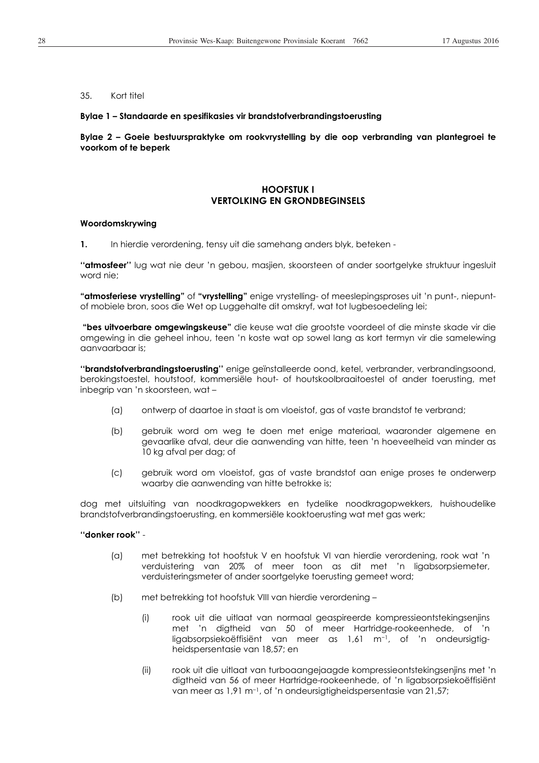### 35. Kort titel

#### **Bylae 1 – Standaarde en spesifikasies vir brandstofverbrandingstoerusting**

**Bylae 2 – Goeie bestuurspraktyke om rookvrystelling by die oop verbranding van plantegroei te voorkom of te beperk** 

## **HOOFSTUK I VERTOLKING EN GRONDBEGINSELS**

#### **Woordomskrywing**

**1.** In hierdie verordening, tensy uit die samehang anders blyk, beteken -

**''atmosfeer''** lug wat nie deur 'n gebou, masjien, skoorsteen of ander soortgelyke struktuur ingesluit word nie;

**"atmosferiese vrystelling"** of **"vrystelling"** enige vrystelling- of meeslepingsproses uit 'n punt-, niepuntof mobiele bron, soos die Wet op Luggehalte dit omskryf, wat tot lugbesoedeling lei;

 **"bes uitvoerbare omgewingskeuse"** die keuse wat die grootste voordeel of die minste skade vir die omgewing in die geheel inhou, teen 'n koste wat op sowel lang as kort termyn vir die samelewing aanvaarbaar is;

**''brandstofverbrandingstoerusting''** enige geïnstalleerde oond, ketel, verbrander, verbrandingsoond, berokingstoestel, houtstoof, kommersiële hout- of houtskoolbraaitoestel of ander toerusting, met inbegrip van 'n skoorsteen, wat –

- (a) ontwerp of daartoe in staat is om vloeistof, gas of vaste brandstof te verbrand;
- (b) gebruik word om weg te doen met enige materiaal, waaronder algemene en gevaarlike afval, deur die aanwending van hitte, teen 'n hoeveelheid van minder as 10 kg afval per dag; of
- (c) gebruik word om vloeistof, gas of vaste brandstof aan enige proses te onderwerp waarby die aanwending van hitte betrokke is;

dog met uitsluiting van noodkragopwekkers en tydelike noodkragopwekkers, huishoudelike brandstofverbrandingstoerusting, en kommersiële kooktoerusting wat met gas werk;

### **''donker rook''** -

- (a) met betrekking tot hoofstuk V en hoofstuk VI van hierdie verordening, rook wat 'n verduistering van 20% of meer toon as dit met 'n ligabsorpsiemeter, verduisteringsmeter of ander soortgelyke toerusting gemeet word;
- (b) met betrekking tot hoofstuk VIII van hierdie verordening
	- (i) rook uit die uitlaat van normaal geaspireerde kompressieontstekingsenjins met 'n digtheid van 50 of meer Hartridge-rookeenhede, of 'n ligabsorpsiekoëffisiënt van meer as 1,61 m<sup>-1</sup>, of 'n ondeursigtigheidspersentasie van 18,57; en
	- (ii) rook uit die uitlaat van turboaangejaagde kompressieontstekingsenjins met 'n digtheid van 56 of meer Hartridge-rookeenhede, of 'n ligabsorpsiekoëffisiënt van meer as 1,91 m<sup>-1</sup>, of 'n ondeursigtigheidspersentasie van 21,57;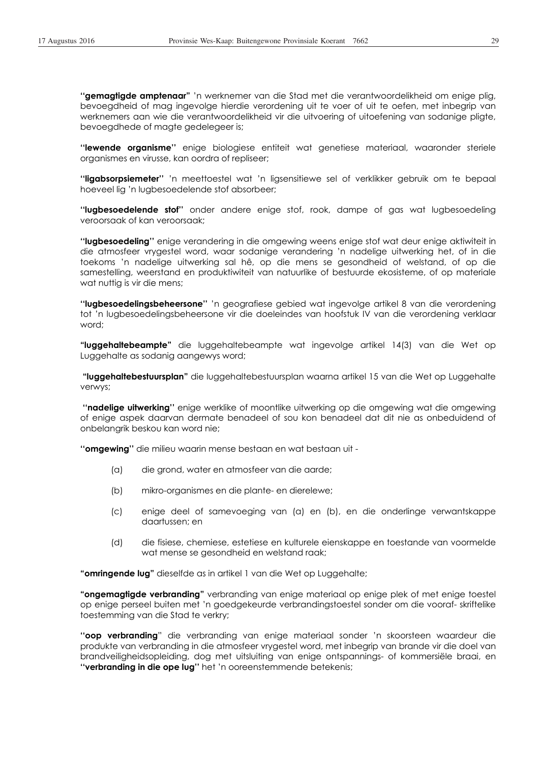**''gemagtigde amptenaar"** 'n werknemer van die Stad met die verantwoordelikheid om enige plig, bevoegdheid of mag ingevolge hierdie verordening uit te voer of uit te oefen, met inbegrip van werknemers aan wie die verantwoordelikheid vir die uitvoering of uitoefening van sodanige pligte, bevoegdhede of magte gedelegeer is;

**''lewende organisme''** enige biologiese entiteit wat genetiese materiaal, waaronder steriele organismes en virusse, kan oordra of repliseer;

**''ligabsorpsiemeter''** 'n meettoestel wat 'n ligsensitiewe sel of verklikker gebruik om te bepaal hoeveel lig 'n lugbesoedelende stof absorbeer;

**''lugbesoedelende stof''** onder andere enige stof, rook, dampe of gas wat lugbesoedeling veroorsaak of kan veroorsaak;

**''lugbesoedeling''** enige verandering in die omgewing weens enige stof wat deur enige aktiwiteit in die atmosfeer vrygestel word, waar sodanige verandering 'n nadelige uitwerking het, of in die toekoms 'n nadelige uitwerking sal hê, op die mens se gesondheid of welstand, of op die samestelling, weerstand en produktiwiteit van natuurlike of bestuurde ekosisteme, of op materiale wat nuttig is vir die mens;

**''lugbesoedelingsbeheersone''** 'n geografiese gebied wat ingevolge artikel 8 van die verordening tot 'n lugbesoedelingsbeheersone vir die doeleindes van hoofstuk IV van die verordening verklaar word;

**"luggehaltebeampte"** die luggehaltebeampte wat ingevolge artikel 14(3) van die Wet op Luggehalte as sodanig aangewys word;

 **"luggehaltebestuursplan"** die luggehaltebestuursplan waarna artikel 15 van die Wet op Luggehalte verwys;

 **''nadelige uitwerking''** enige werklike of moontlike uitwerking op die omgewing wat die omgewing of enige aspek daarvan dermate benadeel of sou kon benadeel dat dit nie as onbeduidend of onbelangrik beskou kan word nie;

**''omgewing''** die milieu waarin mense bestaan en wat bestaan uit -

- (a) die grond, water en atmosfeer van die aarde;
- (b) mikro-organismes en die plante- en dierelewe;
- (c) enige deel of samevoeging van (a) en (b), en die onderlinge verwantskappe daartussen; en
- (d) die fisiese, chemiese, estetiese en kulturele eienskappe en toestande van voormelde wat mense se gesondheid en welstand raak;

**"omringende lug"** dieselfde as in artikel 1 van die Wet op Luggehalte;

**"ongemagtigde verbranding"** verbranding van enige materiaal op enige plek of met enige toestel op enige perseel buiten met 'n goedgekeurde verbrandingstoestel sonder om die vooraf- skriftelike toestemming van die Stad te verkry;

**''oop verbranding**" die verbranding van enige materiaal sonder 'n skoorsteen waardeur die produkte van verbranding in die atmosfeer vrygestel word, met inbegrip van brande vir die doel van brandveiligheidsopleiding, dog met uitsluiting van enige ontspannings- of kommersiële braai, en **''verbranding in die ope lug''** het 'n ooreenstemmende betekenis;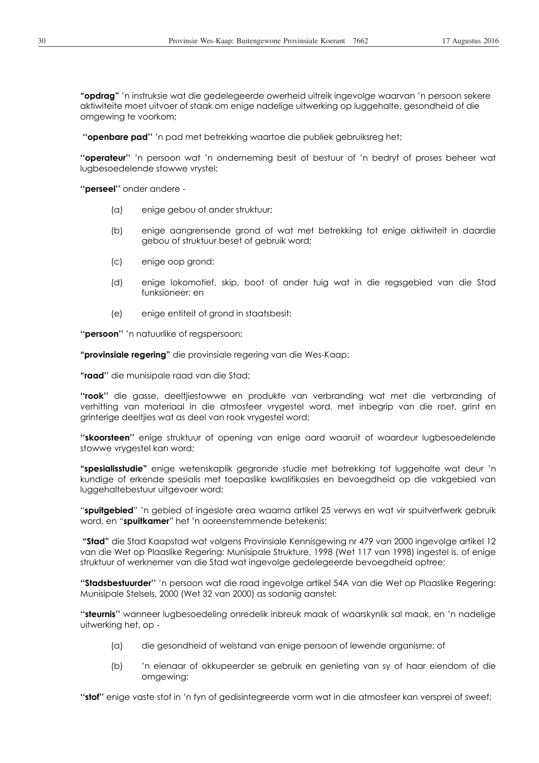**"opdrag"** 'n instruksie wat die gedelegeerde owerheid uitreik ingevolge waarvan 'n persoon sekere aktiwiteite moet uitvoer of staak om enige nadelige uitwerking op luggehalte, gesondheid of die omgewing te voorkom;

 **''openbare pad''** 'n pad met betrekking waartoe die publiek gebruiksreg het;

**''operateur''** 'n persoon wat 'n onderneming besit of bestuur of 'n bedryf of proses beheer wat lugbesoedelende stowwe vrystel;

**''perseel''** onder andere -

- (a) enige gebou of ander struktuur;
- (b) enige aangrensende grond of wat met betrekking tot enige aktiwiteit in daardie gebou of struktuur beset of gebruik word;
- (c) enige oop grond;
- (d) enige lokomotief, skip, boot of ander tuig wat in die regsgebied van die Stad funksioneer; en
- (e) enige entiteit of grond in staatsbesit;

**''persoon''** 'n natuurlike of regspersoon;

**"provinsiale regering"** die provinsiale regering van die Wes-Kaap;

**"raad''** die munisipale raad van die Stad;

**''rook''** die gasse, deeltjiestowwe en produkte van verbranding wat met die verbranding of verhitting van materiaal in die atmosfeer vrygestel word, met inbegrip van die roet, grint en grinterige deeltjies wat as deel van rook vrygestel word;

**''skoorsteen''** enige struktuur of opening van enige aard waaruit of waardeur lugbesoedelende stowwe vrygestel kan word;

**"spesialisstudie"** enige wetenskaplik gegronde studie met betrekking tot luggehalte wat deur 'n kundige of erkende spesialis met toepaslike kwalifikasies en bevoegdheid op die vakgebied van luggehaltebestuur uitgevoer word;

"**spuitgebied**" 'n gebied of ingeslote area waarna artikel 25 verwys en wat vir spuitverfwerk gebruik word, en "**spuitkamer**" het 'n ooreenstemmende betekenis;

 **"Stad"** die Stad Kaapstad wat volgens Provinsiale Kennisgewing nr 479 van 2000 ingevolge artikel 12 van die Wet op Plaaslike Regering: Munisipale Strukture, 1998 (Wet 117 van 1998) ingestel is, of enige struktuur of werknemer van die Stad wat ingevolge gedelegeerde bevoegdheid optree;

**''Stadsbestuurder''** 'n persoon wat die raad ingevolge artikel 54A van die Wet op Plaaslike Regering: Munisipale Stelsels, 2000 (Wet 32 van 2000) as sodanig aanstel;

**''steurnis''** wanneer lugbesoedeling onredelik inbreuk maak of waarskynlik sal maak, en 'n nadelige uitwerking het, op -

- (a) die gesondheid of welstand van enige persoon of lewende organisme; of
- (b) 'n eienaar of okkupeerder se gebruik en genieting van sy of haar eiendom of die omgewing;

**''stof''** enige vaste stof in 'n fyn of gedisintegreerde vorm wat in die atmosfeer kan versprei of sweef;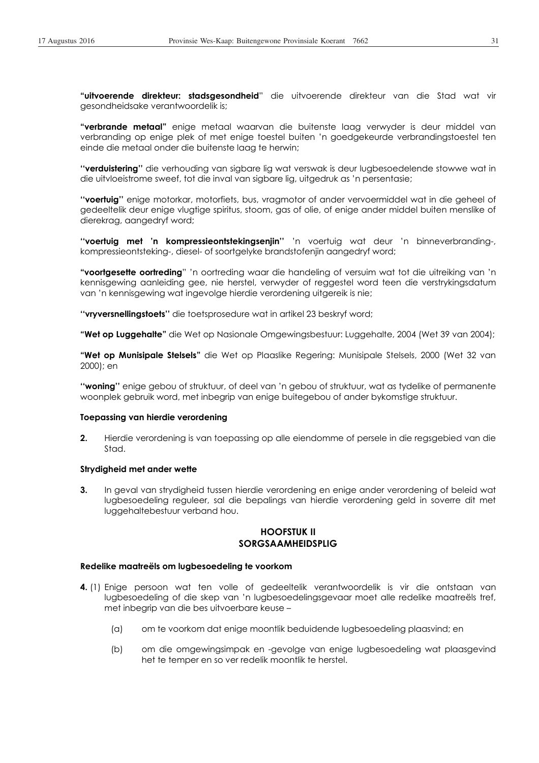**"uitvoerende direkteur: stadsgesondheid**" die uitvoerende direkteur van die Stad wat vir gesondheidsake verantwoordelik is;

**"verbrande metaal"** enige metaal waarvan die buitenste laag verwyder is deur middel van verbranding op enige plek of met enige toestel buiten 'n goedgekeurde verbrandingstoestel ten einde die metaal onder die buitenste laag te herwin;

**''verduistering''** die verhouding van sigbare lig wat verswak is deur lugbesoedelende stowwe wat in die uitvloeistrome sweef, tot die inval van sigbare lig, uitgedruk as 'n persentasie;

**''voertuig''** enige motorkar, motorfiets, bus, vragmotor of ander vervoermiddel wat in die geheel of gedeeltelik deur enige vlugtige spiritus, stoom, gas of olie, of enige ander middel buiten menslike of dierekrag, aangedryf word;

**''voertuig met 'n kompressieontstekingsenjin''** 'n voertuig wat deur 'n binneverbranding-, kompressieontsteking-, diesel- of soortgelyke brandstofenjin aangedryf word;

**"voortgesette oortreding**" 'n oortreding waar die handeling of versuim wat tot die uitreiking van 'n kennisgewing aanleiding gee, nie herstel, verwyder of reggestel word teen die verstrykingsdatum van 'n kennisgewing wat ingevolge hierdie verordening uitgereik is nie;

**''vryversnellingstoets''** die toetsprosedure wat in artikel 23 beskryf word;

**"Wet op Luggehalte"** die Wet op Nasionale Omgewingsbestuur: Luggehalte, 2004 (Wet 39 van 2004);

**"Wet op Munisipale Stelsels"** die Wet op Plaaslike Regering: Munisipale Stelsels, 2000 (Wet 32 van 2000); en

**''woning''** enige gebou of struktuur, of deel van 'n gebou of struktuur, wat as tydelike of permanente woonplek gebruik word, met inbegrip van enige buitegebou of ander bykomstige struktuur.

#### **Toepassing van hierdie verordening**

**2.** Hierdie verordening is van toepassing op alle eiendomme of persele in die regsgebied van die Stad.

#### **Strydigheid met ander wette**

**3.** In geval van strydigheid tussen hierdie verordening en enige ander verordening of beleid wat lugbesoedeling reguleer, sal die bepalings van hierdie verordening geld in soverre dit met luggehaltebestuur verband hou.

## **HOOFSTUK II SORGSAAMHEIDSPLIG**

#### **Redelike maatreëls om lugbesoedeling te voorkom**

- **4.** (1) Enige persoon wat ten volle of gedeeltelik verantwoordelik is vir die ontstaan van lugbesoedeling of die skep van 'n lugbesoedelingsgevaar moet alle redelike maatreëls tref, met inbegrip van die bes uitvoerbare keuse –
	- (a) om te voorkom dat enige moontlik beduidende lugbesoedeling plaasvind; en
	- (b) om die omgewingsimpak en -gevolge van enige lugbesoedeling wat plaasgevind het te temper en so ver redelik moontlik te herstel.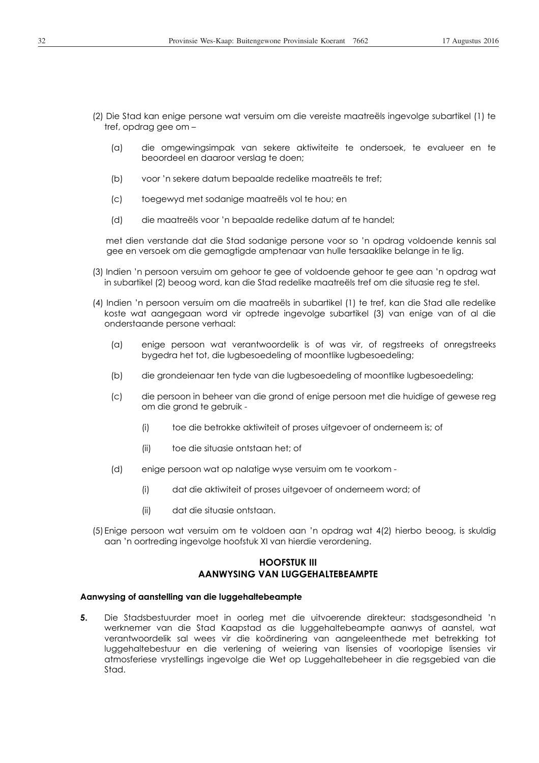- (2) Die Stad kan enige persone wat versuim om die vereiste maatreëls ingevolge subartikel (1) te tref, opdrag gee om –
	- (a) die omgewingsimpak van sekere aktiwiteite te ondersoek, te evalueer en te beoordeel en daaroor verslag te doen;
	- (b) voor 'n sekere datum bepaalde redelike maatreëls te tref;
	- (c) toegewyd met sodanige maatreëls vol te hou; en
	- (d) die maatreëls voor 'n bepaalde redelike datum af te handel;

met dien verstande dat die Stad sodanige persone voor so 'n opdrag voldoende kennis sal gee en versoek om die gemagtigde amptenaar van hulle tersaaklike belange in te lig.

- (3) Indien 'n persoon versuim om gehoor te gee of voldoende gehoor te gee aan 'n opdrag wat in subartikel (2) beoog word, kan die Stad redelike maatreëls tref om die situasie reg te stel.
- (4) Indien 'n persoon versuim om die maatreëls in subartikel (1) te tref, kan die Stad alle redelike koste wat aangegaan word vir optrede ingevolge subartikel (3) van enige van of al die onderstaande persone verhaal:
	- (a) enige persoon wat verantwoordelik is of was vir, of regstreeks of onregstreeks bygedra het tot, die lugbesoedeling of moontlike lugbesoedeling;
	- (b) die grondeienaar ten tyde van die lugbesoedeling of moontlike lugbesoedeling;
	- (c) die persoon in beheer van die grond of enige persoon met die huidige of gewese reg om die grond te gebruik -
		- (i) toe die betrokke aktiwiteit of proses uitgevoer of onderneem is; of
		- (ii) toe die situasie ontstaan het; of
	- (d) enige persoon wat op nalatige wyse versuim om te voorkom
		- (i) dat die aktiwiteit of proses uitgevoer of onderneem word; of
		- (ii) dat die situasie ontstaan.
- (5) Enige persoon wat versuim om te voldoen aan 'n opdrag wat 4(2) hierbo beoog, is skuldig aan 'n oortreding ingevolge hoofstuk XI van hierdie verordening.

## **HOOFSTUK III AANWYSING VAN LUGGEHALTEBEAMPTE**

#### **Aanwysing of aanstelling van die luggehaltebeampte**

**5.** Die Stadsbestuurder moet in oorleg met die uitvoerende direkteur: stadsgesondheid 'n werknemer van die Stad Kaapstad as die luggehaltebeampte aanwys of aanstel, wat verantwoordelik sal wees vir die koördinering van aangeleenthede met betrekking tot luggehaltebestuur en die verlening of weiering van lisensies of voorlopige lisensies vir atmosferiese vrystellings ingevolge die Wet op Luggehaltebeheer in die regsgebied van die Stad.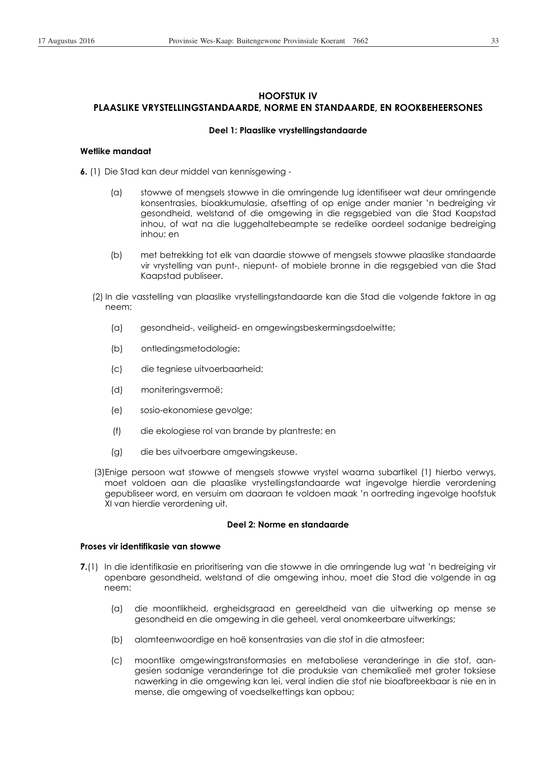# **HOOFSTUK IV PLAASLIKE VRYSTELLINGSTANDAARDE, NORME EN STANDAARDE, EN ROOKBEHEERSONES**

#### **Deel 1: Plaaslike vrystellingstandaarde**

#### **Wetlike mandaat**

**6.** (1) Die Stad kan deur middel van kennisgewing -

- (a) stowwe of mengsels stowwe in die omringende lug identifiseer wat deur omringende konsentrasies, bioakkumulasie, afsetting of op enige ander manier 'n bedreiging vir gesondheid, welstand of die omgewing in die regsgebied van die Stad Kaapstad inhou, of wat na die luggehaltebeampte se redelike oordeel sodanige bedreiging inhou; en
- (b) met betrekking tot elk van daardie stowwe of mengsels stowwe plaaslike standaarde vir vrystelling van punt-, niepunt- of mobiele bronne in die regsgebied van die Stad Kaapstad publiseer.
- (2) In die vasstelling van plaaslike vrystellingstandaarde kan die Stad die volgende faktore in ag neem:
	- (a) gesondheid-, veiligheid- en omgewingsbeskermingsdoelwitte;
	- (b) ontledingsmetodologie;
	- (c) die tegniese uitvoerbaarheid;
	- (d) moniteringsvermoë;
	- (e) sosio-ekonomiese gevolge;
	- (f) die ekologiese rol van brande by plantreste; en
	- (g) die bes uitvoerbare omgewingskeuse.
- (3)Enige persoon wat stowwe of mengsels stowwe vrystel waarna subartikel (1) hierbo verwys, moet voldoen aan die plaaslike vrystellingstandaarde wat ingevolge hierdie verordening gepubliseer word, en versuim om daaraan te voldoen maak 'n oortreding ingevolge hoofstuk XI van hierdie verordening uit.

#### **Deel 2: Norme en standaarde**

#### **Proses vir identifikasie van stowwe**

- **7.**(1) In die identifikasie en prioritisering van die stowwe in die omringende lug wat 'n bedreiging vir openbare gesondheid, welstand of die omgewing inhou, moet die Stad die volgende in ag neem:
	- (a) die moontlikheid, ergheidsgraad en gereeldheid van die uitwerking op mense se gesondheid en die omgewing in die geheel, veral onomkeerbare uitwerkings;
	- (b) alomteenwoordige en hoë konsentrasies van die stof in die atmosfeer;
	- (c) moontlike omgewingstransformasies en metaboliese veranderinge in die stof, aangesien sodanige veranderinge tot die produksie van chemikalieë met groter toksiese nawerking in die omgewing kan lei, veral indien die stof nie bioafbreekbaar is nie en in mense, die omgewing of voedselkettings kan opbou;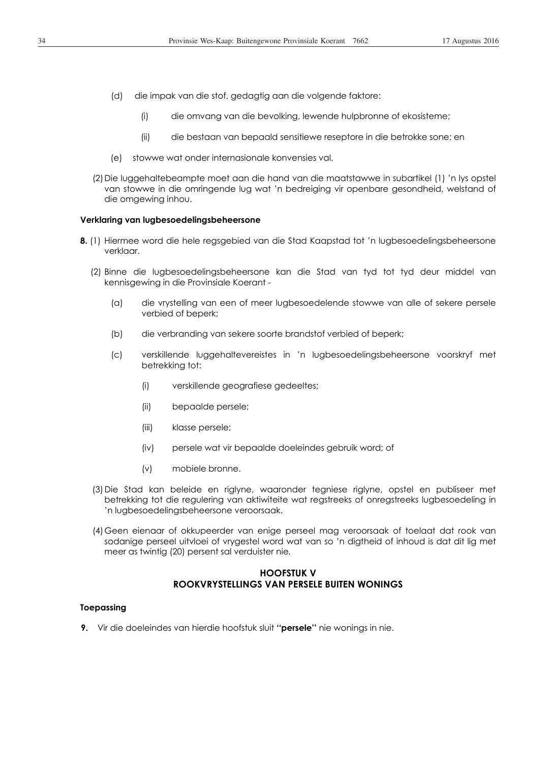- (d) die impak van die stof, gedagtig aan die volgende faktore:
	- (i) die omvang van die bevolking, lewende hulpbronne of ekosisteme;
	- (ii) die bestaan van bepaald sensitiewe reseptore in die betrokke sone; en
- (e) stowwe wat onder internasionale konvensies val.
- (2)Die luggehaltebeampte moet aan die hand van die maatstawwe in subartikel (1) 'n lys opstel van stowwe in die omringende lug wat 'n bedreiging vir openbare gesondheid, welstand of die omgewing inhou.

#### **Verklaring van lugbesoedelingsbeheersone**

- **8.** (1) Hiermee word die hele regsgebied van die Stad Kaapstad tot 'n lugbesoedelingsbeheersone verklaar.
	- (2) Binne die lugbesoedelingsbeheersone kan die Stad van tyd tot tyd deur middel van kennisgewing in die Provinsiale Koerant -
		- (a) die vrystelling van een of meer lugbesoedelende stowwe van alle of sekere persele verbied of beperk;
		- (b) die verbranding van sekere soorte brandstof verbied of beperk;
		- (c) verskillende luggehaltevereistes in 'n lugbesoedelingsbeheersone voorskryf met betrekking tot:
			- (i) verskillende geografiese gedeeltes;
			- (ii) bepaalde persele;
			- (iii) klasse persele;
			- (iv) persele wat vir bepaalde doeleindes gebruik word; of
			- (v) mobiele bronne.
	- (3) Die Stad kan beleide en riglyne, waaronder tegniese riglyne, opstel en publiseer met betrekking tot die regulering van aktiwiteite wat regstreeks of onregstreeks lugbesoedeling in 'n lugbesoedelingsbeheersone veroorsaak.
	- (4) Geen eienaar of okkupeerder van enige perseel mag veroorsaak of toelaat dat rook van sodanige perseel uitvloei of vrygestel word wat van so 'n digtheid of inhoud is dat dit lig met meer as twintig (20) persent sal verduister nie*.*

## **HOOFSTUK V ROOKVRYSTELLINGS VAN PERSELE BUITEN WONINGS**

#### **Toepassing**

**9.** Vir die doeleindes van hierdie hoofstuk sluit **''persele''** nie wonings in nie.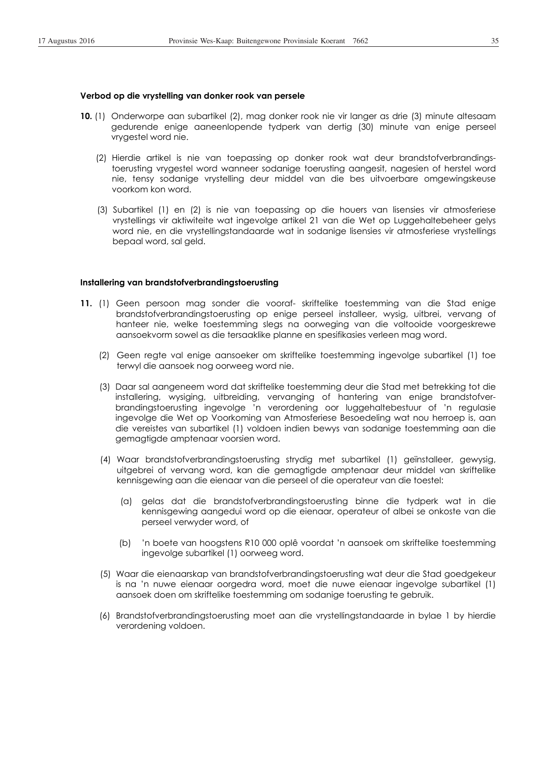- **10.** (1) Onderworpe aan subartikel (2), mag donker rook nie vir langer as drie (3) minute altesaam gedurende enige aaneenlopende tydperk van dertig (30) minute van enige perseel vrygestel word nie.
	- (2) Hierdie artikel is nie van toepassing op donker rook wat deur brandstofverbrandingstoerusting vrygestel word wanneer sodanige toerusting aangesit, nagesien of herstel word nie, tensy sodanige vrystelling deur middel van die bes uitvoerbare omgewingskeuse voorkom kon word.
	- (3) Subartikel (1) en (2) is nie van toepassing op die houers van lisensies vir atmosferiese vrystellings vir aktiwiteite wat ingevolge artikel 21 van die Wet op Luggehaltebeheer gelys word nie, en die vrystellingstandaarde wat in sodanige lisensies vir atmosferiese vrystellings bepaal word, sal geld.

#### **Installering van brandstofverbrandingstoerusting**

- **11.** (1) Geen persoon mag sonder die vooraf- skriftelike toestemming van die Stad enige brandstofverbrandingstoerusting op enige perseel installeer, wysig, uitbrei, vervang of hanteer nie, welke toestemming slegs na oorweging van die voltooide voorgeskrewe aansoekvorm sowel as die tersaaklike planne en spesifikasies verleen mag word.
	- (2) Geen regte val enige aansoeker om skriftelike toestemming ingevolge subartikel (1) toe terwyl die aansoek nog oorweeg word nie.
	- (3) Daar sal aangeneem word dat skriftelike toestemming deur die Stad met betrekking tot die installering, wysiging, uitbreiding, vervanging of hantering van enige brandstofverbrandingstoerusting ingevolge 'n verordening oor luggehaltebestuur of 'n regulasie ingevolge die Wet op Voorkoming van Atmosferiese Besoedeling wat nou herroep is, aan die vereistes van subartikel (1) voldoen indien bewys van sodanige toestemming aan die gemagtigde amptenaar voorsien word.
	- (4) Waar brandstofverbrandingstoerusting strydig met subartikel (1) geïnstalleer, gewysig, uitgebrei of vervang word, kan die gemagtigde amptenaar deur middel van skriftelike kennisgewing aan die eienaar van die perseel of die operateur van die toestel:
		- (a) gelas dat die brandstofverbrandingstoerusting binne die tydperk wat in die kennisgewing aangedui word op die eienaar, operateur of albei se onkoste van die perseel verwyder word, of
		- (b) 'n boete van hoogstens R10 000 oplê voordat 'n aansoek om skriftelike toestemming ingevolge subartikel (1) oorweeg word.
	- (5) Waar die eienaarskap van brandstofverbrandingstoerusting wat deur die Stad goedgekeur is na 'n nuwe eienaar oorgedra word, moet die nuwe eienaar ingevolge subartikel (1) aansoek doen om skriftelike toestemming om sodanige toerusting te gebruik.
	- (6) Brandstofverbrandingstoerusting moet aan die vrystellingstandaarde in bylae 1 by hierdie verordening voldoen.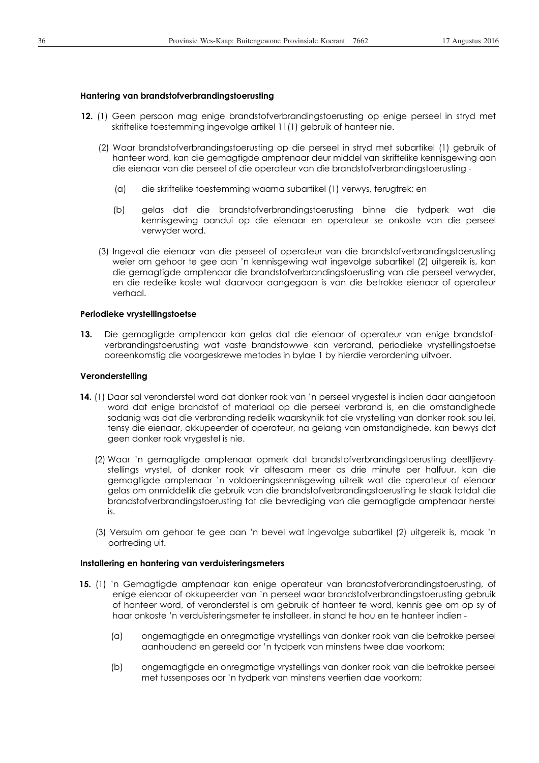#### **Hantering van brandstofverbrandingstoerusting**

- **12.** (1) Geen persoon mag enige brandstofverbrandingstoerusting op enige perseel in stryd met skriftelike toestemming ingevolge artikel 11(1) gebruik of hanteer nie.
	- (2) Waar brandstofverbrandingstoerusting op die perseel in stryd met subartikel (1) gebruik of hanteer word, kan die gemagtigde amptenaar deur middel van skriftelike kennisgewing aan die eienaar van die perseel of die operateur van die brandstofverbrandingstoerusting -
		- (a) die skriftelike toestemming waarna subartikel (1) verwys, terugtrek; en
		- (b) gelas dat die brandstofverbrandingstoerusting binne die tydperk wat die kennisgewing aandui op die eienaar en operateur se onkoste van die perseel verwyder word.
	- (3) Ingeval die eienaar van die perseel of operateur van die brandstofverbrandingstoerusting weier om gehoor te gee aan 'n kennisgewing wat ingevolge subartikel (2) uitgereik is, kan die gemagtigde amptenaar die brandstofverbrandingstoerusting van die perseel verwyder, en die redelike koste wat daarvoor aangegaan is van die betrokke eienaar of operateur verhaal.

## **Periodieke vrystellingstoetse**

**13.** Die gemagtigde amptenaar kan gelas dat die eienaar of operateur van enige brandstofverbrandingstoerusting wat vaste brandstowwe kan verbrand, periodieke vrystellingstoetse ooreenkomstig die voorgeskrewe metodes in bylae 1 by hierdie verordening uitvoer.

#### **Veronderstelling**

- **14.** (1) Daar sal veronderstel word dat donker rook van 'n perseel vrygestel is indien daar aangetoon word dat enige brandstof of materiaal op die perseel verbrand is, en die omstandighede sodanig was dat die verbranding redelik waarskynlik tot die vrystelling van donker rook sou lei, tensy die eienaar, okkupeerder of operateur, na gelang van omstandighede, kan bewys dat geen donker rook vrygestel is nie.
	- (2) Waar 'n gemagtigde amptenaar opmerk dat brandstofverbrandingstoerusting deeltjievrystellings vrystel, of donker rook vir altesaam meer as drie minute per halfuur, kan die gemagtigde amptenaar 'n voldoeningskennisgewing uitreik wat die operateur of eienaar gelas om onmiddellik die gebruik van die brandstofverbrandingstoerusting te staak totdat die brandstofverbrandingstoerusting tot die bevrediging van die gemagtigde amptenaar herstel is.
	- (3) Versuim om gehoor te gee aan 'n bevel wat ingevolge subartikel (2) uitgereik is, maak 'n oortreding uit.

#### **Installering en hantering van verduisteringsmeters**

- **15.** (1) 'n Gemagtigde amptenaar kan enige operateur van brandstofverbrandingstoerusting, of enige eienaar of okkupeerder van 'n perseel waar brandstofverbrandingstoerusting gebruik of hanteer word, of veronderstel is om gebruik of hanteer te word, kennis gee om op sy of haar onkoste 'n verduisteringsmeter te installeer, in stand te hou en te hanteer indien -
	- (a) ongemagtigde en onregmatige vrystellings van donker rook van die betrokke perseel aanhoudend en gereeld oor 'n tydperk van minstens twee dae voorkom;
	- (b) ongemagtigde en onregmatige vrystellings van donker rook van die betrokke perseel met tussenposes oor 'n tydperk van minstens veertien dae voorkom;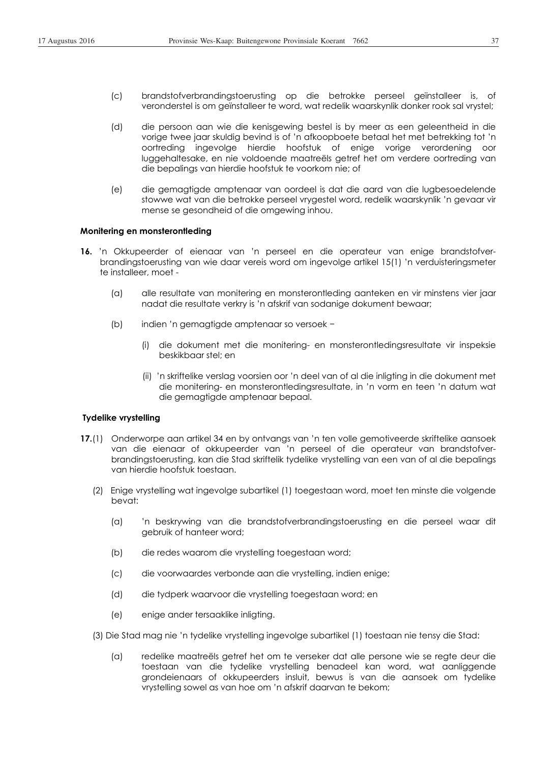- (c) brandstofverbrandingstoerusting op die betrokke perseel geïnstalleer is, of veronderstel is om geïnstalleer te word, wat redelik waarskynlik donker rook sal vrystel;
- (d) die persoon aan wie die kenisgewing bestel is by meer as een geleentheid in die vorige twee jaar skuldig bevind is of 'n afkoopboete betaal het met betrekking tot 'n oortreding ingevolge hierdie hoofstuk of enige vorige verordening oor luggehaltesake, en nie voldoende maatreëls getref het om verdere oortreding van die bepalings van hierdie hoofstuk te voorkom nie; of
- (e) die gemagtigde amptenaar van oordeel is dat die aard van die lugbesoedelende stowwe wat van die betrokke perseel vrygestel word, redelik waarskynlik 'n gevaar vir mense se gesondheid of die omgewing inhou.

### **Monitering en monsterontleding**

- **16.** 'n Okkupeerder of eienaar van 'n perseel en die operateur van enige brandstofverbrandingstoerusting van wie daar vereis word om ingevolge artikel 15(1) 'n verduisteringsmeter te installeer, moet -
	- (a) alle resultate van monitering en monsterontleding aanteken en vir minstens vier jaar nadat die resultate verkry is 'n afskrif van sodanige dokument bewaar;
	- (b) indien 'n gemagtigde amptenaar so versoek -
		- (i) die dokument met die monitering- en monsterontledingsresultate vir inspeksie beskikbaar stel; en
		- (ii) 'n skriftelike verslag voorsien oor 'n deel van of al die inligting in die dokument met die monitering- en monsterontledingsresultate, in 'n vorm en teen 'n datum wat die gemagtigde amptenaar bepaal.

### **Tydelike vrystelling**

- **17.**(1) Onderworpe aan artikel 34 en by ontvangs van 'n ten volle gemotiveerde skriftelike aansoek van die eienaar of okkupeerder van 'n perseel of die operateur van brandstofverbrandingstoerusting, kan die Stad skriftelik tydelike vrystelling van een van of al die bepalings van hierdie hoofstuk toestaan.
	- (2) Enige vrystelling wat ingevolge subartikel (1) toegestaan word, moet ten minste die volgende bevat:
		- (a) 'n beskrywing van die brandstofverbrandingstoerusting en die perseel waar dit gebruik of hanteer word;
		- (b) die redes waarom die vrystelling toegestaan word;
		- (c) die voorwaardes verbonde aan die vrystelling, indien enige;
		- (d) die tydperk waarvoor die vrystelling toegestaan word; en
		- (e) enige ander tersaaklike inligting.
	- (3) Die Stad mag nie 'n tydelike vrystelling ingevolge subartikel (1) toestaan nie tensy die Stad:
		- (a) redelike maatreëls getref het om te verseker dat alle persone wie se regte deur die toestaan van die tydelike vrystelling benadeel kan word, wat aanliggende grondeienaars of okkupeerders insluit, bewus is van die aansoek om tydelike vrystelling sowel as van hoe om 'n afskrif daarvan te bekom;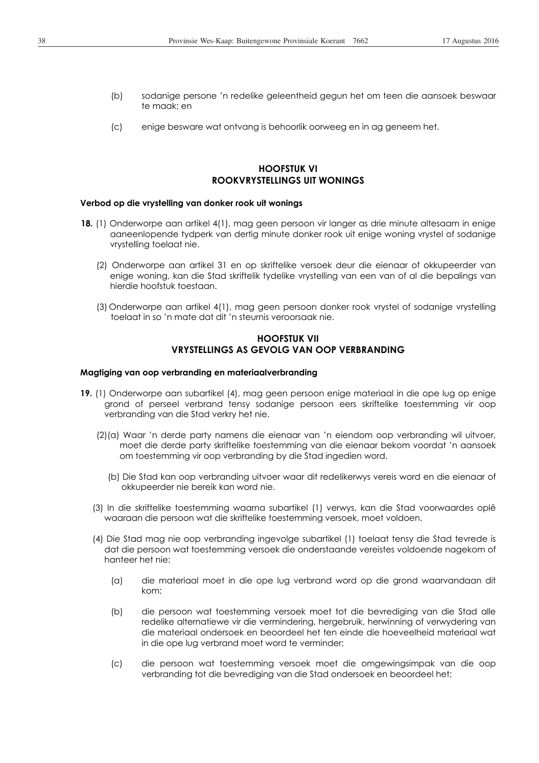- (b) sodanige persone 'n redelike geleentheid gegun het om teen die aansoek beswaar te maak; en
- (c) enige besware wat ontvang is behoorlik oorweeg en in ag geneem het.

# **HOOFSTUK VI ROOKVRYSTELLINGS UIT WONINGS**

### **Verbod op die vrystelling van donker rook uit wonings**

- **18.** (1) Onderworpe aan artikel 4(1), mag geen persoon vir langer as drie minute altesaam in enige aaneenlopende tydperk van dertig minute donker rook uit enige woning vrystel of sodanige vrystelling toelaat nie.
	- (2) Onderworpe aan artikel 31 en op skriftelike versoek deur die eienaar of okkupeerder van enige woning, kan die Stad skriftelik tydelike vrystelling van een van of al die bepalings van hierdie hoofstuk toestaan.
	- (3) Onderworpe aan artikel 4(1), mag geen persoon donker rook vrystel of sodanige vrystelling toelaat in so 'n mate dat dit 'n steurnis veroorsaak nie.

## **HOOFSTUK VII VRYSTELLINGS AS GEVOLG VAN OOP VERBRANDING**

#### **Magtiging van oop verbranding en materiaalverbranding**

- **19.** (1) Onderworpe aan subartikel (4), mag geen persoon enige materiaal in die ope lug op enige grond of perseel verbrand tensy sodanige persoon eers skriftelike toestemming vir oop verbranding van die Stad verkry het nie.
	- (2)(a) Waar 'n derde party namens die eienaar van 'n eiendom oop verbranding wil uitvoer, moet die derde party skriftelike toestemming van die eienaar bekom voordat 'n aansoek om toestemming vir oop verbranding by die Stad ingedien word.
		- (b) Die Stad kan oop verbranding uitvoer waar dit redelikerwys vereis word en die eienaar of okkupeerder nie bereik kan word nie.
	- (3) In die skriftelike toestemming waarna subartikel (1) verwys, kan die Stad voorwaardes oplê waaraan die persoon wat die skriftelike toestemming versoek, moet voldoen.
	- (4) Die Stad mag nie oop verbranding ingevolge subartikel (1) toelaat tensy die Stad tevrede is dat die persoon wat toestemming versoek die onderstaande vereistes voldoende nagekom of hanteer het nie:
		- (a) die materiaal moet in die ope lug verbrand word op die grond waarvandaan dit kom;
		- (b) die persoon wat toestemming versoek moet tot die bevrediging van die Stad alle redelike alternatiewe vir die vermindering, hergebruik, herwinning of verwydering van die materiaal ondersoek en beoordeel het ten einde die hoeveelheid materiaal wat in die ope lug verbrand moet word te verminder;
		- (c) die persoon wat toestemming versoek moet die omgewingsimpak van die oop verbranding tot die bevrediging van die Stad ondersoek en beoordeel het;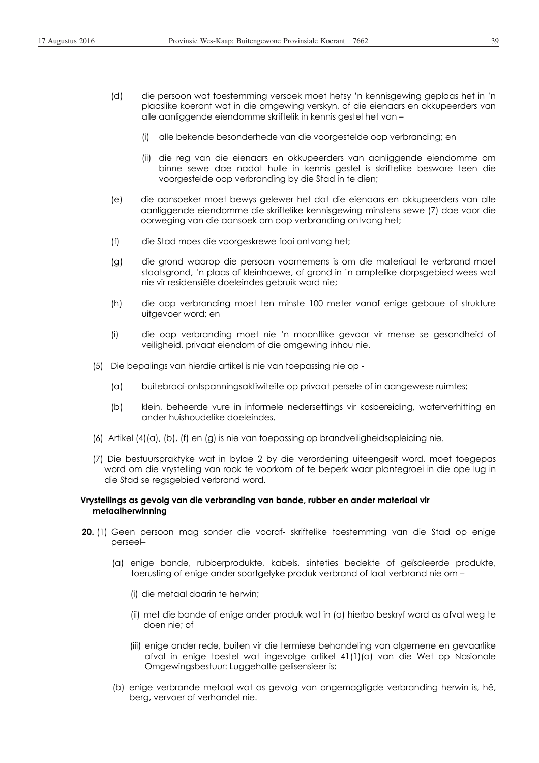- (d) die persoon wat toestemming versoek moet hetsy 'n kennisgewing geplaas het in 'n plaaslike koerant wat in die omgewing verskyn, of die eienaars en okkupeerders van alle aanliggende eiendomme skriftelik in kennis gestel het van –
	- (i) alle bekende besonderhede van die voorgestelde oop verbranding; en
	- (ii) die reg van die eienaars en okkupeerders van aanliggende eiendomme om binne sewe dae nadat hulle in kennis gestel is skriftelike besware teen die voorgestelde oop verbranding by die Stad in te dien;
- (e) die aansoeker moet bewys gelewer het dat die eienaars en okkupeerders van alle aanliggende eiendomme die skriftelike kennisgewing minstens sewe (7) dae voor die oorweging van die aansoek om oop verbranding ontvang het;
- (f) die Stad moes die voorgeskrewe fooi ontvang het;
- (g) die grond waarop die persoon voornemens is om die materiaal te verbrand moet staatsgrond, 'n plaas of kleinhoewe, of grond in 'n amptelike dorpsgebied wees wat nie vir residensiële doeleindes gebruik word nie;
- (h) die oop verbranding moet ten minste 100 meter vanaf enige geboue of strukture uitgevoer word; en
- (i) die oop verbranding moet nie 'n moontlike gevaar vir mense se gesondheid of veiligheid, privaat eiendom of die omgewing inhou nie.
- (5) Die bepalings van hierdie artikel is nie van toepassing nie op
	- (a) buitebraai-ontspanningsaktiwiteite op privaat persele of in aangewese ruimtes;
	- (b) klein, beheerde vure in informele nedersettings vir kosbereiding, waterverhitting en ander huishoudelike doeleindes.
- (6) Artikel (4)(a), (b), (f) en (g) is nie van toepassing op brandveiligheidsopleiding nie.
- (7) Die bestuurspraktyke wat in bylae 2 by die verordening uiteengesit word, moet toegepas word om die vrystelling van rook te voorkom of te beperk waar plantegroei in die ope lug in die Stad se regsgebied verbrand word.

## **Vrystellings as gevolg van die verbranding van bande, rubber en ander materiaal vir metaalherwinning**

- **20.** (1) Geen persoon mag sonder die vooraf- skriftelike toestemming van die Stad op enige perseel–
	- (a) enige bande, rubberprodukte, kabels, sinteties bedekte of geïsoleerde produkte, toerusting of enige ander soortgelyke produk verbrand of laat verbrand nie om –
		- (i) die metaal daarin te herwin;
		- (ii) met die bande of enige ander produk wat in (a) hierbo beskryf word as afval weg te doen nie; of
		- (iii) enige ander rede, buiten vir die termiese behandeling van algemene en gevaarlike afval in enige toestel wat ingevolge artikel 41(1)(a) van die Wet op Nasionale Omgewingsbestuur: Luggehalte gelisensieer is;
	- (b) enige verbrande metaal wat as gevolg van ongemagtigde verbranding herwin is, hê, berg, vervoer of verhandel nie.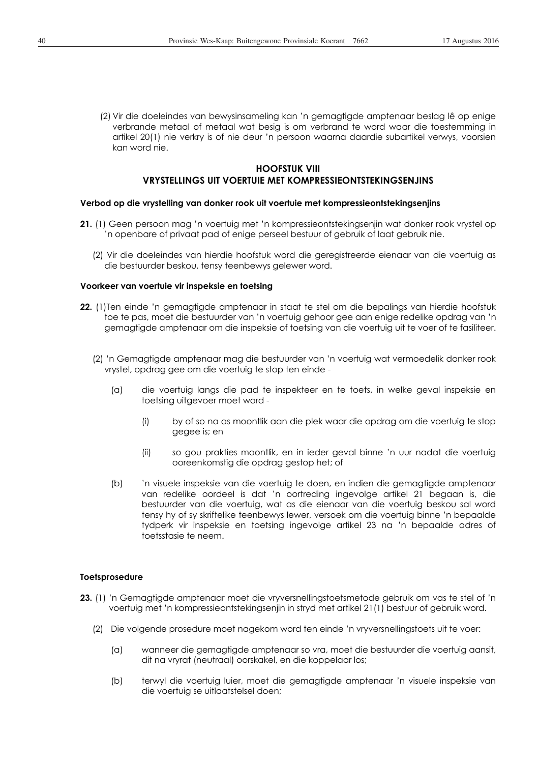(2) Vir die doeleindes van bewysinsameling kan 'n gemagtigde amptenaar beslag lê op enige verbrande metaal of metaal wat besig is om verbrand te word waar die toestemming in artikel 20(1) nie verkry is of nie deur 'n persoon waarna daardie subartikel verwys, voorsien kan word nie.

# **HOOFSTUK VIII**

# **VRYSTELLINGS UIT VOERTUIE MET KOMPRESSIEONTSTEKINGSENJINS**

## **Verbod op die vrystelling van donker rook uit voertuie met kompressieontstekingsenjins**

- **21.** (1) Geen persoon mag 'n voertuig met 'n kompressieontstekingsenjin wat donker rook vrystel op 'n openbare of privaat pad of enige perseel bestuur of gebruik of laat gebruik nie.
	- (2) Vir die doeleindes van hierdie hoofstuk word die geregistreerde eienaar van die voertuig as die bestuurder beskou, tensy teenbewys gelewer word.

### **Voorkeer van voertuie vir inspeksie en toetsing**

- **22.** (1)Ten einde 'n gemagtigde amptenaar in staat te stel om die bepalings van hierdie hoofstuk toe te pas, moet die bestuurder van 'n voertuig gehoor gee aan enige redelike opdrag van 'n gemagtigde amptenaar om die inspeksie of toetsing van die voertuig uit te voer of te fasiliteer.
	- (2) 'n Gemagtigde amptenaar mag die bestuurder van 'n voertuig wat vermoedelik donker rook vrystel, opdrag gee om die voertuig te stop ten einde -
		- (a) die voertuig langs die pad te inspekteer en te toets, in welke geval inspeksie en toetsing uitgevoer moet word -
			- (i) by of so na as moontlik aan die plek waar die opdrag om die voertuig te stop gegee is; en
			- (ii) so gou prakties moontlik, en in ieder geval binne 'n uur nadat die voertuig ooreenkomstig die opdrag gestop het; of
		- (b) 'n visuele inspeksie van die voertuig te doen, en indien die gemagtigde amptenaar van redelike oordeel is dat 'n oortreding ingevolge artikel 21 begaan is, die bestuurder van die voertuig, wat as die eienaar van die voertuig beskou sal word tensy hy of sy skriftelike teenbewys lewer, versoek om die voertuig binne 'n bepaalde tydperk vir inspeksie en toetsing ingevolge artikel 23 na 'n bepaalde adres of toetsstasie te neem.

### **Toetsprosedure**

- **23.** (1) 'n Gemagtigde amptenaar moet die vryversnellingstoetsmetode gebruik om vas te stel of 'n voertuig met 'n kompressieontstekingsenjin in stryd met artikel 21(1) bestuur of gebruik word.
	- (2) Die volgende prosedure moet nagekom word ten einde 'n vryversnellingstoets uit te voer:
		- (a) wanneer die gemagtigde amptenaar so vra, moet die bestuurder die voertuig aansit, dit na vryrat (neutraal) oorskakel, en die koppelaar los;
		- (b) terwyl die voertuig luier, moet die gemagtigde amptenaar 'n visuele inspeksie van die voertuig se uitlaatstelsel doen;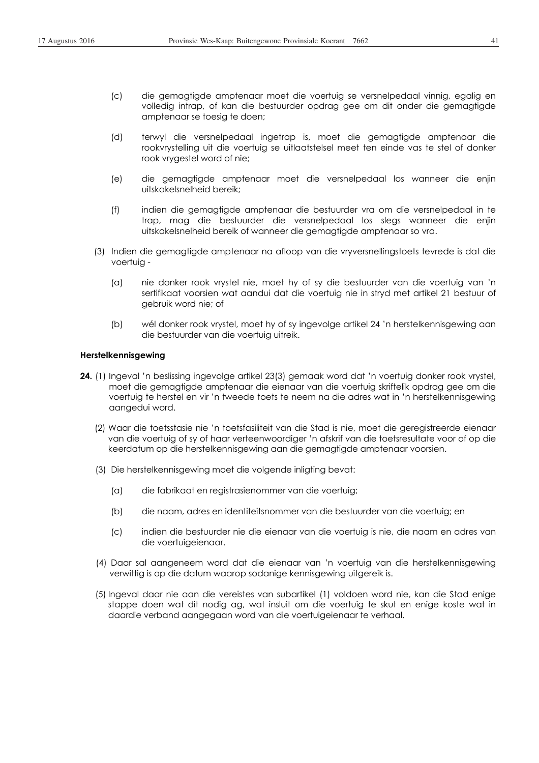- (c) die gemagtigde amptenaar moet die voertuig se versnelpedaal vinnig, egalig en volledig intrap, of kan die bestuurder opdrag gee om dit onder die gemagtigde amptenaar se toesig te doen;
- (d) terwyl die versnelpedaal ingetrap is, moet die gemagtigde amptenaar die rookvrystelling uit die voertuig se uitlaatstelsel meet ten einde vas te stel of donker rook vrygestel word of nie;
- (e) die gemagtigde amptenaar moet die versnelpedaal los wanneer die enjin uitskakelsnelheid bereik;
- (f) indien die gemagtigde amptenaar die bestuurder vra om die versnelpedaal in te trap, mag die bestuurder die versnelpedaal los slegs wanneer die enjin uitskakelsnelheid bereik of wanneer die gemagtigde amptenaar so vra.
- (3) Indien die gemagtigde amptenaar na afloop van die vryversnellingstoets tevrede is dat die voertuig -
	- (a) nie donker rook vrystel nie, moet hy of sy die bestuurder van die voertuig van 'n sertifikaat voorsien wat aandui dat die voertuig nie in stryd met artikel 21 bestuur of gebruik word nie; of
	- (b) wél donker rook vrystel, moet hy of sy ingevolge artikel 24 'n herstelkennisgewing aan die bestuurder van die voertuig uitreik.

#### **Herstelkennisgewing**

- **24.** (1) Ingeval 'n beslissing ingevolge artikel 23(3) gemaak word dat 'n voertuig donker rook vrystel, moet die gemagtigde amptenaar die eienaar van die voertuig skriftelik opdrag gee om die voertuig te herstel en vir 'n tweede toets te neem na die adres wat in 'n herstelkennisgewing aangedui word.
	- (2) Waar die toetsstasie nie 'n toetsfasiliteit van die Stad is nie, moet die geregistreerde eienaar van die voertuig of sy of haar verteenwoordiger 'n afskrif van die toetsresultate voor of op die keerdatum op die herstelkennisgewing aan die gemagtigde amptenaar voorsien.
	- (3) Die herstelkennisgewing moet die volgende inligting bevat:
		- (a) die fabrikaat en registrasienommer van die voertuig;
		- (b) die naam, adres en identiteitsnommer van die bestuurder van die voertuig; en
		- (c) indien die bestuurder nie die eienaar van die voertuig is nie, die naam en adres van die voertuigeienaar.
	- (4) Daar sal aangeneem word dat die eienaar van 'n voertuig van die herstelkennisgewing verwittig is op die datum waarop sodanige kennisgewing uitgereik is.
	- (5) Ingeval daar nie aan die vereistes van subartikel (1) voldoen word nie, kan die Stad enige stappe doen wat dit nodig ag, wat insluit om die voertuig te skut en enige koste wat in daardie verband aangegaan word van die voertuigeienaar te verhaal.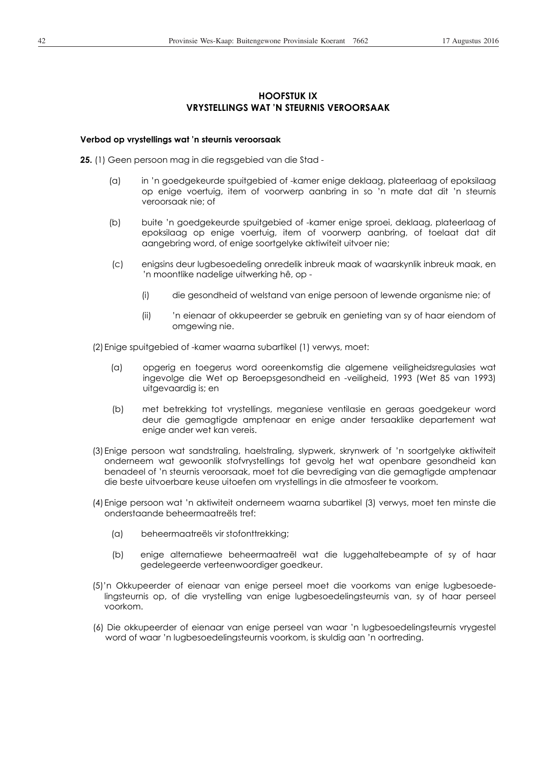# **HOOFSTUK IX VRYSTELLINGS WAT 'N STEURNIS VEROORSAAK**

### **Verbod op vrystellings wat 'n steurnis veroorsaak**

**25.** (1) Geen persoon mag in die regsgebied van die Stad -

- (a) in 'n goedgekeurde spuitgebied of -kamer enige deklaag, plateerlaag of epoksilaag op enige voertuig, item of voorwerp aanbring in so 'n mate dat dit 'n steurnis veroorsaak nie; of
- (b) buite 'n goedgekeurde spuitgebied of -kamer enige sproei, deklaag, plateerlaag of epoksilaag op enige voertuig, item of voorwerp aanbring, of toelaat dat dit aangebring word, of enige soortgelyke aktiwiteit uitvoer nie;
- (c) enigsins deur lugbesoedeling onredelik inbreuk maak of waarskynlik inbreuk maak, en 'n moontlike nadelige uitwerking hê, op -
	- (i) die gesondheid of welstand van enige persoon of lewende organisme nie; of
	- (ii) 'n eienaar of okkupeerder se gebruik en genieting van sy of haar eiendom of omgewing nie.

(2) Enige spuitgebied of -kamer waarna subartikel (1) verwys, moet:

- (a) opgerig en toegerus word ooreenkomstig die algemene veiligheidsregulasies wat ingevolge die Wet op Beroepsgesondheid en -veiligheid, 1993 (Wet 85 van 1993) uitgevaardig is; en
- (b) met betrekking tot vrystellings, meganiese ventilasie en geraas goedgekeur word deur die gemagtigde amptenaar en enige ander tersaaklike departement wat enige ander wet kan vereis.
- (3) Enige persoon wat sandstraling, haelstraling, slypwerk, skrynwerk of 'n soortgelyke aktiwiteit onderneem wat gewoonlik stofvrystellings tot gevolg het wat openbare gesondheid kan benadeel of 'n steurnis veroorsaak, moet tot die bevrediging van die gemagtigde amptenaar die beste uitvoerbare keuse uitoefen om vrystellings in die atmosfeer te voorkom.
- (4) Enige persoon wat 'n aktiwiteit onderneem waarna subartikel (3) verwys, moet ten minste die onderstaande beheermaatreëls tref:
	- (a) beheermaatreëls vir stofonttrekking;
	- (b) enige alternatiewe beheermaatreël wat die luggehaltebeampte of sy of haar gedelegeerde verteenwoordiger goedkeur.
- (5)'n Okkupeerder of eienaar van enige perseel moet die voorkoms van enige lugbesoedelingsteurnis op, of die vrystelling van enige lugbesoedelingsteurnis van, sy of haar perseel voorkom.
- (6) Die okkupeerder of eienaar van enige perseel van waar 'n lugbesoedelingsteurnis vrygestel word of waar 'n lugbesoedelingsteurnis voorkom, is skuldig aan 'n oortreding.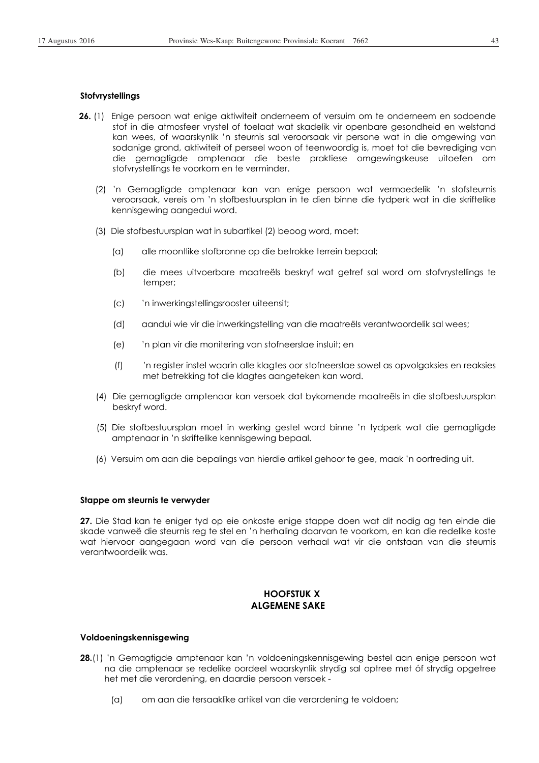### **Stofvrystellings**

- **26.** (1) Enige persoon wat enige aktiwiteit onderneem of versuim om te onderneem en sodoende stof in die atmosfeer vrystel of toelaat wat skadelik vir openbare gesondheid en welstand kan wees, of waarskynlik 'n steurnis sal veroorsaak vir persone wat in die omgewing van sodanige grond, aktiwiteit of perseel woon of teenwoordig is, moet tot die bevrediging van die gemagtigde amptenaar die beste praktiese omgewingskeuse uitoefen om stofvrystellings te voorkom en te verminder.
	- (2) 'n Gemagtigde amptenaar kan van enige persoon wat vermoedelik 'n stofsteurnis veroorsaak, vereis om 'n stofbestuursplan in te dien binne die tydperk wat in die skriftelike kennisgewing aangedui word.
	- (3) Die stofbestuursplan wat in subartikel (2) beoog word, moet:
		- (a) alle moontlike stofbronne op die betrokke terrein bepaal;
		- (b) die mees uitvoerbare maatreëls beskryf wat getref sal word om stofvrystellings te temper;
		- (c) 'n inwerkingstellingsrooster uiteensit;
		- (d) aandui wie vir die inwerkingstelling van die maatreëls verantwoordelik sal wees;
		- (e) 'n plan vir die monitering van stofneerslae insluit; en
		- (f) 'n register instel waarin alle klagtes oor stofneerslae sowel as opvolgaksies en reaksies met betrekking tot die klagtes aangeteken kan word.
	- (4) Die gemagtigde amptenaar kan versoek dat bykomende maatreëls in die stofbestuursplan beskryf word.
	- (5) Die stofbestuursplan moet in werking gestel word binne 'n tydperk wat die gemagtigde amptenaar in 'n skriftelike kennisgewing bepaal.
	- (6) Versuim om aan die bepalings van hierdie artikel gehoor te gee, maak 'n oortreding uit.

#### **Stappe om steurnis te verwyder**

**27.** Die Stad kan te eniger tyd op eie onkoste enige stappe doen wat dit nodig ag ten einde die skade vanweë die steurnis reg te stel en 'n herhaling daarvan te voorkom, en kan die redelike koste wat hiervoor aangegaan word van die persoon verhaal wat vir die ontstaan van die steurnis verantwoordelik was.

## **HOOFSTUK X ALGEMENE SAKE**

#### **Voldoeningskennisgewing**

- **28.**(1) 'n Gemagtigde amptenaar kan 'n voldoeningskennisgewing bestel aan enige persoon wat na die amptenaar se redelike oordeel waarskynlik strydig sal optree met óf strydig opgetree het met die verordening, en daardie persoon versoek -
	- (a) om aan die tersaaklike artikel van die verordening te voldoen;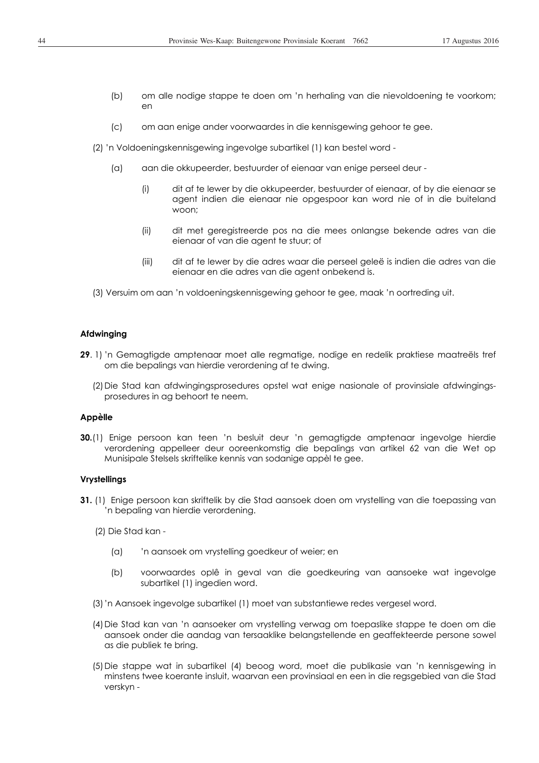- (b) om alle nodige stappe te doen om 'n herhaling van die nievoldoening te voorkom; en
- (c) om aan enige ander voorwaardes in die kennisgewing gehoor te gee.
- (2) 'n Voldoeningskennisgewing ingevolge subartikel (1) kan bestel word
	- (a) aan die okkupeerder, bestuurder of eienaar van enige perseel deur
		- (i) dit af te lewer by die okkupeerder, bestuurder of eienaar, of by die eienaar se agent indien die eienaar nie opgespoor kan word nie of in die buiteland woon;
		- (ii) dit met geregistreerde pos na die mees onlangse bekende adres van die eienaar of van die agent te stuur; of
		- (iii) dit af te lewer by die adres waar die perseel geleë is indien die adres van die eienaar en die adres van die agent onbekend is.
- (3) Versuim om aan 'n voldoeningskennisgewing gehoor te gee, maak 'n oortreding uit.

### **Afdwinging**

- **29**. 1) 'n Gemagtigde amptenaar moet alle regmatige, nodige en redelik praktiese maatreëls tref om die bepalings van hierdie verordening af te dwing.
	- (2) Die Stad kan afdwingingsprosedures opstel wat enige nasionale of provinsiale afdwingingsprosedures in ag behoort te neem.

### **Appèlle**

**30.**(1) Enige persoon kan teen 'n besluit deur 'n gemagtigde amptenaar ingevolge hierdie verordening appelleer deur ooreenkomstig die bepalings van artikel 62 van die Wet op Munisipale Stelsels skriftelike kennis van sodanige appèl te gee.

### **Vrystellings**

- **31.** (1) Enige persoon kan skriftelik by die Stad aansoek doen om vrystelling van die toepassing van 'n bepaling van hierdie verordening.
	- (2) Die Stad kan
		- (a) 'n aansoek om vrystelling goedkeur of weier; en
		- (b) voorwaardes oplê in geval van die goedkeuring van aansoeke wat ingevolge subartikel (1) ingedien word.
	- (3) 'n Aansoek ingevolge subartikel (1) moet van substantiewe redes vergesel word.
	- (4) Die Stad kan van 'n aansoeker om vrystelling verwag om toepaslike stappe te doen om die aansoek onder die aandag van tersaaklike belangstellende en geaffekteerde persone sowel as die publiek te bring.
	- (5) Die stappe wat in subartikel (4) beoog word, moet die publikasie van 'n kennisgewing in minstens twee koerante insluit, waarvan een provinsiaal en een in die regsgebied van die Stad verskyn -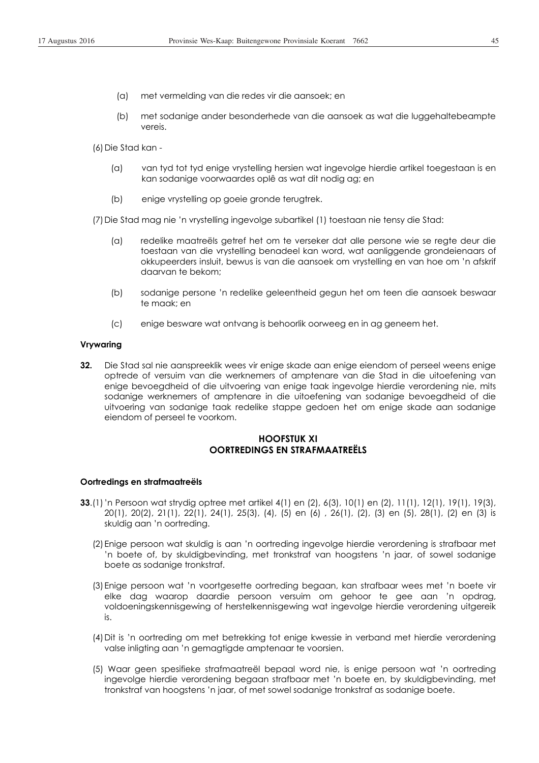(b) met sodanige ander besonderhede van die aansoek as wat die luggehaltebeampte vereis.

(6) Die Stad kan -

- (a) van tyd tot tyd enige vrystelling hersien wat ingevolge hierdie artikel toegestaan is en kan sodanige voorwaardes oplê as wat dit nodig ag; en
- (b) enige vrystelling op goeie gronde terugtrek.

(7) Die Stad mag nie 'n vrystelling ingevolge subartikel (1) toestaan nie tensy die Stad:

- (a) redelike maatreëls getref het om te verseker dat alle persone wie se regte deur die toestaan van die vrystelling benadeel kan word, wat aanliggende grondeienaars of okkupeerders insluit, bewus is van die aansoek om vrystelling en van hoe om 'n afskrif daarvan te bekom;
- (b) sodanige persone 'n redelike geleentheid gegun het om teen die aansoek beswaar te maak; en
- (c) enige besware wat ontvang is behoorlik oorweeg en in ag geneem het.

### **Vrywaring**

**32.** Die Stad sal nie aanspreeklik wees vir enige skade aan enige eiendom of perseel weens enige optrede of versuim van die werknemers of amptenare van die Stad in die uitoefening van enige bevoegdheid of die uitvoering van enige taak ingevolge hierdie verordening nie, mits sodanige werknemers of amptenare in die uitoefening van sodanige bevoegdheid of die uitvoering van sodanige taak redelike stappe gedoen het om enige skade aan sodanige eiendom of perseel te voorkom.

# **HOOFSTUK XI OORTREDINGS EN STRAFMAATREËLS**

### **Oortredings en strafmaatreëls**

- **33**.(1) 'n Persoon wat strydig optree met artikel 4(1) en (2), 6(3), 10(1) en (2), 11(1), 12(1), 19(1), 19(3), 20(1), 20(2), 21(1), 22(1), 24(1), 25(3), (4), (5) en (6) , 26(1), (2), (3) en (5), 28(1), (2) en (3) is skuldig aan 'n oortreding.
	- (2) Enige persoon wat skuldig is aan 'n oortreding ingevolge hierdie verordening is strafbaar met 'n boete of, by skuldigbevinding, met tronkstraf van hoogstens 'n jaar, of sowel sodanige boete as sodanige tronkstraf.
	- (3) Enige persoon wat 'n voortgesette oortreding begaan, kan strafbaar wees met 'n boete vir elke dag waarop daardie persoon versuim om gehoor te gee aan 'n opdrag, voldoeningskennisgewing of herstelkennisgewing wat ingevolge hierdie verordening uitgereik is.
	- (4) Dit is 'n oortreding om met betrekking tot enige kwessie in verband met hierdie verordening valse inligting aan 'n gemagtigde amptenaar te voorsien.
	- (5) Waar geen spesifieke strafmaatreël bepaal word nie, is enige persoon wat 'n oortreding ingevolge hierdie verordening begaan strafbaar met 'n boete en, by skuldigbevinding, met tronkstraf van hoogstens 'n jaar, of met sowel sodanige tronkstraf as sodanige boete.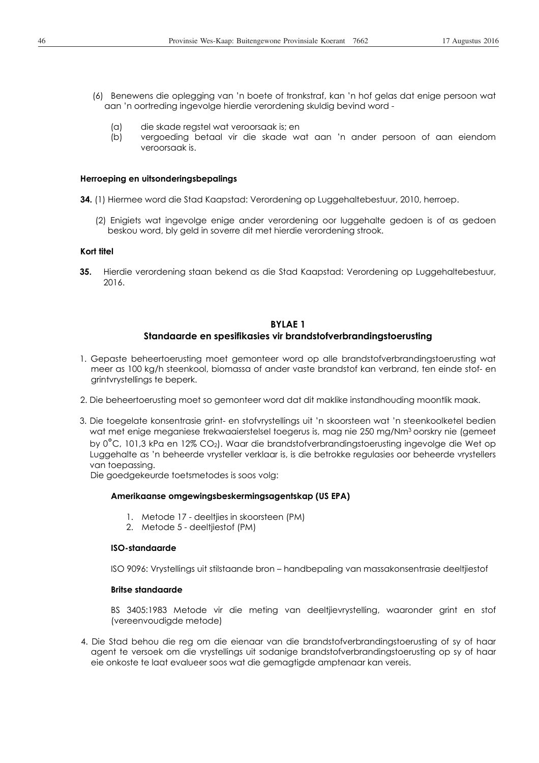- (6) Benewens die oplegging van 'n boete of tronkstraf, kan 'n hof gelas dat enige persoon wat aan 'n oortreding ingevolge hierdie verordening skuldig bevind word -
	- (a) die skade regstel wat veroorsaak is; en
	- (b) vergoeding betaal vir die skade wat aan 'n ander persoon of aan eiendom veroorsaak is.

### **Herroeping en uitsonderingsbepalings**

- **34.** (1) Hiermee word die Stad Kaapstad: Verordening op Luggehaltebestuur, 2010, herroep.
	- (2) Enigiets wat ingevolge enige ander verordening oor luggehalte gedoen is of as gedoen beskou word, bly geld in soverre dit met hierdie verordening strook.

### **Kort titel**

**35.** Hierdie verordening staan bekend as die Stad Kaapstad: Verordening op Luggehaltebestuur, 2016.

## **BYLAE 1 Standaarde en spesifikasies vir brandstofverbrandingstoerusting**

- 1. Gepaste beheertoerusting moet gemonteer word op alle brandstofverbrandingstoerusting wat meer as 100 kg/h steenkool, biomassa of ander vaste brandstof kan verbrand, ten einde stof- en grintvrystellings te beperk.
- 2. Die beheertoerusting moet so gemonteer word dat dit maklike instandhouding moontlik maak.
- 3. Die toegelate konsentrasie grint- en stofvrystellings uit 'n skoorsteen wat 'n steenkoolketel bedien wat met enige meganiese trekwaaierstelsel toegerus is, mag nie 250 mg/Nm3 oorskry nie (gemeet by 0°C, 101,3 kPa en 12% CO2). Waar die brandstofverbrandingstoerusting ingevolge die Wet op Luggehalte as 'n beheerde vrysteller verklaar is, is die betrokke regulasies oor beheerde vrystellers van toepassing.

Die goedgekeurde toetsmetodes is soos volg:

## **Amerikaanse omgewingsbeskermingsagentskap (US EPA)**

- 1. Metode 17 deeltjies in skoorsteen (PM)
- 2. Metode 5 deeltjiestof (PM)

## **ISO-standaarde**

ISO 9096: Vrystellings uit stilstaande bron – handbepaling van massakonsentrasie deeltjiestof

### **Britse standaarde**

BS 3405:1983 Metode vir die meting van deeltjievrystelling, waaronder grint en stof (vereenvoudigde metode)

4. Die Stad behou die reg om die eienaar van die brandstofverbrandingstoerusting of sy of haar agent te versoek om die vrystellings uit sodanige brandstofverbrandingstoerusting op sy of haar eie onkoste te laat evalueer soos wat die gemagtigde amptenaar kan vereis.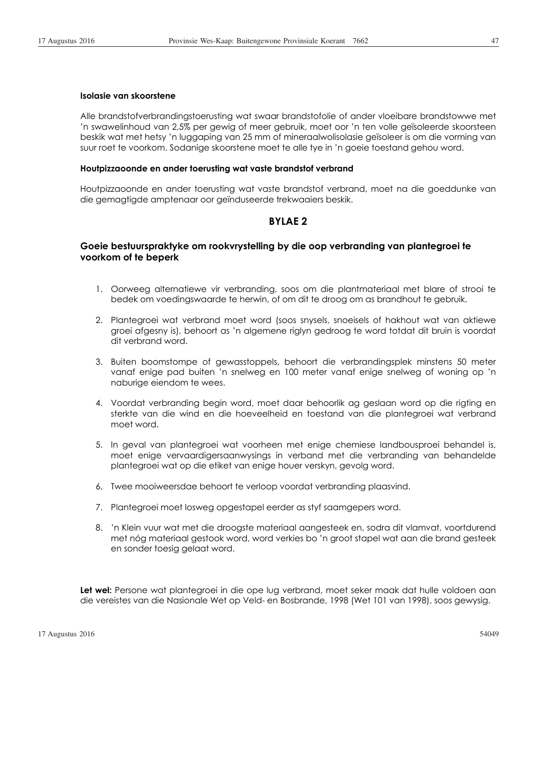### **Isolasie van skoorstene**

Alle brandstofverbrandingstoerusting wat swaar brandstofolie of ander vloeibare brandstowwe met 'n swawelinhoud van 2,5% per gewig of meer gebruik, moet oor 'n ten volle geïsoleerde skoorsteen beskik wat met hetsy 'n luggaping van 25 mm of mineraalwolisolasie geïsoleer is om die vorming van suur roet te voorkom. Sodanige skoorstene moet te alle tye in 'n goeie toestand gehou word.

#### **Houtpizzaoonde en ander toerusting wat vaste brandstof verbrand**

Houtpizzaoonde en ander toerusting wat vaste brandstof verbrand, moet na die goeddunke van die gemagtigde amptenaar oor geïnduseerde trekwaaiers beskik.

## **BYLAE 2**

# **Goeie bestuurspraktyke om rookvrystelling by die oop verbranding van plantegroei te voorkom of te beperk**

- 1. Oorweeg alternatiewe vir verbranding, soos om die plantmateriaal met blare of strooi te bedek om voedingswaarde te herwin, of om dit te droog om as brandhout te gebruik.
- 2. Plantegroei wat verbrand moet word (soos snysels, snoeisels of hakhout wat van aktiewe groei afgesny is), behoort as 'n algemene riglyn gedroog te word totdat dit bruin is voordat dit verbrand word.
- 3. Buiten boomstompe of gewasstoppels, behoort die verbrandingsplek minstens 50 meter vanaf enige pad buiten 'n snelweg en 100 meter vanaf enige snelweg of woning op 'n naburige eiendom te wees.
- 4. Voordat verbranding begin word, moet daar behoorlik ag geslaan word op die rigting en sterkte van die wind en die hoeveelheid en toestand van die plantegroei wat verbrand moet word.
- 5. In geval van plantegroei wat voorheen met enige chemiese landbousproei behandel is, moet enige vervaardigersaanwysings in verband met die verbranding van behandelde plantegroei wat op die etiket van enige houer verskyn, gevolg word.
- 6. Twee mooiweersdae behoort te verloop voordat verbranding plaasvind.
- 7. Plantegroei moet losweg opgestapel eerder as styf saamgepers word.
- 8. 'n Klein vuur wat met die droogste materiaal aangesteek en, sodra dit vlamvat, voortdurend met nóg materiaal gestook word, word verkies bo 'n groot stapel wat aan die brand gesteek en sonder toesig gelaat word.

**Let wel:** Persone wat plantegroei in die ope lug verbrand, moet seker maak dat hulle voldoen aan die vereistes van die Nasionale Wet op Veld- en Bosbrande, 1998 (Wet 101 van 1998), soos gewysig.

17 Augustus 2016 54049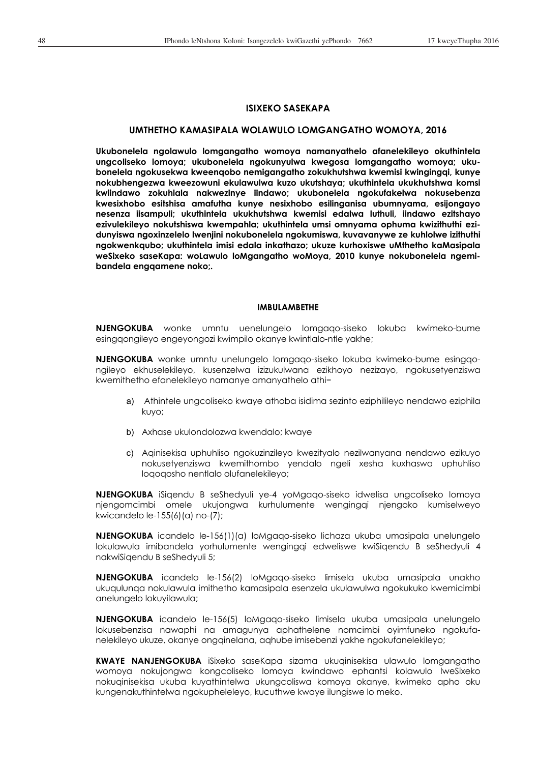# **ISIXEKO SASEKAPA**

#### **UMTHETHO KAMASIPALA WOLAWULO LOMGANGATHO WOMOYA, 2016**

**Ukubonelela ngolawulo lomgangatho womoya namanyathelo afanelekileyo okuthintela ungcoliseko lomoya; ukubonelela ngokunyulwa kwegosa lomgangatho womoya; ukubonelela ngokusekwa kweenqobo nemigangatho zokukhutshwa kwemisi kwingingqi, kunye nokubhengezwa kweezowuni ekulawulwa kuzo ukutshaya; ukuthintela ukukhutshwa komsi kwiindawo zokuhlala nakwezinye iindawo; ukubonelela ngokufakelwa nokusebenza kwesixhobo esitshisa amafutha kunye nesixhobo esilinganisa ubumnyama, esijongayo nesenza iisampuli; ukuthintela ukukhutshwa kwemisi edalwa luthuli, iindawo ezitshayo ezivulekileyo nokutshiswa kwempahla; ukuthintela umsi omnyama ophuma kwizithuthi ezidunyiswa ngoxinzelelo lwenjini nokubonelela ngokumiswa, kuvavanywe ze kuhlolwe izithuthi ngokwenkqubo; ukuthintela imisi edala inkathazo; ukuze kurhoxiswe uMthetho kaMasipala weSixeko saseKapa: woLawulo loMgangatho woMoya, 2010 kunye nokubonelela ngemibandela engqamene noko;.** 

#### **IMBULAMBETHE**

**NJENGOKUBA** wonke umntu uenelungelo lomgaqo-siseko lokuba kwimeko-bume esingqongileyo engeyongozi kwimpilo okanye kwintlalo-ntle yakhe;

**NJENGOKUBA** wonke umntu unelungelo lomgaqo-siseko lokuba kwimeko-bume esingqongileyo ekhuselekileyo, kusenzelwa izizukulwana ezikhoyo nezizayo, ngokusetyenziswa kwemithetho efanelekileyo namanye amanyathelo athií

- a) Athintele ungcoliseko kwaye athoba isidima sezinto eziphilileyo nendawo eziphila kuyo;
- b) Axhase ukulondolozwa kwendalo; kwaye
- c) Aqinisekisa uphuhliso ngokuzinzileyo kwezityalo nezilwanyana nendawo ezikuyo nokusetyenziswa kwemithombo yendalo ngeli xesha kuxhaswa uphuhliso loqoqosho nentlalo olufanelekileyo;

**NJENGOKUBA** iSiqendu B seShedyuli ye-4 yoMgaqo-siseko idwelisa ungcoliseko lomoya njengomcimbi omele ukujongwa kurhulumente wengingqi njengoko kumiselweyo kwicandelo le-155(6)(a) no-(7);

**NJENGOKUBA** icandelo le-156(1)(a) loMgaqo-siseko lichaza ukuba umasipala unelungelo lokulawula imibandela yorhulumente wengingqi edweliswe kwiSiqendu B seShedyuli 4 nakwiSiqendu B seShedyuli 5;

**NJENGOKUBA** icandelo le-156(2) loMgaqo-siseko limisela ukuba umasipala unakho ukuqulunqa nokulawula imithetho kamasipala esenzela ukulawulwa ngokukuko kwemicimbi anelungelo lokuyilawula;

**NJENGOKUBA** icandelo le-156(5) loMgaqo-siseko limisela ukuba umasipala unelungelo lokusebenzisa nawaphi na amagunya aphathelene nomcimbi oyimfuneko ngokufanelekileyo ukuze, okanye ongqinelana, aqhube imisebenzi yakhe ngokufanelekileyo;

**KWAYE NANJENGOKUBA** iSixeko saseKapa sizama ukuqinisekisa ulawulo lomgangatho womoya nokujongwa kongcoliseko lomoya kwindawo ephantsi kolawulo lweSixeko nokuqinisekisa ukuba kuyathintelwa ukungcoliswa komoya okanye, kwimeko apho oku kungenakuthintelwa ngokupheleleyo, kucuthwe kwaye ilungiswe lo meko.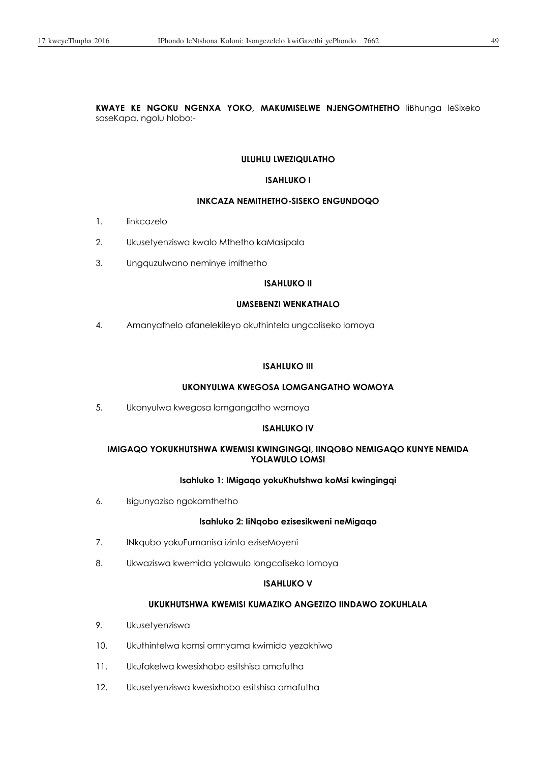**KWAYE KE NGOKU NGENXA YOKO, MAKUMISELWE NJENGOMTHETHO** liBhunga leSixeko saseKapa, ngolu hlobo:-

### **ULUHLU LWEZIQULATHO**

### **ISAHLUKO I**

### **INKCAZA NEMITHETHO-SISEKO ENGUNDOQO**

- 1. Iinkcazelo
- 2. Ukusetyenziswa kwalo Mthetho kaMasipala
- 3. Ungquzulwano neminye imithetho

## **ISAHLUKO II**

# **UMSEBENZI WENKATHALO**

4. Amanyathelo afanelekileyo okuthintela ungcoliseko lomoya

### **ISAHLUKO III**

### **UKONYULWA KWEGOSA LOMGANGATHO WOMOYA**

5. Ukonyulwa kwegosa lomgangatho womoya

### **ISAHLUKO IV**

## **IMIGAQO YOKUKHUTSHWA KWEMISI KWINGINGQI, IINQOBO NEMIGAQO KUNYE NEMIDA YOLAWULO LOMSI**

## **Isahluko 1: IMigaqo yokuKhutshwa koMsi kwingingqi**

6. Isigunyaziso ngokomthetho

### **Isahluko 2: IiNqobo ezisesikweni neMigaqo**

- 7. INkqubo yokuFumanisa izinto eziseMoyeni
- 8. Ukwaziswa kwemida yolawulo longcoliseko lomoya

## **ISAHLUKO V**

# **UKUKHUTSHWA KWEMISI KUMAZIKO ANGEZIZO IINDAWO ZOKUHLALA**

- 9. Ukusetyenziswa
- 10. Ukuthintelwa komsi omnyama kwimida yezakhiwo
- 11. Ukufakelwa kwesixhobo esitshisa amafutha
- 12. Ukusetyenziswa kwesixhobo esitshisa amafutha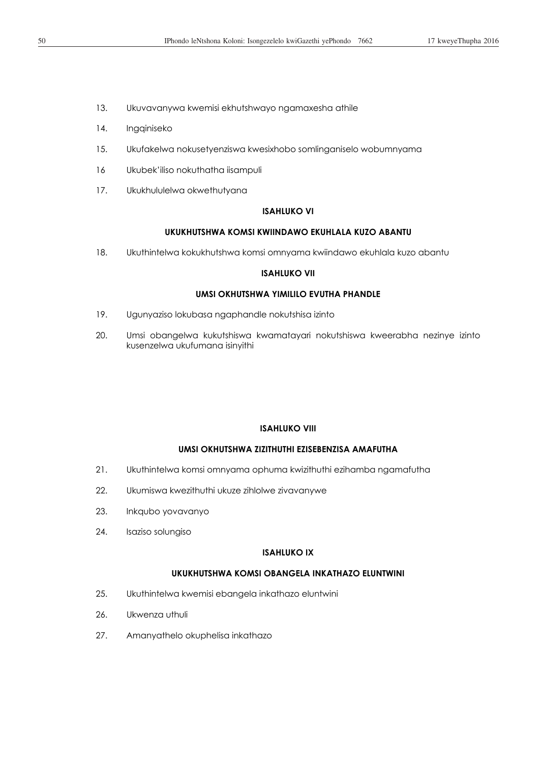- 13. Ukuvavanywa kwemisi ekhutshwayo ngamaxesha athile
- 14. Ingqiniseko
- 15. Ukufakelwa nokusetyenziswa kwesixhobo somlinganiselo wobumnyama
- 16 Ukubek'iliso nokuthatha iisampuli
- 17. Ukukhululelwa okwethutyana

### **ISAHLUKO VI**

### **UKUKHUTSHWA KOMSI KWIINDAWO EKUHLALA KUZO ABANTU**

18. Ukuthintelwa kokukhutshwa komsi omnyama kwiindawo ekuhlala kuzo abantu

## **ISAHLUKO VII**

## **UMSI OKHUTSHWA YIMILILO EVUTHA PHANDLE**

- 19. Ugunyaziso lokubasa ngaphandle nokutshisa izinto
- 20. Umsi obangelwa kukutshiswa kwamatayari nokutshiswa kweerabha nezinye izinto kusenzelwa ukufumana isinyithi

### **ISAHLUKO VIII**

## **UMSI OKHUTSHWA ZIZITHUTHI EZISEBENZISA AMAFUTHA**

- 21. Ukuthintelwa komsi omnyama ophuma kwizithuthi ezihamba ngamafutha
- 22. Ukumiswa kwezithuthi ukuze zihlolwe zivavanywe
- 23. Inkqubo yovavanyo
- 24. Isaziso solungiso

## **ISAHLUKO IX**

## **UKUKHUTSHWA KOMSI OBANGELA INKATHAZO ELUNTWINI**

- 25. Ukuthintelwa kwemisi ebangela inkathazo eluntwini
- 26. Ukwenza uthuli
- 27. Amanyathelo okuphelisa inkathazo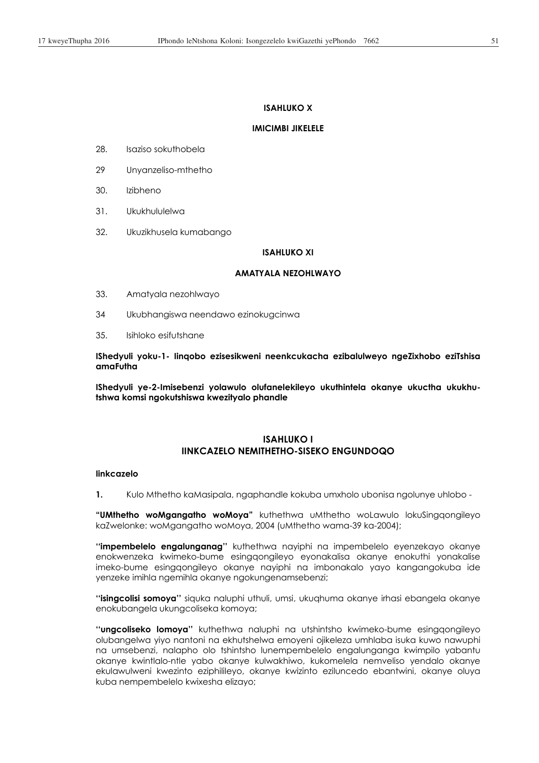### **ISAHLUKO X**

### **IMICIMBI JIKELELE**

- 28. Isaziso sokuthobela
- 29 Unyanzeliso-mthetho
- 30. Izibheno
- 31. Ukukhululelwa
- 32. Ukuzikhusela kumabango

### **ISAHLUKO XI**

## **AMATYALA NEZOHLWAYO**

- 33. Amatyala nezohlwayo
- 34 Ukubhangiswa neendawo ezinokugcinwa
- 35. Isihloko esifutshane

**IShedyuli yoku-1- Iinqobo ezisesikweni neenkcukacha ezibalulweyo ngeZixhobo eziTshisa amaFutha** 

**IShedyuli ye-2-Imisebenzi yolawulo olufanelekileyo ukuthintela okanye ukuctha ukukhutshwa komsi ngokutshiswa kwezityalo phandle** 

# **ISAHLUKO I IINKCAZELO NEMITHETHO-SISEKO ENGUNDOQO**

## **Iinkcazelo**

**1.** Kulo Mthetho kaMasipala, ngaphandle kokuba umxholo ubonisa ngolunye uhlobo -

**"UMthetho woMgangatho woMoya"** kuthethwa uMthetho woLawulo lokuSingqongileyo kaZwelonke: woMgangatho woMoya, 2004 (uMthetho wama-39 ka-2004);

**''impembelelo engalunganag''** kuthethwa nayiphi na impembelelo eyenzekayo okanye enokwenzeka kwimeko-bume esingqongileyo eyonakalisa okanye enokuthi yonakalise imeko-bume esingqongileyo okanye nayiphi na imbonakalo yayo kangangokuba ide yenzeke imihla ngemihla okanye ngokungenamsebenzi;

**''isingcolisi somoya''** siquka naluphi uthuli, umsi, ukuqhuma okanye irhasi ebangela okanye enokubangela ukungcoliseka komoya;

**''ungcoliseko lomoya''** kuthethwa naluphi na utshintsho kwimeko-bume esingqongileyo olubangelwa yiyo nantoni na ekhutshelwa emoyeni ojikeleza umhlaba isuka kuwo nawuphi na umsebenzi, nalapho olo tshintsho lunempembelelo engalunganga kwimpilo yabantu okanye kwintlalo-ntle yabo okanye kulwakhiwo, kukomelela nemveliso yendalo okanye ekulawulweni kwezinto eziphilileyo, okanye kwizinto eziluncedo ebantwini, okanye oluya kuba nempembelelo kwixesha elizayo;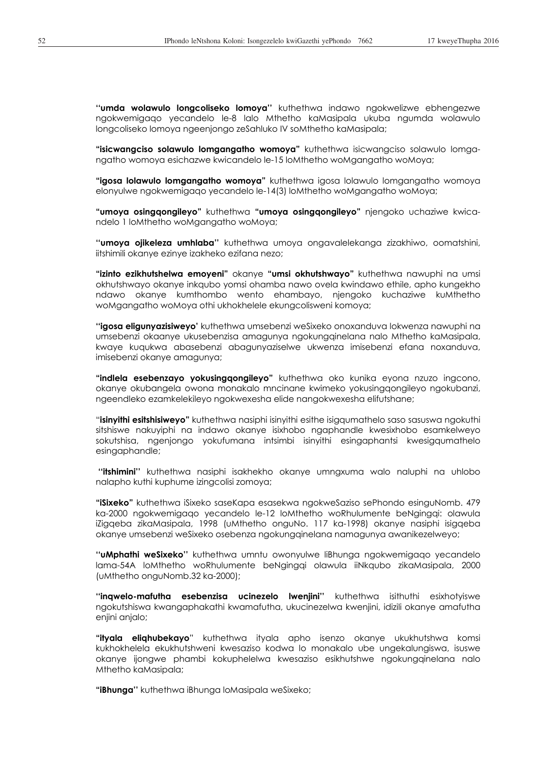**''umda wolawulo longcoliseko lomoya''** kuthethwa indawo ngokwelizwe ebhengezwe ngokwemigaqo yecandelo le-8 lalo Mthetho kaMasipala ukuba ngumda wolawulo longcoliseko lomoya ngeenjongo zeSahluko IV soMthetho kaMasipala;

**"isicwangciso solawulo lomgangatho womoya"** kuthethwa isicwangciso solawulo lomgangatho womoya esichazwe kwicandelo le-15 loMthetho woMgangatho woMoya;

**"igosa lolawulo lomgangatho womoya"** kuthethwa igosa lolawulo lomgangatho womoya elonyulwe ngokwemigaqo yecandelo le-14(3) loMthetho woMgangatho woMoya;

**"umoya osingqongileyo"** kuthethwa **"umoya osingqongileyo"** njengoko uchaziwe kwicandelo 1 loMthetho woMgangatho woMoya;

**''umoya ojikeleza umhlaba''** kuthethwa umoya ongavalelekanga zizakhiwo, oomatshini, iitshimili okanye ezinye izakheko ezifana nezo;

**"izinto ezikhutshelwa emoyeni"** okanye **"umsi okhutshwayo"** kuthethwa nawuphi na umsi okhutshwayo okanye inkqubo yomsi ohamba nawo ovela kwindawo ethile, apho kungekho ndawo okanye kumthombo wento ehambayo, njengoko kuchaziwe kuMthetho woMgangatho woMoya othi ukhokhelele ekungcolisweni komoya;

**''igosa eligunyazisiweyo'** kuthethwa umsebenzi weSixeko onoxanduva lokwenza nawuphi na umsebenzi okaanye ukusebenzisa amagunya ngokungqinelana nalo Mthetho kaMasipala, kwaye kuqukwa abasebenzi abagunyaziselwe ukwenza imisebenzi efana noxanduva, imisebenzi okanye amagunya;

**"indlela esebenzayo yokusingqongileyo"** kuthethwa oko kunika eyona nzuzo ingcono, okanye okubangela owona monakalo mncinane kwimeko yokusingqongileyo ngokubanzi, ngeendleko ezamkelekileyo ngokwexesha elide nangokwexesha elifutshane;

"**isinyithi esitshisiweyo"** kuthethwa nasiphi isinyithi esithe isigqumathelo saso sasuswa ngokuthi sitshiswe nakuyiphi na indawo okanye isixhobo ngaphandle kwesixhobo esamkelweyo sokutshisa, ngenjongo yokufumana intsimbi isinyithi esingaphantsi kwesigqumathelo esingaphandle;

 **''itshimini''** kuthethwa nasiphi isakhekho okanye umngxuma walo naluphi na uhlobo nalapho kuthi kuphume izingcolisi zomoya;

**"iSixeko"** kuthethwa iSixeko saseKapa esasekwa ngokweSaziso sePhondo esinguNomb. 479 ka-2000 ngokwemigaqo yecandelo le-12 loMthetho woRhulumente beNgingqi: olawula iZigqeba zikaMasipala, 1998 (uMthetho onguNo. 117 ka-1998) okanye nasiphi isigqeba okanye umsebenzi weSixeko osebenza ngokungqinelana namagunya awanikezelweyo;

**''uMphathi weSixeko''** kuthethwa umntu owonyulwe liBhunga ngokwemigaqo yecandelo lama-54A loMthetho woRhulumente beNgingqi olawula iiNkqubo zikaMasipala, 2000 (uMthetho onguNomb.32 ka-2000);

**''inqwelo-mafutha esebenzisa ucinezelo lwenjini''** kuthethwa isithuthi esixhotyiswe ngokutshiswa kwangaphakathi kwamafutha, ukucinezelwa kwenjini, idizili okanye amafutha enjini anjalo;

**"ityala eliqhubekayo**" kuthethwa ityala apho isenzo okanye ukukhutshwa komsi kukhokhelela ekukhutshweni kwesaziso kodwa lo monakalo ube ungekalungiswa, isuswe okanye ijongwe phambi kokuphelelwa kwesaziso esikhutshwe ngokungqinelana nalo Mthetho kaMasipala;

**"iBhunga''** kuthethwa iBhunga loMasipala weSixeko;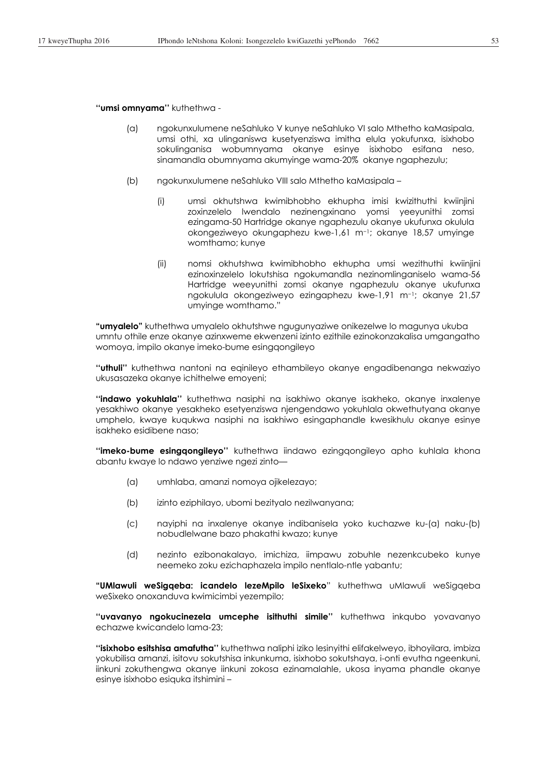**''umsi omnyama''** kuthethwa -

- (a) ngokunxulumene neSahluko V kunye neSahluko VI salo Mthetho kaMasipala, umsi othi, xa ulinganiswa kusetyenziswa imitha elula yokufunxa, isixhobo sokulinganisa wobumnyama okanye esinye isixhobo esifana neso, sinamandla obumnyama akumyinge wama-20% okanye ngaphezulu;
- (b) ngokunxulumene neSahluko VIII salo Mthetho kaMasipala
	- (i) umsi okhutshwa kwimibhobho ekhupha imisi kwizithuthi kwiinjini zoxinzelelo lwendalo nezinengxinano yomsi yeeyunithi zomsi ezingama-50 Hartridge okanye ngaphezulu okanye ukufunxa okulula okongeziweyo okungaphezu kwe-1,61 m<sup>-1</sup>; okanye 18,57 umyinge womthamo; kunye
	- (ii) nomsi okhutshwa kwimibhobho ekhupha umsi wezithuthi kwiinjini ezinoxinzelelo lokutshisa ngokumandla nezinomlinganiselo wama-56 Hartridge weeyunithi zomsi okanye ngaphezulu okanye ukufunxa ngokulula okongeziweyo ezingaphezu kwe-1,91 m<sup>-1</sup>; okanye 21,57 umyinge womthamo."

**"umyalelo"** kuthethwa umyalelo okhutshwe ngugunyaziwe onikezelwe lo magunya ukuba umntu othile enze okanye azinxweme ekwenzeni izinto ezithile ezinokonzakalisa umgangatho womoya, impilo okanye imeko-bume esingqongileyo

**''uthuli''** kuthethwa nantoni na eqinileyo ethambileyo okanye engadibenanga nekwaziyo ukusasazeka okanye ichithelwe emoyeni;

**''indawo yokuhlala''** kuthethwa nasiphi na isakhiwo okanye isakheko, okanye inxalenye yesakhiwo okanye yesakheko esetyenziswa njengendawo yokuhlala okwethutyana okanye umphelo, kwaye kuqukwa nasiphi na isakhiwo esingaphandle kwesikhulu okanye esinye isakheko esidibene naso;

**''imeko-bume esingqongileyo''** kuthethwa iindawo ezingqongileyo apho kuhlala khona abantu kwaye lo ndawo yenziwe ngezi zinto—

- (a) umhlaba, amanzi nomoya ojikelezayo;
- (b) izinto eziphilayo, ubomi bezityalo nezilwanyana;
- (c) nayiphi na inxalenye okanye indibanisela yoko kuchazwe ku-(a) naku-(b) nobudlelwane bazo phakathi kwazo; kunye
- (d) nezinto ezibonakalayo, imichiza, iimpawu zobuhle nezenkcubeko kunye neemeko zoku ezichaphazela impilo nentlalo-ntle yabantu;

**"UMlawuli weSigqeba: icandelo lezeMpilo leSixeko**" kuthethwa uMlawuli weSigqeba weSixeko onoxanduva kwimicimbi yezempilo;

**''uvavanyo ngokucinezela umcephe isithuthi simile''** kuthethwa inkqubo yovavanyo echazwe kwicandelo lama-23;

**''isixhobo esitshisa amafutha''** kuthethwa naliphi iziko lesinyithi elifakelweyo, ibhoyilara, imbiza yokubilisa amanzi, isitovu sokutshisa inkunkuma, isixhobo sokutshaya, i-onti evutha ngeenkuni, iinkuni zokuthengwa okanye iinkuni zokosa ezinamalahle, ukosa inyama phandle okanye esinye isixhobo esiquka itshimini –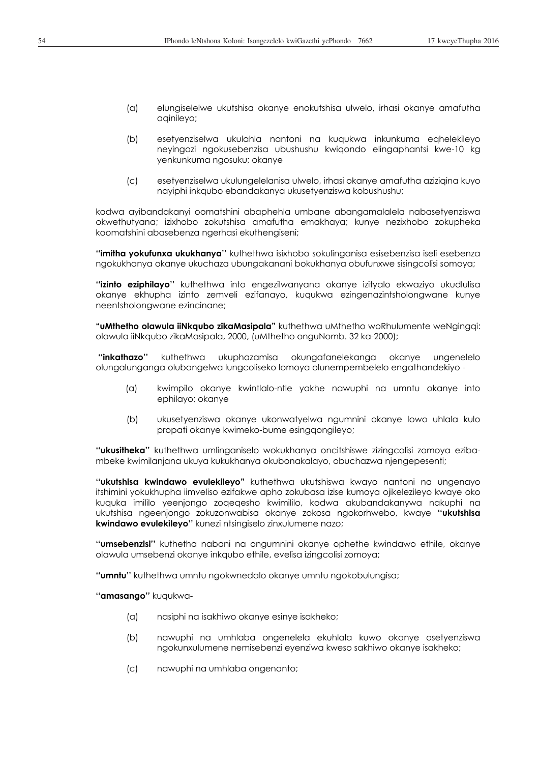- (a) elungiselelwe ukutshisa okanye enokutshisa ulwelo, irhasi okanye amafutha aqinileyo;
- (b) esetyenziselwa ukulahla nantoni na kuqukwa inkunkuma eqhelekileyo neyingozi ngokusebenzisa ubushushu kwiqondo elingaphantsi kwe-10 kg yenkunkuma ngosuku; okanye
- (c) esetyenziselwa ukulungelelanisa ulwelo, irhasi okanye amafutha aziziqina kuyo nayiphi inkqubo ebandakanya ukusetyenziswa kobushushu;

kodwa ayibandakanyi oomatshini abaphehla umbane abangamalalela nabasetyenziswa okwethutyana; izixhobo zokutshisa amafutha emakhaya; kunye nezixhobo zokupheka koomatshini abasebenza ngerhasi ekuthengiseni;

**''imitha yokufunxa ukukhanya''** kuthethwa isixhobo sokulinganisa esisebenzisa iseli esebenza ngokukhanya okanye ukuchaza ubungakanani bokukhanya obufunxwe sisingcolisi somoya;

**''izinto eziphilayo''** kuthethwa into engezilwanyana okanye izityalo ekwaziyo ukudlulisa okanye ekhupha izinto zemveli ezifanayo, kuqukwa ezingenazintsholongwane kunye neentsholongwane ezincinane;

**"uMthetho olawula iiNkqubo zikaMasipala"** kuthethwa uMthetho woRhulumente weNgingqi: olawula iiNkqubo zikaMasipala, 2000, (uMthetho onguNomb. 32 ka-2000);

 **''inkathazo''** kuthethwa ukuphazamisa okungafanelekanga okanye ungenelelo olungalunganga olubangelwa lungcoliseko lomoya olunempembelelo engathandekiyo -

- (a) kwimpilo okanye kwintlalo-ntle yakhe nawuphi na umntu okanye into ephilayo; okanye
- (b) ukusetyenziswa okanye ukonwatyelwa ngumnini okanye lowo uhlala kulo propati okanye kwimeko-bume esingqongileyo;

**''ukusitheka''** kuthethwa umlinganiselo wokukhanya oncitshiswe zizingcolisi zomoya ezibambeke kwimilanjana ukuya kukukhanya okubonakalayo, obuchazwa njengepesenti;

**''ukutshisa kwindawo evulekileyo"** kuthethwa ukutshiswa kwayo nantoni na ungenayo itshimini yokukhupha iimveliso ezifakwe apho zokubasa izise kumoya ojikelezileyo kwaye oko kuquka imililo yeenjongo zoqeqesho kwimililo, kodwa akubandakanywa nakuphi na ukutshisa ngeenjongo zokuzonwabisa okanye zokosa ngokorhwebo, kwaye **''ukutshisa kwindawo evulekileyo''** kunezi ntsingiselo zinxulumene nazo;

**''umsebenzisi''** kuthetha nabani na ongumnini okanye ophethe kwindawo ethile, okanye olawula umsebenzi okanye inkqubo ethile, evelisa izingcolisi zomoya;

**''umntu''** kuthethwa umntu ngokwnedalo okanye umntu ngokobulungisa;

**''amasango''** kuqukwa-

- (a) nasiphi na isakhiwo okanye esinye isakheko;
- (b) nawuphi na umhlaba ongenelela ekuhlala kuwo okanye osetyenziswa ngokunxulumene nemisebenzi eyenziwa kweso sakhiwo okanye isakheko;
- (c) nawuphi na umhlaba ongenanto;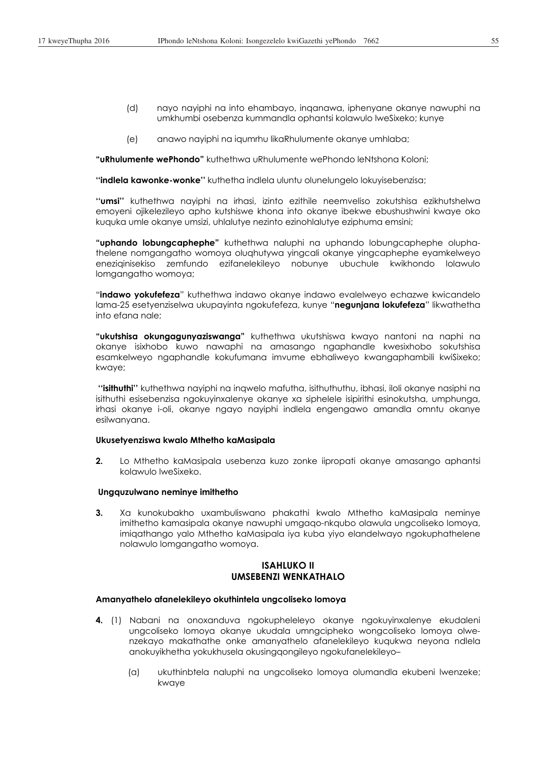- (d) nayo nayiphi na into ehambayo, inqanawa, iphenyane okanye nawuphi na umkhumbi osebenza kummandla ophantsi kolawulo lweSixeko; kunye
- (e) anawo nayiphi na iqumrhu likaRhulumente okanye umhlaba;

**"uRhulumente wePhondo"** kuthethwa uRhulumente wePhondo leNtshona Koloni;

**''indlela kawonke-wonke''** kuthetha indlela uluntu olunelungelo lokuyisebenzisa;

**''umsi''** kuthethwa nayiphi na irhasi, izinto ezithile neemveliso zokutshisa ezikhutshelwa emoyeni ojikelezileyo apho kutshiswe khona into okanye ibekwe ebushushwini kwaye oko kuquka umle okanye umsizi, uhlalutye nezinto ezinohlalutye eziphuma emsini;

**"uphando lobungcaphephe"** kuthethwa naluphi na uphando lobungcaphephe oluphathelene nomgangatho womoya oluqhutywa yingcali okanye yingcaphephe eyamkelweyo eneziqinisekiso zemfundo ezifanelekileyo nobunye ubuchule kwikhondo lolawulo lomgangatho womoya;

"**indawo yokufefeza**" kuthethwa indawo okanye indawo evalelweyo echazwe kwicandelo lama-25 esetyenziselwa ukupayinta ngokufefeza, kunye "**negunjana lokufefeza**" likwathetha into efana nale;

**"ukutshisa okungagunyaziswanga"** kuthethwa ukutshiswa kwayo nantoni na naphi na okanye isixhobo kuwo nawaphi na amasango ngaphandle kwesixhobo sokutshisa esamkelweyo ngaphandle kokufumana imvume ebhaliweyo kwangaphambili kwiSixeko; kwaye;

 **''isithuthi''** kuthethwa nayiphi na inqwelo mafutha, isithuthuthu, ibhasi, iloli okanye nasiphi na isithuthi esisebenzisa ngokuyinxalenye okanye xa siphelele isipirithi esinokutsha, umphunga, irhasi okanye i-oli, okanye ngayo nayiphi indlela engengawo amandla omntu okanye esilwanyana.

## **Ukusetyenziswa kwalo Mthetho kaMasipala**

**2.** Lo Mthetho kaMasipala usebenza kuzo zonke iipropati okanye amasango aphantsi kolawulo lweSixeko.

#### **Ungquzulwano neminye imithetho**

**3.** Xa kunokubakho uxambuliswano phakathi kwalo Mthetho kaMasipala neminye imithetho kamasipala okanye nawuphi umgaqo-nkqubo olawula ungcoliseko lomoya, imiqathango yalo Mthetho kaMasipala iya kuba yiyo elandelwayo ngokuphathelene nolawulo lomgangatho womoya.

## **ISAHLUKO II UMSEBENZI WENKATHALO**

## **Amanyathelo afanelekileyo okuthintela ungcoliseko lomoya**

- **4.** (1) Nabani na onoxanduva ngokupheleleyo okanye ngokuyinxalenye ekudaleni ungcoliseko lomoya okanye ukudala umngcipheko wongcoliseko lomoya olwenzekayo makathathe onke amanyathelo afanelekileyo kuqukwa neyona ndlela anokuyikhetha yokukhusela okusingqongileyo ngokufanelekileyo–
	- (a) ukuthinbtela naluphi na ungcoliseko lomoya olumandla ekubeni lwenzeke; kwaye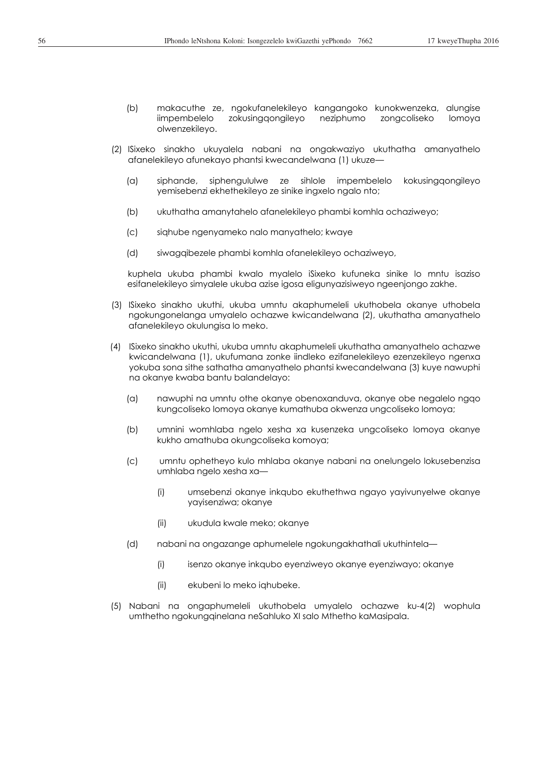- (b) makacuthe ze, ngokufanelekileyo kangangoko kunokwenzeka, alungise iimpembelelo zokusingqongileyo neziphumo zongcoliseko lomoya olwenzekileyo.
- (2) ISixeko sinakho ukuyalela nabani na ongakwaziyo ukuthatha amanyathelo afanelekileyo afunekayo phantsi kwecandelwana (1) ukuze—
	- (a) siphande, siphengululwe ze sihlole impembelelo kokusingqongileyo yemisebenzi ekhethekileyo ze sinike ingxelo ngalo nto;
	- (b) ukuthatha amanytahelo afanelekileyo phambi komhla ochaziweyo;
	- (c) siqhube ngenyameko nalo manyathelo; kwaye
	- (d) siwagqibezele phambi komhla ofanelekileyo ochaziweyo,

kuphela ukuba phambi kwalo myalelo iSixeko kufuneka sinike lo mntu isaziso esifanelekileyo simyalele ukuba azise igosa eligunyazisiweyo ngeenjongo zakhe.

- (3) ISixeko sinakho ukuthi, ukuba umntu akaphumeleli ukuthobela okanye uthobela ngokungonelanga umyalelo ochazwe kwicandelwana (2), ukuthatha amanyathelo afanelekileyo okulungisa lo meko.
- (4) ISixeko sinakho ukuthi, ukuba umntu akaphumeleli ukuthatha amanyathelo achazwe kwicandelwana (1), ukufumana zonke iindleko ezifanelekileyo ezenzekileyo ngenxa yokuba sona sithe sathatha amanyathelo phantsi kwecandelwana (3) kuye nawuphi na okanye kwaba bantu balandelayo:
	- (a) nawuphi na umntu othe okanye obenoxanduva, okanye obe negalelo ngqo kungcoliseko lomoya okanye kumathuba okwenza ungcoliseko lomoya;
	- (b) umnini womhlaba ngelo xesha xa kusenzeka ungcoliseko lomoya okanye kukho amathuba okungcoliseka komoya;
	- (c) umntu ophetheyo kulo mhlaba okanye nabani na onelungelo lokusebenzisa umhlaba ngelo xesha xa—
		- (i) umsebenzi okanye inkqubo ekuthethwa ngayo yayivunyelwe okanye yayisenziwa; okanye
		- (ii) ukudula kwale meko; okanye
	- (d) nabani na ongazange aphumelele ngokungakhathali ukuthintela—
		- (i) isenzo okanye inkqubo eyenziweyo okanye eyenziwayo; okanye
		- (ii) ekubeni lo meko iqhubeke.
- (5) Nabani na ongaphumeleli ukuthobela umyalelo ochazwe ku-4(2) wophula umthetho ngokungqinelana neSahluko XI salo Mthetho kaMasipala.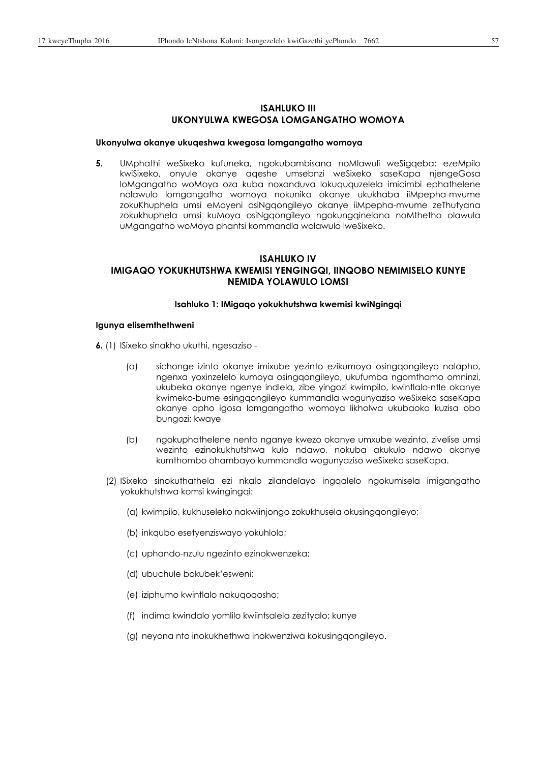# **ISAHLUKO III UKONYULWA KWEGOSA LOMGANGATHO WOMOYA**

### **Ukonyulwa okanye ukuqeshwa kwegosa lomgangatho womoya**

**5.** UMphathi weSixeko kufuneka, ngokubambisana noMlawuli weSigqeba: ezeMpilo kwiSixeko, onyule okanye aqeshe umsebnzi weSixeko saseKapa njengeGosa loMgangatho woMoya oza kuba noxanduva lokuququzelela imicimbi ephathelene nolawulo lomgangatho womoya nokunika okanye ukukhaba iiMpepha-mvume zokuKhuphela umsi eMoyeni osiNgqongileyo okanye iiMpepha-mvume zeThutyana zokukhuphela umsi kuMoya osiNgqongileyo ngokungqinelana noMthetho olawula uMgangatho woMoya phantsi kommandla wolawulo lweSixeko.

# **ISAHLUKO IV IMIGAQO YOKUKHUTSHWA KWEMISI YENGINGQI, IINQOBO NEMIMISELO KUNYE NEMIDA YOLAWULO LOMSI**

### **Isahluko 1: IMigaqo yokukhutshwa kwemisi kwiNgingqi**

### **Igunya elisemthethweni**

**6.** (1) ISixeko sinakho ukuthi, ngesaziso -

- (a) sichonge izinto okanye imixube yezinto ezikumoya osingqongileyo nalapho, ngenxa yoxinzelelo kumoya osingqongileyo, ukufumba ngomthamo omninzi, ukubeka okanye ngenye indlela, zibe yingozi kwimpilo, kwintlalo-ntle okanye kwimeko-bume esingqongileyo kummandla wogunyaziso weSixeko saseKapa okanye apho igosa lomgangatho womoya likholwa ukubaoko kuzisa obo bungozi; kwaye
- (b) ngokuphathelene nento nganye kwezo okanye umxube wezinto, zivelise umsi wezinto ezinokukhutshwa kulo ndawo, nokuba akukulo ndawo okanye kumthombo ohambayo kummandla wogunyaziso weSixeko saseKapa.
- (2) ISixeko sinokuthathela ezi nkalo zilandelayo ingqalelo ngokumisela imigangatho yokukhutshwa komsi kwingingqi:
	- (a) kwimpilo, kukhuseleko nakwiinjongo zokukhusela okusingqongileyo;
	- (b) inkqubo esetyenziswayo yokuhlola;
	- (c) uphando-nzulu ngezinto ezinokwenzeka;
	- (d) ubuchule bokubek'esweni;
	- (e) iziphumo kwintlalo nakuqoqosho;
	- (f) indima kwindalo yomlilo kwiintsalela zezityalo; kunye
	- (g) neyona nto inokukhethwa inokwenziwa kokusingqongileyo.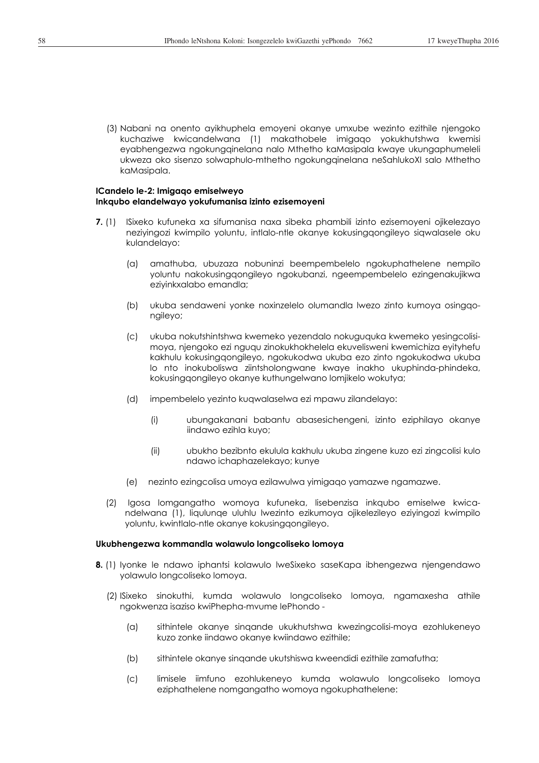(3) Nabani na onento ayikhuphela emoyeni okanye umxube wezinto ezithile njengoko kuchaziwe kwicandelwana (1) makathobele imigaqo yokukhutshwa kwemisi eyabhengezwa ngokungqinelana nalo Mthetho kaMasipala kwaye ukungaphumeleli ukweza oko sisenzo solwaphulo-mthetho ngokungqinelana neSahlukoXI salo Mthetho kaMasipala.

#### **ICandelo le-2: Imigaqo emiselweyo Inkqubo elandelwayo yokufumanisa izinto ezisemoyeni**

- **7.** (1) ISixeko kufuneka xa sifumanisa naxa sibeka phambili izinto ezisemoyeni ojikelezayo neziyingozi kwimpilo yoluntu, intlalo-ntle okanye kokusingqongileyo siqwalasele oku kulandelayo:
	- (a) amathuba, ubuzaza nobuninzi beempembelelo ngokuphathelene nempilo yoluntu nakokusingqongileyo ngokubanzi, ngeempembelelo ezingenakujikwa eziyinkxalabo emandla;
	- (b) ukuba sendaweni yonke noxinzelelo olumandla lwezo zinto kumoya osingqongileyo;
	- (c) ukuba nokutshintshwa kwemeko yezendalo nokuguquka kwemeko yesingcolisimoya, njengoko ezi nguqu zinokukhokhelela ekuvelisweni kwemichiza eyityhefu kakhulu kokusingqongileyo, ngokukodwa ukuba ezo zinto ngokukodwa ukuba lo nto inokuboliswa ziintsholongwane kwaye inakho ukuphinda-phindeka, kokusingqongileyo okanye kuthungelwano lomjikelo wokutya;
	- (d) impembelelo yezinto kuqwalaselwa ezi mpawu zilandelayo:
		- (i) ubungakanani babantu abasesichengeni, izinto eziphilayo okanye iindawo ezihla kuyo;
		- (ii) ubukho bezibnto ekulula kakhulu ukuba zingene kuzo ezi zingcolisi kulo ndawo ichaphazelekayo; kunye
	- (e) nezinto ezingcolisa umoya ezilawulwa yimigaqo yamazwe ngamazwe.
	- (2) Igosa lomgangatho womoya kufuneka, lisebenzisa inkqubo emiselwe kwicandelwana (1), liqulunqe uluhlu lwezinto ezikumoya ojikelezileyo eziyingozi kwimpilo yoluntu, kwintlalo-ntle okanye kokusingqongileyo.

### **Ukubhengezwa kommandla wolawulo longcoliseko lomoya**

- **8.** (1) Iyonke le ndawo iphantsi kolawulo lweSixeko saseKapa ibhengezwa njengendawo yolawulo longcoliseko lomoya.
	- (2) ISixeko sinokuthi, kumda wolawulo longcoliseko lomoya, ngamaxesha athile ngokwenza isaziso kwiPhepha-mvume lePhondo -
		- (a) sithintele okanye sinqande ukukhutshwa kwezingcolisi-moya ezohlukeneyo kuzo zonke iindawo okanye kwiindawo ezithile;
		- (b) sithintele okanye sinqande ukutshiswa kweendidi ezithile zamafutha;
		- (c) limisele iimfuno ezohlukeneyo kumda wolawulo longcoliseko lomoya eziphathelene nomgangatho womoya ngokuphathelene: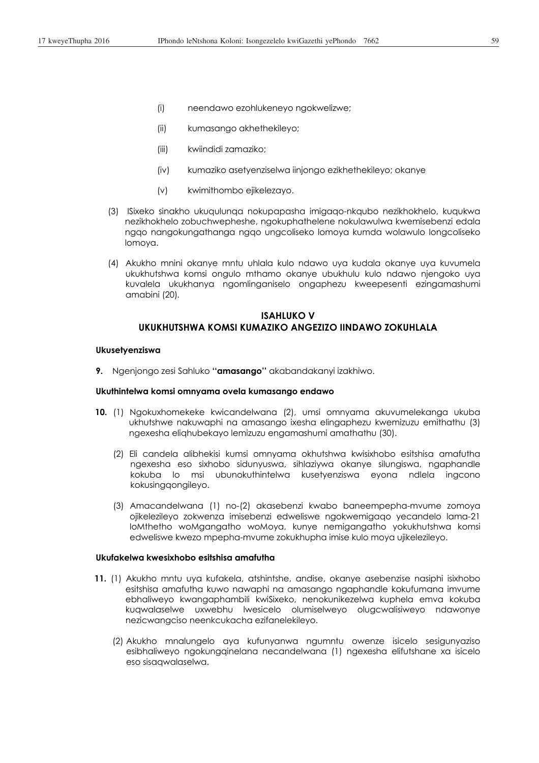- (i) neendawo ezohlukeneyo ngokwelizwe;
- (ii) kumasango akhethekileyo;
- (iii) kwiindidi zamaziko;
- (iv) kumaziko asetyenziselwa iinjongo ezikhethekileyo; okanye
- (v) kwimithombo ejikelezayo.
- (3) ISixeko sinakho ukuqulunqa nokupapasha imigaqo-nkqubo nezikhokhelo, kuqukwa nezikhokhelo zobuchwepheshe, ngokuphathelene nokulawulwa kwemisebenzi edala ngqo nangokungathanga ngqo ungcoliseko lomoya kumda wolawulo longcoliseko lomoya.
- (4) Akukho mnini okanye mntu uhlala kulo ndawo uya kudala okanye uya kuvumela ukukhutshwa komsi ongulo mthamo okanye ubukhulu kulo ndawo njengoko uya kuvalela ukukhanya ngomlinganiselo ongaphezu kweepesenti ezingamashumi amabini (20)*.*

# **ISAHLUKO V UKUKHUTSHWA KOMSI KUMAZIKO ANGEZIZO IINDAWO ZOKUHLALA**

#### **Ukusetyenziswa**

**9.** Ngenjongo zesi Sahluko **''amasango''** akabandakanyi izakhiwo.

## **Ukuthintelwa komsi omnyama ovela kumasango endawo**

- **10.** (1) Ngokuxhomekeke kwicandelwana (2), umsi omnyama akuvumelekanga ukuba ukhutshwe nakuwaphi na amasango ixesha elingaphezu kwemizuzu emithathu (3) ngexesha eliqhubekayo lemizuzu engamashumi amathathu (30).
	- (2) Eli candela alibhekisi kumsi omnyama okhutshwa kwisixhobo esitshisa amafutha ngexesha eso sixhobo sidunyuswa, sihlaziywa okanye silungiswa, ngaphandle kokuba lo msi ubunokuthintelwa kusetyenziswa eyona ndlela ingcono kokusingqongileyo.
	- (3) Amacandelwana (1) no-(2) akasebenzi kwabo baneempepha-mvume zomoya ojikelezileyo zokwenza imisebenzi edweliswe ngokwemigaqo yecandelo lama-21 loMthetho woMgangatho woMoya, kunye nemigangatho yokukhutshwa komsi edweliswe kwezo mpepha-mvume zokukhupha imise kulo moya ujikelezileyo.

## **Ukufakelwa kwesixhobo esitshisa amafutha**

- **11.** (1) Akukho mntu uya kufakela, atshintshe, andise, okanye asebenzise nasiphi isixhobo esitshisa amafutha kuwo nawaphi na amasango ngaphandle kokufumana imvume ebhaliweyo kwangaphambili kwiSixeko, nenokunikezelwa kuphela emva kokuba kuqwalaselwe uxwebhu lwesicelo olumiselweyo olugcwalisiweyo ndawonye nezicwangciso neenkcukacha ezifanelekileyo.
	- (2) Akukho mnalungelo aya kufunyanwa ngumntu owenze isicelo sesigunyaziso esibhaliweyo ngokungqinelana necandelwana (1) ngexesha elifutshane xa isicelo eso sisaqwalaselwa.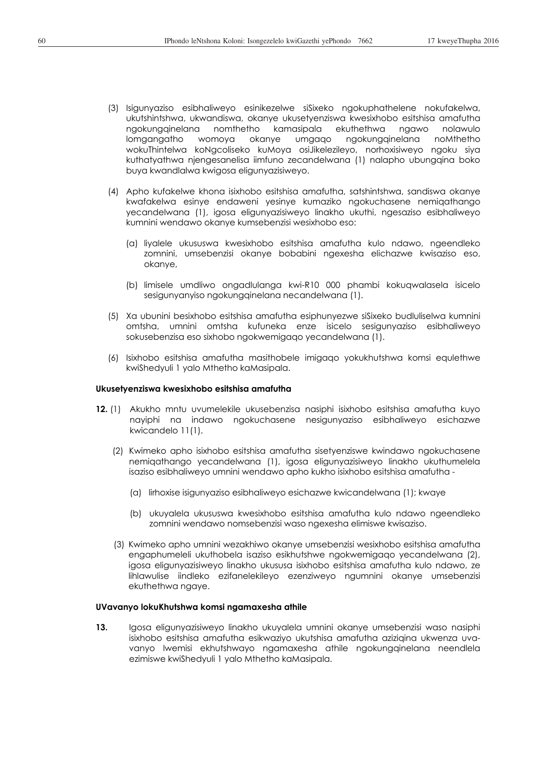- (3) Isigunyaziso esibhaliweyo esinikezelwe siSixeko ngokuphathelene nokufakelwa, ukutshintshwa, ukwandiswa, okanye ukusetyenziswa kwesixhobo esitshisa amafutha ngokungqinelana nomthetho kamasipala ekuthethwa ngawo nolawulo lomgangatho womoya okanye umgaqo ngokungqinelana noMthetho wokuThintelwa koNgcoliseko kuMoya osiJikelezileyo, norhoxisiweyo ngoku siya kuthatyathwa njengesanelisa iimfuno zecandelwana (1) nalapho ubungqina boko buya kwandlalwa kwigosa eligunyazisiweyo.
- (4) Apho kufakelwe khona isixhobo esitshisa amafutha, satshintshwa, sandiswa okanye kwafakelwa esinye endaweni yesinye kumaziko ngokuchasene nemiqathango yecandelwana (1), igosa eligunyazisiweyo linakho ukuthi, ngesaziso esibhaliweyo kumnini wendawo okanye kumsebenzisi wesixhobo eso:
	- (a) liyalele ukususwa kwesixhobo esitshisa amafutha kulo ndawo, ngeendleko zomnini, umsebenzisi okanye bobabini ngexesha elichazwe kwisaziso eso, okanye,
	- (b) limisele umdliwo ongadlulanga kwi-R10 000 phambi kokuqwalasela isicelo sesigunyanyiso ngokungqinelana necandelwana (1).
- (5) Xa ubunini besixhobo esitshisa amafutha esiphunyezwe siSixeko budluliselwa kumnini omtsha, umnini omtsha kufuneka enze isicelo sesigunyaziso esibhaliweyo sokusebenzisa eso sixhobo ngokwemigaqo yecandelwana (1).
- (6) Isixhobo esitshisa amafutha masithobele imigaqo yokukhutshwa komsi equlethwe kwiShedyuli 1 yalo Mthetho kaMasipala.

### **Ukusetyenziswa kwesixhobo esitshisa amafutha**

- **12.** (1) Akukho mntu uvumelekile ukusebenzisa nasiphi isixhobo esitshisa amafutha kuyo nayiphi na indawo ngokuchasene nesigunyaziso esibhaliweyo esichazwe kwicandelo 11(1).
	- (2) Kwimeko apho isixhobo esitshisa amafutha sisetyenziswe kwindawo ngokuchasene nemiqathango yecandelwana (1), igosa eligunyazisiweyo linakho ukuthumelela isaziso esibhaliweyo umnini wendawo apho kukho isixhobo esitshisa amafutha -
		- (a) lirhoxise isigunyaziso esibhaliweyo esichazwe kwicandelwana (1); kwaye
		- (b) ukuyalela ukususwa kwesixhobo esitshisa amafutha kulo ndawo ngeendleko zomnini wendawo nomsebenzisi waso ngexesha elimiswe kwisaziso.
	- (3) Kwimeko apho umnini wezakhiwo okanye umsebenzisi wesixhobo esitshisa amafutha engaphumeleli ukuthobela isaziso esikhutshwe ngokwemigaqo yecandelwana (2), igosa eligunyazisiweyo linakho ukususa isixhobo esitshisa amafutha kulo ndawo, ze lihlawulise iindleko ezifanelekileyo ezenziweyo ngumnini okanye umsebenzisi ekuthethwa ngaye.

### **UVavanyo lokuKhutshwa komsi ngamaxesha athile**

**13.** Igosa eligunyazisiweyo linakho ukuyalela umnini okanye umsebenzisi waso nasiphi isixhobo esitshisa amafutha esikwaziyo ukutshisa amafutha aziziqina ukwenza uvavanyo lwemisi ekhutshwayo ngamaxesha athile ngokungqinelana neendlela ezimiswe kwiShedyuli 1 yalo Mthetho kaMasipala.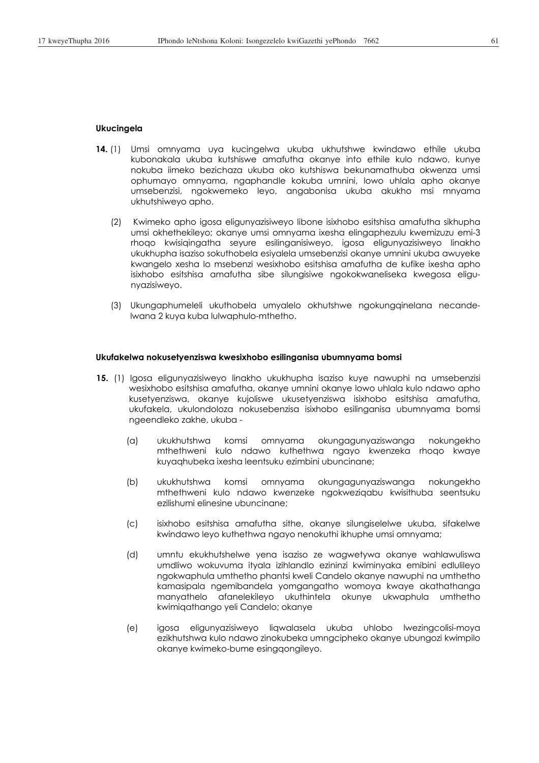### **Ukucingela**

- **14.** (1) Umsi omnyama uya kucingelwa ukuba ukhutshwe kwindawo ethile ukuba kubonakala ukuba kutshiswe amafutha okanye into ethile kulo ndawo, kunye nokuba iimeko bezichaza ukuba oko kutshiswa bekunamathuba okwenza umsi ophumayo omnyama, ngaphandle kokuba umnini, lowo uhlala apho okanye umsebenzisi, ngokwemeko leyo, angabonisa ukuba akukho msi mnyama ukhutshiweyo apho.
	- (2) Kwimeko apho igosa eligunyazisiweyo libone isixhobo esitshisa amafutha sikhupha umsi okhethekileyo; okanye umsi omnyama ixesha elingaphezulu kwemizuzu emi-3 rhoqo kwisiqingatha seyure esilinganisiweyo, igosa eligunyazisiweyo linakho ukukhupha isaziso sokuthobela esiyalela umsebenzisi okanye umnini ukuba awuyeke kwangelo xesha lo msebenzi wesixhobo esitshisa amafutha de kufike ixesha apho isixhobo esitshisa amafutha sibe silungisiwe ngokokwaneliseka kwegosa eligunyazisiweyo.
	- (3) Ukungaphumeleli ukuthobela umyalelo okhutshwe ngokungqinelana necandelwana 2 kuya kuba lulwaphulo-mthetho.

#### **Ukufakelwa nokusetyenziswa kwesixhobo esilinganisa ubumnyama bomsi**

- **15.** (1) Igosa eligunyazisiweyo linakho ukukhupha isaziso kuye nawuphi na umsebenzisi wesixhobo esitshisa amafutha, okanye umnini okanye lowo uhlala kulo ndawo apho kusetyenziswa, okanye kujoliswe ukusetyenziswa isixhobo esitshisa amafutha, ukufakela, ukulondoloza nokusebenzisa isixhobo esilinganisa ubumnyama bomsi ngeendleko zakhe, ukuba -
	- (a) ukukhutshwa komsi omnyama okungagunyaziswanga nokungekho mthethweni kulo ndawo kuthethwa ngayo kwenzeka rhoqo kwaye kuyaqhubeka ixesha leentsuku ezimbini ubuncinane;
	- (b) ukukhutshwa komsi omnyama okungagunyaziswanga nokungekho mthethweni kulo ndawo kwenzeke ngokweziqabu kwisithuba seentsuku ezilishumi elinesine ubuncinane;
	- (c) isixhobo esitshisa amafutha sithe, okanye silungiselelwe ukuba, sifakelwe kwindawo leyo kuthethwa ngayo nenokuthi ikhuphe umsi omnyama;
	- (d) umntu ekukhutshelwe yena isaziso ze wagwetywa okanye wahlawuliswa umdliwo wokuvuma ityala izihlandlo ezininzi kwiminyaka emibini edlulileyo ngokwaphula umthetho phantsi kweli Candelo okanye nawuphi na umthetho kamasipala ngemibandela yomgangatho womoya kwaye akathathanga manyathelo afanelekileyo ukuthintela okunye ukwaphula umthetho kwimiqathango yeli Candelo; okanye
	- (e) igosa eligunyazisiweyo liqwalasela ukuba uhlobo lwezingcolisi-moya ezikhutshwa kulo ndawo zinokubeka umngcipheko okanye ubungozi kwimpilo okanye kwimeko-bume esingqongileyo.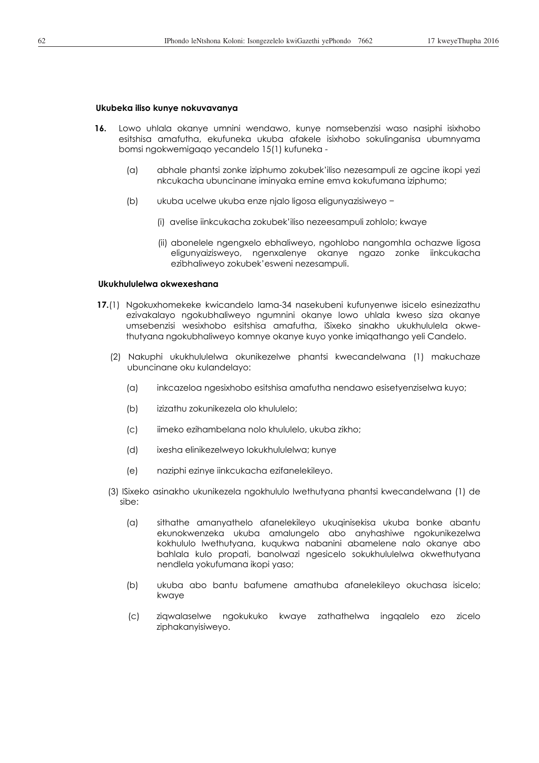### **Ukubeka iliso kunye nokuvavanya**

- **16.** Lowo uhlala okanye umnini wendawo, kunye nomsebenzisi waso nasiphi isixhobo esitshisa amafutha, ekufuneka ukuba afakele isixhobo sokulinganisa ubumnyama bomsi ngokwemigaqo yecandelo 15(1) kufuneka -
	- (a) abhale phantsi zonke iziphumo zokubek'iliso nezesampuli ze agcine ikopi yezi nkcukacha ubuncinane iminyaka emine emva kokufumana iziphumo;
	- (b) ukuba ucelwe ukuba enze njalo ligosa eligunyazisiweyo -
		- (i) avelise iinkcukacha zokubek'iliso nezeesampuli zohlolo; kwaye
		- (ii) abonelele ngengxelo ebhaliweyo, ngohlobo nangomhla ochazwe ligosa eligunyaizisweyo, ngenxalenye okanye ngazo zonke iinkcukacha ezibhaliweyo zokubek'esweni nezesampuli.

#### **Ukukhululelwa okwexeshana**

- **17.**(1) Ngokuxhomekeke kwicandelo lama-34 nasekubeni kufunyenwe isicelo esinezizathu ezivakalayo ngokubhaliweyo ngumnini okanye lowo uhlala kweso siza okanye umsebenzisi wesixhobo esitshisa amafutha, iSixeko sinakho ukukhululela okwethutyana ngokubhaliweyo komnye okanye kuyo yonke imiqathango yeli Candelo.
	- (2) Nakuphi ukukhululelwa okunikezelwe phantsi kwecandelwana (1) makuchaze ubuncinane oku kulandelayo:
		- (a) inkcazeloa ngesixhobo esitshisa amafutha nendawo esisetyenziselwa kuyo;
		- (b) izizathu zokunikezela olo khululelo;
		- (c) iimeko ezihambelana nolo khululelo, ukuba zikho;
		- (d) ixesha elinikezelweyo lokukhululelwa; kunye
		- (e) naziphi ezinye iinkcukacha ezifanelekileyo.
	- (3) ISixeko asinakho ukunikezela ngokhululo lwethutyana phantsi kwecandelwana (1) de sibe:
		- (a) sithathe amanyathelo afanelekileyo ukuqinisekisa ukuba bonke abantu ekunokwenzeka ukuba amalungelo abo anyhashiwe ngokunikezelwa kokhululo lwethutyana, kuqukwa nabanini abamelene nalo okanye abo bahlala kulo propati, banolwazi ngesicelo sokukhululelwa okwethutyana nendlela yokufumana ikopi yaso;
		- (b) ukuba abo bantu bafumene amathuba afanelekileyo okuchasa isicelo; kwaye
		- (c) ziqwalaselwe ngokukuko kwaye zathathelwa ingqalelo ezo zicelo ziphakanyisiweyo.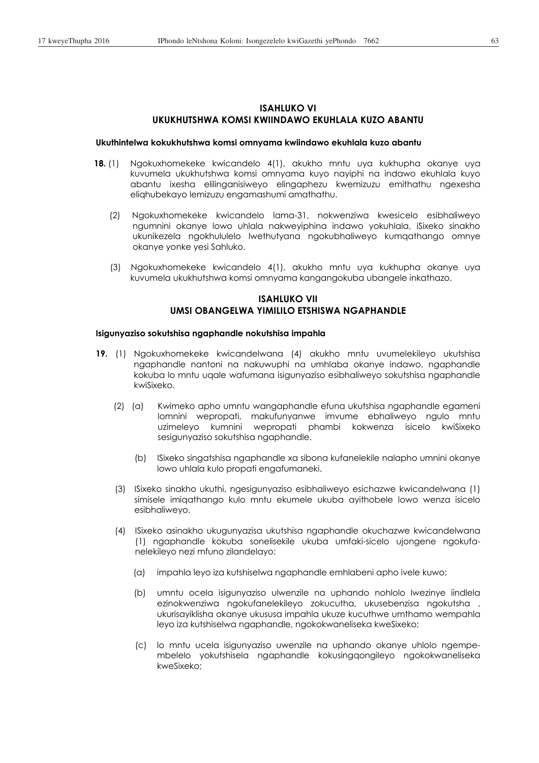# **ISAHLUKO VI UKUKHUTSHWA KOMSI KWIINDAWO EKUHLALA KUZO ABANTU**

### **Ukuthintelwa kokukhutshwa komsi omnyama kwiindawo ekuhlala kuzo abantu**

- **18.** (1) Ngokuxhomekeke kwicandelo 4(1), akukho mntu uya kukhupha okanye uya kuvumela ukukhutshwa komsi omnyama kuyo nayiphi na indawo ekuhlala kuyo abantu ixesha elilinganisiweyo elingaphezu kwemizuzu emithathu ngexesha eliqhubekayo lemizuzu engamashumi amathathu.
	- (2) Ngokuxhomekeke kwicandelo lama-31, nokwenziwa kwesicelo esibhaliweyo ngumnini okanye lowo uhlala nakweyiphina indawo yokuhlala, iSixeko sinakho ukunikezela ngokhululelo lwethutyana ngokubhaliweyo kumqathango omnye okanye yonke yesi Sahluko.
	- (3) Ngokuxhomekeke kwicandelo 4(1), akukho mntu uya kukhupha okanye uya kuvumela ukukhutshwa komsi omnyama kangangokuba ubangele inkathazo.

# **ISAHLUKO VII UMSI OBANGELWA YIMILILO ETSHISWA NGAPHANDLE**

### **Isigunyaziso sokutshisa ngaphandle nokutshisa impahla**

- **19.** (1) Ngokuxhomekeke kwicandelwana (4) akukho mntu uvumelekileyo ukutshisa ngaphandle nantoni na nakuwuphi na umhlaba okanye indawo, ngaphandle kokuba lo mntu uqale wafumana isigunyaziso esibhaliweyo sokutshisa ngaphandle kwiSixeko.
	- (2) (a) Kwimeko apho umntu wangaphandle efuna ukutshisa ngaphandle egameni lomnini wepropati, makufunyanwe imvume ebhaliweyo ngulo mntu uzimeleyo kumnini wepropati phambi kokwenza isicelo kwiSixeko sesigunyaziso sokutshisa ngaphandle.
		- (b) ISixeko singatshisa ngaphandle xa sibona kufanelekile nalapho umnini okanye lowo uhlala kulo propati engafumaneki.
	- (3) ISixeko sinakho ukuthi, ngesigunyaziso esibhaliweyo esichazwe kwicandelwana (1) simisele imiqathango kulo mntu ekumele ukuba ayithobele lowo wenza isicelo esibhaliweyo.
	- (4) ISixeko asinakho ukugunyazisa ukutshisa ngaphandle okuchazwe kwicandelwana (1) ngaphandle kokuba sonelisekile ukuba umfaki-sicelo ujongene ngokufanelekileyo nezi mfuno zilandelayo:
		- (a) impahla leyo iza kutshiselwa ngaphandle emhlabeni apho ivele kuwo;
		- (b) umntu ocela isigunyaziso ulwenzile na uphando nohlolo lwezinye iindlela ezinokwenziwa ngokufanelekileyo zokucutha, ukusebenzisa ngokutsha , ukurisayiklisha okanye ukususa impahla ukuze kucuthwe umthamo wempahla leyo iza kutshiselwa ngaphandle, ngokokwaneliseka kweSixeko;
		- (c) lo mntu ucela isigunyaziso uwenzile na uphando okanye uhlolo ngempembelelo yokutshisela ngaphandle kokusingqongileyo ngokokwaneliseka kweSixeko;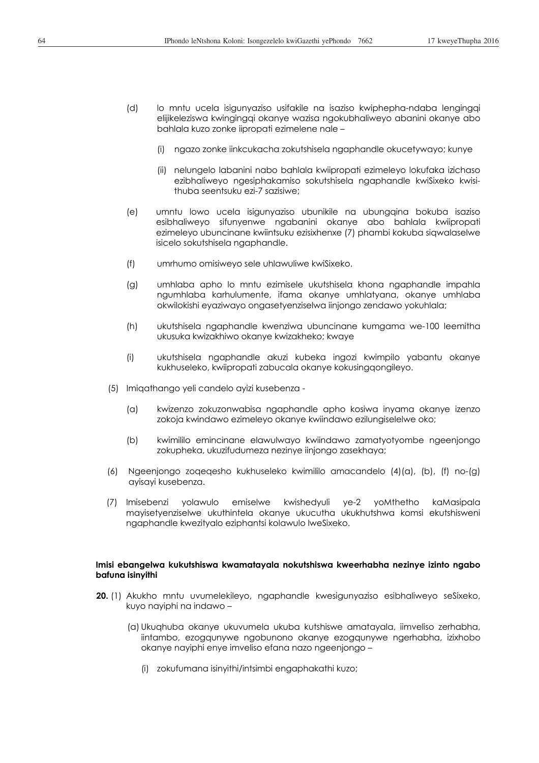- (d) lo mntu ucela isigunyaziso usifakile na isaziso kwiphepha-ndaba lengingqi elijikeleziswa kwingingqi okanye wazisa ngokubhaliweyo abanini okanye abo bahlala kuzo zonke iipropati ezimelene nale –
	- (i) ngazo zonke iinkcukacha zokutshisela ngaphandle okucetywayo; kunye
	- (ii) nelungelo labanini nabo bahlala kwiipropati ezimeleyo lokufaka izichaso ezibhaliweyo ngesiphakamiso sokutshisela ngaphandle kwiSixeko kwisithuba seentsuku ezi-7 sazisiwe;
- (e) umntu lowo ucela isigunyaziso ubunikile na ubungqina bokuba isaziso esibhaliweyo sifunyenwe ngabanini okanye abo bahlala kwiipropati ezimeleyo ubuncinane kwiintsuku ezisixhenxe (7) phambi kokuba siqwalaselwe isicelo sokutshisela ngaphandle.
- (f) umrhumo omisiweyo sele uhlawuliwe kwiSixeko.
- (g) umhlaba apho lo mntu ezimisele ukutshisela khona ngaphandle impahla ngumhlaba karhulumente, ifama okanye umhlatyana, okanye umhlaba okwilokishi eyaziwayo ongasetyenziselwa iinjongo zendawo yokuhlala;
- (h) ukutshisela ngaphandle kwenziwa ubuncinane kumgama we-100 leemitha ukusuka kwizakhiwo okanye kwizakheko; kwaye
- (i) ukutshisela ngaphandle akuzi kubeka ingozi kwimpilo yabantu okanye kukhuseleko, kwiipropati zabucala okanye kokusingqongileyo.
- (5) Imiqathango yeli candelo ayizi kusebenza
	- (a) kwizenzo zokuzonwabisa ngaphandle apho kosiwa inyama okanye izenzo zokoja kwindawo ezimeleyo okanye kwiindawo ezilungiselelwe oko;
	- (b) kwimililo emincinane elawulwayo kwiindawo zamatyotyombe ngeenjongo zokupheka, ukuzifudumeza nezinye iinjongo zasekhaya;
- (6) Ngeenjongo zoqeqesho kukhuseleko kwimililo amacandelo (4)(a), (b), (f) no-(g) ayisayi kusebenza.
- (7) Imisebenzi yolawulo emiselwe kwishedyuli ye-2 yoMthetho kaMasipala mayisetyenziselwe ukuthintela okanye ukucutha ukukhutshwa komsi ekutshisweni ngaphandle kwezityalo eziphantsi kolawulo lweSixeko.

### **Imisi ebangelwa kukutshiswa kwamatayala nokutshiswa kweerhabha nezinye izinto ngabo bafuna isinyithi**

- **20.** (1) Akukho mntu uvumelekileyo, ngaphandle kwesigunyaziso esibhaliweyo seSixeko, kuyo nayiphi na indawo –
	- (a) Ukuqhuba okanye ukuvumela ukuba kutshiswe amatayala, iimveliso zerhabha, iintambo, ezogqunywe ngobunono okanye ezogqunywe ngerhabha, izixhobo okanye nayiphi enye imveliso efana nazo ngeenjongo –
		- (i) zokufumana isinyithi/intsimbi engaphakathi kuzo;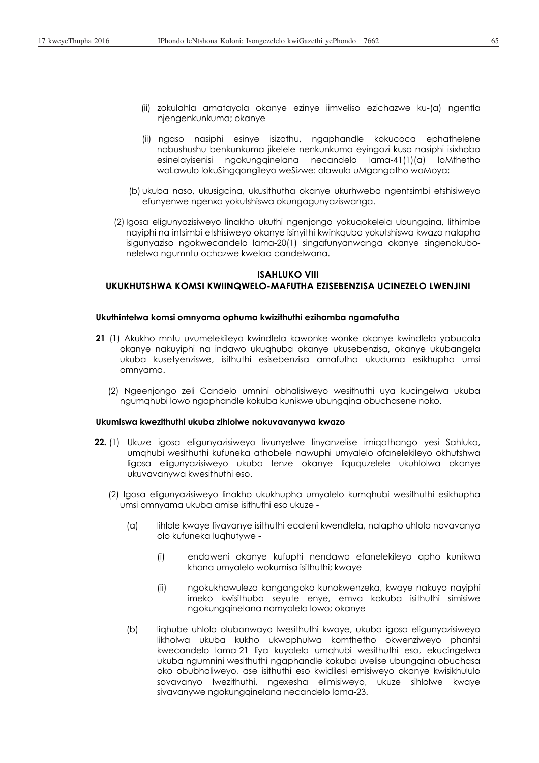- (ii) zokulahla amatayala okanye ezinye iimveliso ezichazwe ku-(a) ngentla njengenkunkuma; okanye
- (ii) ngaso nasiphi esinye isizathu, ngaphandle kokucoca ephathelene nobushushu benkunkuma jikelele nenkunkuma eyingozi kuso nasiphi isixhobo esinelayisenisi ngokungqinelana necandelo lama-41(1)(a) loMthetho woLawulo lokuSingqongileyo weSizwe: olawula uMgangatho woMoya;
- (b) ukuba naso, ukusigcina, ukusithutha okanye ukurhweba ngentsimbi etshisiweyo efunyenwe ngenxa yokutshiswa okungagunyaziswanga.
- (2) Igosa eligunyazisiweyo linakho ukuthi ngenjongo yokuqokelela ubungqina, lithimbe nayiphi na intsimbi etshisiweyo okanye isinyithi kwinkqubo yokutshiswa kwazo nalapho isigunyaziso ngokwecandelo lama-20(1) singafunyanwanga okanye singenakubonelelwa ngumntu ochazwe kwelaa candelwana.

# **ISAHLUKO VIII UKUKHUTSHWA KOMSI KWIINQWELO-MAFUTHA EZISEBENZISA UCINEZELO LWENJINI**

#### **Ukuthintelwa komsi omnyama ophuma kwizithuthi ezihamba ngamafutha**

- **21** (1) Akukho mntu uvumelekileyo kwindlela kawonke-wonke okanye kwindlela yabucala okanye nakuyiphi na indawo ukuqhuba okanye ukusebenzisa, okanye ukubangela ukuba kusetyenziswe, isithuthi esisebenzisa amafutha ukuduma esikhupha umsi omnyama.
	- (2) Ngeenjongo zeli Candelo umnini obhalisiweyo wesithuthi uya kucingelwa ukuba ngumqhubi lowo ngaphandle kokuba kunikwe ubungqina obuchasene noko.

### **Ukumiswa kwezithuthi ukuba zihlolwe nokuvavanywa kwazo**

- **22.** (1) Ukuze igosa eligunyazisiweyo livunyelwe linyanzelise imiqathango yesi Sahluko, umqhubi wesithuthi kufuneka athobele nawuphi umyalelo ofanelekileyo okhutshwa ligosa eligunyazisiweyo ukuba lenze okanye liququzelele ukuhlolwa okanye ukuvavanywa kwesithuthi eso.
	- (2) Igosa eligunyazisiweyo linakho ukukhupha umyalelo kumqhubi wesithuthi esikhupha umsi omnyama ukuba amise isithuthi eso ukuze -
		- (a) lihlole kwaye livavanye isithuthi ecaleni kwendlela, nalapho uhlolo novavanyo olo kufuneka luqhutywe -
			- (i) endaweni okanye kufuphi nendawo efanelekileyo apho kunikwa khona umyalelo wokumisa isithuthi; kwaye
			- (ii) ngokukhawuleza kangangoko kunokwenzeka, kwaye nakuyo nayiphi imeko kwisithuba seyute enye, emva kokuba isithuthi simisiwe ngokungqinelana nomyalelo lowo; okanye
		- (b) liqhube uhlolo olubonwayo lwesithuthi kwaye, ukuba igosa eligunyazisiweyo likholwa ukuba kukho ukwaphulwa komthetho okwenziweyo phantsi kwecandelo lama-21 liya kuyalela umqhubi wesithuthi eso, ekucingelwa ukuba ngumnini wesithuthi ngaphandle kokuba uvelise ubungqina obuchasa oko obubhaliweyo, ase isithuthi eso kwidilesi emisiweyo okanye kwisikhululo sovavanyo lwezithuthi, ngexesha elimisiweyo, ukuze sihlolwe kwaye sivavanywe ngokungqinelana necandelo lama-23.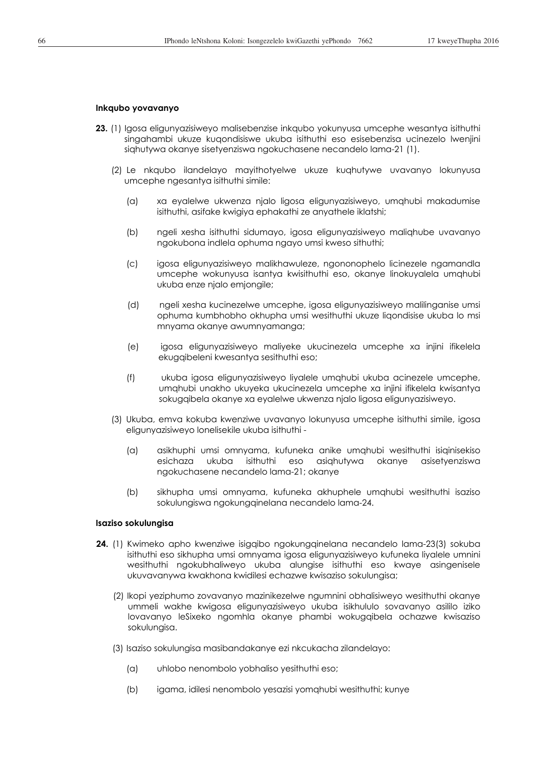### **Inkqubo yovavanyo**

- **23.** (1) Igosa eligunyazisiweyo malisebenzise inkqubo yokunyusa umcephe wesantya isithuthi singahambi ukuze kuqondisiswe ukuba isithuthi eso esisebenzisa ucinezelo lwenjini siqhutywa okanye sisetyenziswa ngokuchasene necandelo lama-21 (1).
	- (2) Le nkqubo ilandelayo mayithotyelwe ukuze kuqhutywe uvavanyo lokunyusa umcephe ngesantya isithuthi simile:
		- (a) xa eyalelwe ukwenza njalo ligosa eligunyazisiweyo, umqhubi makadumise isithuthi, asifake kwigiya ephakathi ze anyathele iklatshi;
		- (b) ngeli xesha isithuthi sidumayo, igosa eligunyazisiweyo maliqhube uvavanyo ngokubona indlela ophuma ngayo umsi kweso sithuthi;
		- (c) igosa eligunyazisiweyo malikhawuleze, ngononophelo licinezele ngamandla umcephe wokunyusa isantya kwisithuthi eso, okanye linokuyalela umqhubi ukuba enze njalo emjongile;
		- (d) ngeli xesha kucinezelwe umcephe, igosa eligunyazisiweyo malilinganise umsi ophuma kumbhobho okhupha umsi wesithuthi ukuze liqondisise ukuba lo msi mnyama okanye awumnyamanga;
		- (e) igosa eligunyazisiweyo maliyeke ukucinezela umcephe xa injini ifikelela ekugqibeleni kwesantya sesithuthi eso;
		- (f) ukuba igosa eligunyazisiweyo liyalele umqhubi ukuba acinezele umcephe, umqhubi unakho ukuyeka ukucinezela umcephe xa injini ifikelela kwisantya sokugqibela okanye xa eyalelwe ukwenza njalo ligosa eligunyazisiweyo.
	- (3) Ukuba, emva kokuba kwenziwe uvavanyo lokunyusa umcephe isithuthi simile, igosa eligunyazisiweyo lonelisekile ukuba isithuthi -
		- (a) asikhuphi umsi omnyama, kufuneka anike umqhubi wesithuthi isiqinisekiso esichaza ukuba isithuthi eso asiqhutywa okanye asisetyenziswa ngokuchasene necandelo lama-21; okanye
		- (b) sikhupha umsi omnyama, kufuneka akhuphele umqhubi wesithuthi isaziso sokulungiswa ngokungainelana necandelo lama-24.

#### **Isaziso sokulungisa**

- **24.** (1) Kwimeko apho kwenziwe isigqibo ngokungqinelana necandelo lama-23(3) sokuba isithuthi eso sikhupha umsi omnyama igosa eligunyazisiweyo kufuneka liyalele umnini wesithuthi ngokubhaliweyo ukuba alungise isithuthi eso kwaye asingenisele ukuvavanywa kwakhona kwidilesi echazwe kwisaziso sokulungisa;
	- (2) Ikopi yeziphumo zovavanyo mazinikezelwe ngumnini obhalisiweyo wesithuthi okanye ummeli wakhe kwigosa eligunyazisiweyo ukuba isikhululo sovavanyo asililo iziko lovavanyo leSixeko ngomhla okanye phambi wokugqibela ochazwe kwisaziso sokulungisa.
	- (3) Isaziso sokulungisa masibandakanye ezi nkcukacha zilandelayo:
		- (a) uhlobo nenombolo yobhaliso yesithuthi eso;
		- (b) igama, idilesi nenombolo yesazisi yomqhubi wesithuthi; kunye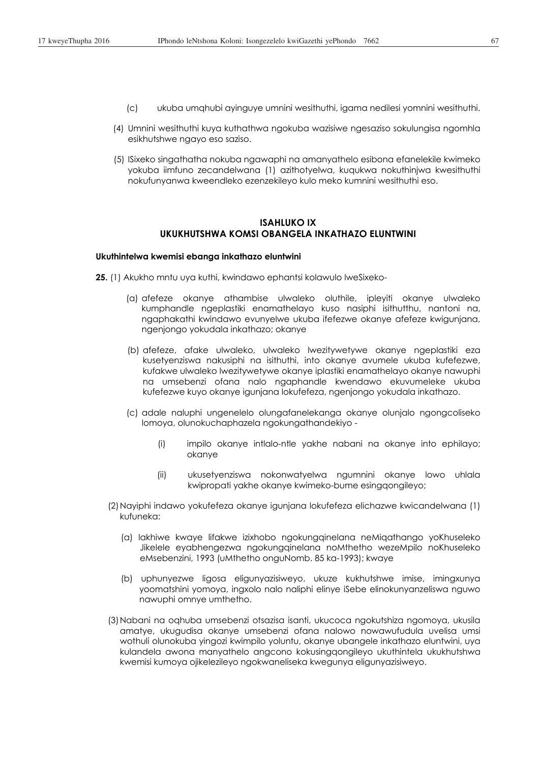- (c) ukuba umqhubi ayinguye umnini wesithuthi, igama nedilesi yomnini wesithuthi.
- (4) Umnini wesithuthi kuya kuthathwa ngokuba wazisiwe ngesaziso sokulungisa ngomhla esikhutshwe ngayo eso saziso.
- (5) ISixeko singathatha nokuba ngawaphi na amanyathelo esibona efanelekile kwimeko yokuba iimfuno zecandelwana (1) azithotyelwa, kuqukwa nokuthinjwa kwesithuthi nokufunyanwa kweendleko ezenzekileyo kulo meko kumnini wesithuthi eso.

# **ISAHLUKO IX UKUKHUTSHWA KOMSI OBANGELA INKATHAZO ELUNTWINI**

#### **Ukuthintelwa kwemisi ebanga inkathazo eluntwini**

- **25.** (1) Akukho mntu uya kuthi, kwindawo ephantsi kolawulo lweSixeko-
	- (a) afefeze okanye athambise ulwaleko oluthile, ipleyiti okanye ulwaleko kumphandle ngeplastiki enamathelayo kuso nasiphi isithutthu, nantoni na, ngaphakathi kwindawo evunyelwe ukuba ifefezwe okanye afefeze kwigunjana, ngenjongo yokudala inkathazo; okanye
	- (b) afefeze, afake ulwaleko, ulwaleko lwezitywetywe okanye ngeplastiki eza kusetyenziswa nakusiphi na isithuthi, into okanye avumele ukuba kufefezwe, kufakwe ulwaleko lwezitywetywe okanye iplastiki enamathelayo okanye nawuphi na umsebenzi ofana nalo ngaphandle kwendawo ekuvumeleke ukuba kufefezwe kuyo okanye igunjana lokufefeza, ngenjongo yokudala inkathazo.
	- (c) adale naluphi ungenelelo olungafanelekanga okanye olunjalo ngongcoliseko lomoya, olunokuchaphazela ngokungathandekiyo -
		- (i) impilo okanye intlalo-ntle yakhe nabani na okanye into ephilayo; okanye
		- (ii) ukusetyenziswa nokonwatyelwa ngumnini okanye lowo uhlala kwipropati yakhe okanye kwimeko-bume esingqongileyo;
	- (2) Nayiphi indawo yokufefeza okanye igunjana lokufefeza elichazwe kwicandelwana (1) kufuneka:
		- (a) lakhiwe kwaye lifakwe izixhobo ngokungqinelana neMiqathango yoKhuseleko Jikelele eyabhengezwa ngokungqinelana noMthetho wezeMpilo noKhuseleko eMsebenzini, 1993 (uMthetho onguNomb. 85 ka-1993); kwaye
		- (b) uphunyezwe ligosa eligunyazisiweyo, ukuze kukhutshwe imise, imingxunya yoomatshini yomoya, ingxolo nalo naliphi elinye iSebe elinokunyanzeliswa nguwo nawuphi omnye umthetho.
	- (3) Nabani na oqhuba umsebenzi otsazisa isanti, ukucoca ngokutshiza ngomoya, ukusila amatye, ukugudisa okanye umsebenzi ofana nalowo nowawufudula uvelisa umsi wothuli olunokuba yingozi kwimpilo yoluntu, okanye ubangele inkathazo eluntwini, uya kulandela awona manyathelo angcono kokusingqongileyo ukuthintela ukukhutshwa kwemisi kumoya ojikelezileyo ngokwaneliseka kwegunya eligunyazisiweyo.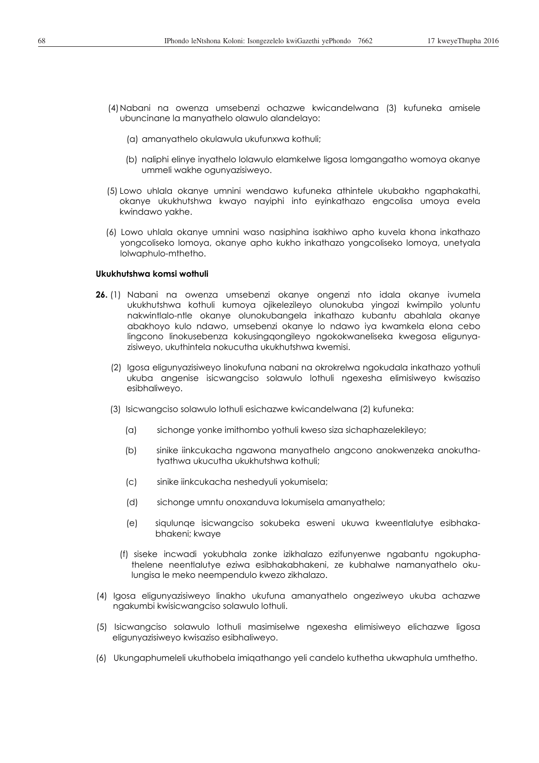- (4) Nabani na owenza umsebenzi ochazwe kwicandelwana (3) kufuneka amisele ubuncinane la manyathelo olawulo alandelayo:
	- (a) amanyathelo okulawula ukufunxwa kothuli;
	- (b) naliphi elinye inyathelo lolawulo elamkelwe ligosa lomgangatho womoya okanye ummeli wakhe ogunyazisiweyo.
- (5) Lowo uhlala okanye umnini wendawo kufuneka athintele ukubakho ngaphakathi, okanye ukukhutshwa kwayo nayiphi into eyinkathazo engcolisa umoya evela kwindawo yakhe.
- (6) Lowo uhlala okanye umnini waso nasiphina isakhiwo apho kuvela khona inkathazo yongcoliseko lomoya, okanye apho kukho inkathazo yongcoliseko lomoya, unetyala lolwaphulo-mthetho.

### **Ukukhutshwa komsi wothuli**

- **26.** (1) Nabani na owenza umsebenzi okanye ongenzi nto idala okanye ivumela ukukhutshwa kothuli kumoya ojikelezileyo olunokuba yingozi kwimpilo yoluntu nakwintlalo-ntle okanye olunokubangela inkathazo kubantu abahlala okanye abakhoyo kulo ndawo, umsebenzi okanye lo ndawo iya kwamkela elona cebo lingcono linokusebenza kokusingqongileyo ngokokwaneliseka kwegosa eligunyazisiweyo, ukuthintela nokucutha ukukhutshwa kwemisi.
	- (2) Igosa eligunyazisiweyo linokufuna nabani na okrokrelwa ngokudala inkathazo yothuli ukuba angenise isicwangciso solawulo lothuli ngexesha elimisiweyo kwisaziso esibhaliweyo.
	- (3) Isicwangciso solawulo lothuli esichazwe kwicandelwana (2) kufuneka:
		- (a) sichonge yonke imithombo yothuli kweso siza sichaphazelekileyo;
		- (b) sinike iinkcukacha ngawona manyathelo angcono anokwenzeka anokuthatyathwa ukucutha ukukhutshwa kothuli;
		- (c) sinike iinkcukacha neshedyuli yokumisela;
		- (d) sichonge umntu onoxanduva lokumisela amanyathelo;
		- (e) siqulunqe isicwangciso sokubeka esweni ukuwa kweentlalutye esibhakabhakeni; kwaye
		- (f) siseke incwadi yokubhala zonke izikhalazo ezifunyenwe ngabantu ngokuphathelene neentlalutye eziwa esibhakabhakeni, ze kubhalwe namanyathelo okulungisa le meko neempendulo kwezo zikhalazo.
- (4) Igosa eligunyazisiweyo linakho ukufuna amanyathelo ongeziweyo ukuba achazwe ngakumbi kwisicwangciso solawulo lothuli.
- (5) Isicwangciso solawulo lothuli masimiselwe ngexesha elimisiweyo elichazwe ligosa eligunyazisiweyo kwisaziso esibhaliweyo.
- (6) Ukungaphumeleli ukuthobela imiqathango yeli candelo kuthetha ukwaphula umthetho.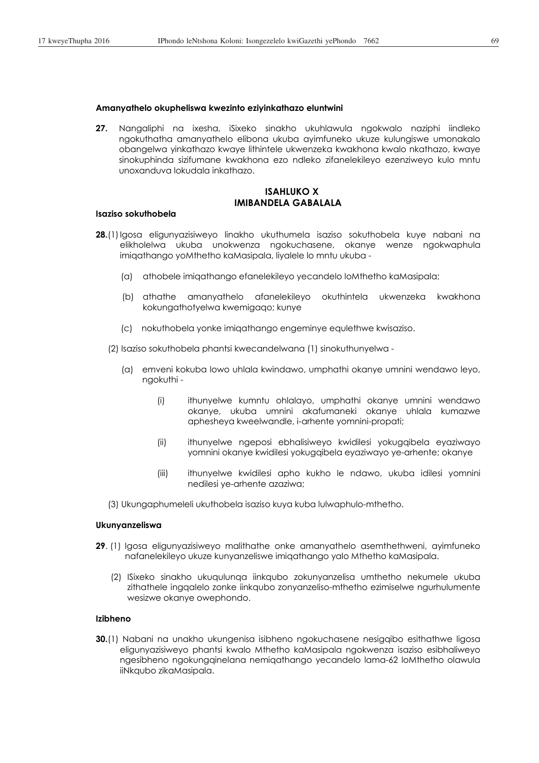### **Amanyathelo okupheliswa kwezinto eziyinkathazo eluntwini**

**27.** Nangaliphi na ixesha, iSixeko sinakho ukuhlawula ngokwalo naziphi iindleko ngokuthatha amanyathelo elibona ukuba ayimfuneko ukuze kulungiswe umonakalo obangelwa yinkathazo kwaye lithintele ukwenzeka kwakhona kwalo nkathazo, kwaye sinokuphinda sizifumane kwakhona ezo ndleko zifanelekileyo ezenziweyo kulo mntu unoxanduva lokudala inkathazo.

# **ISAHLUKO X IMIBANDELA GABALALA**

### **Isaziso sokuthobela**

- **28.**(1) Igosa eligunyazisiweyo linakho ukuthumela isaziso sokuthobela kuye nabani na elikholelwa ukuba unokwenza ngokuchasene, okanye wenze ngokwaphula imiqathango yoMthetho kaMasipala, liyalele lo mntu ukuba -
	- (a) athobele imiqathango efanelekileyo yecandelo loMthetho kaMasipala;
	- (b) athathe amanyathelo afanelekileyo okuthintela ukwenzeka kwakhona kokungathotyelwa kwemigaqo; kunye
	- (c) nokuthobela yonke imiqathango engeminye equlethwe kwisaziso.

(2) Isaziso sokuthobela phantsi kwecandelwana (1) sinokuthunyelwa -

- (a) emveni kokuba lowo uhlala kwindawo, umphathi okanye umnini wendawo leyo, ngokuthi -
	- (i) ithunyelwe kumntu ohlalayo, umphathi okanye umnini wendawo okanye, ukuba umnini akafumaneki okanye uhlala kumazwe aphesheya kweelwandle, i-arhente yomnini-propati;
	- (ii) ithunyelwe ngeposi ebhalisiweyo kwidilesi yokugqibela eyaziwayo yomnini okanye kwidilesi yokugqibela eyaziwayo ye-arhente; okanye
	- (iii) ithunyelwe kwidilesi apho kukho le ndawo, ukuba idilesi yomnini nedilesi ye-arhente azaziwa;
- (3) Ukungaphumeleli ukuthobela isaziso kuya kuba lulwaphulo-mthetho.

### **Ukunyanzeliswa**

- **29**. (1) Igosa eligunyazisiweyo malithathe onke amanyathelo asemthethweni, ayimfuneko nafanelekileyo ukuze kunyanzeliswe imiqathango yalo Mthetho kaMasipala.
	- (2) ISixeko sinakho ukuqulunqa iinkqubo zokunyanzelisa umthetho nekumele ukuba zithathele ingqalelo zonke iinkqubo zonyanzeliso-mthetho ezimiselwe ngurhulumente wesizwe okanye owephondo.

## **Izibheno**

**30.**(1) Nabani na unakho ukungenisa isibheno ngokuchasene nesigqibo esithathwe ligosa eligunyazisiweyo phantsi kwalo Mthetho kaMasipala ngokwenza isaziso esibhaliweyo ngesibheno ngokungqinelana nemiqathango yecandelo lama-62 loMthetho olawula iiNkqubo zikaMasipala.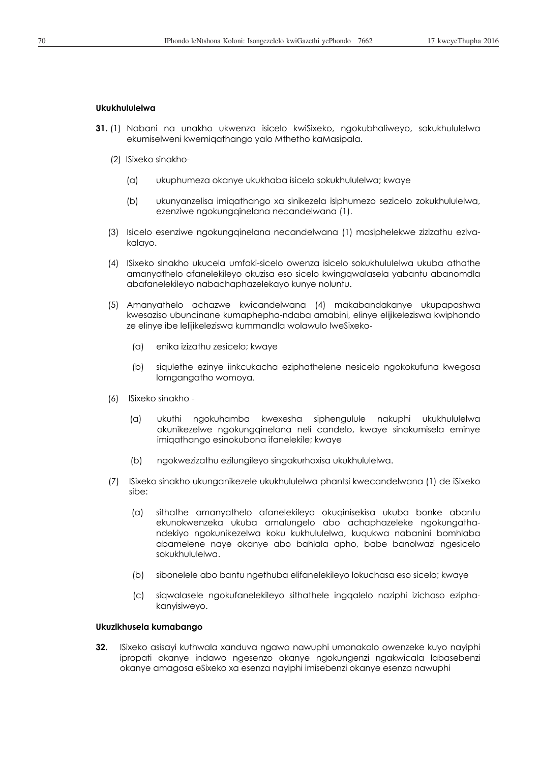### **Ukukhululelwa**

- **31.** (1) Nabani na unakho ukwenza isicelo kwiSixeko, ngokubhaliweyo, sokukhululelwa ekumiselweni kwemiqathango yalo Mthetho kaMasipala.
	- (2) ISixeko sinakho-
		- (a) ukuphumeza okanye ukukhaba isicelo sokukhululelwa; kwaye
		- (b) ukunyanzelisa imiqathango xa sinikezela isiphumezo sezicelo zokukhululelwa, ezenziwe ngokungqinelana necandelwana (1).
	- (3) Isicelo esenziwe ngokungqinelana necandelwana (1) masiphelekwe zizizathu ezivakalayo.
	- (4) ISixeko sinakho ukucela umfaki-sicelo owenza isicelo sokukhululelwa ukuba athathe amanyathelo afanelekileyo okuzisa eso sicelo kwingqwalasela yabantu abanomdla abafanelekileyo nabachaphazelekayo kunye noluntu.
	- (5) Amanyathelo achazwe kwicandelwana (4) makabandakanye ukupapashwa kwesaziso ubuncinane kumaphepha-ndaba amabini, elinye elijikeleziswa kwiphondo ze elinye ibe lelijikeleziswa kummandla wolawulo lweSixeko-
		- (a) enika izizathu zesicelo; kwaye
		- (b) siqulethe ezinye iinkcukacha eziphathelene nesicelo ngokokufuna kwegosa lomgangatho womoya.
	- (6) ISixeko sinakho
		- (a) ukuthi ngokuhamba kwexesha siphengulule nakuphi ukukhululelwa okunikezelwe ngokungqinelana neli candelo, kwaye sinokumisela eminye imiqathango esinokubona ifanelekile; kwaye
		- (b) ngokwezizathu ezilungileyo singakurhoxisa ukukhululelwa.
	- (7) ISixeko sinakho ukunganikezele ukukhululelwa phantsi kwecandelwana (1) de iSixeko sibe:
		- (a) sithathe amanyathelo afanelekileyo okuqinisekisa ukuba bonke abantu ekunokwenzeka ukuba amalungelo abo achaphazeleke ngokungathandekiyo ngokunikezelwa koku kukhululelwa, kuqukwa nabanini bomhlaba abamelene naye okanye abo bahlala apho, babe banolwazi ngesicelo sokukhululelwa.
		- (b) sibonelele abo bantu ngethuba elifanelekileyo lokuchasa eso sicelo; kwaye
		- (c) siqwalasele ngokufanelekileyo sithathele ingqalelo naziphi izichaso eziphakanyisiweyo.

### **Ukuzikhusela kumabango**

**32.** ISixeko asisayi kuthwala xanduva ngawo nawuphi umonakalo owenzeke kuyo nayiphi ipropati okanye indawo ngesenzo okanye ngokungenzi ngakwicala labasebenzi okanye amagosa eSixeko xa esenza nayiphi imisebenzi okanye esenza nawuphi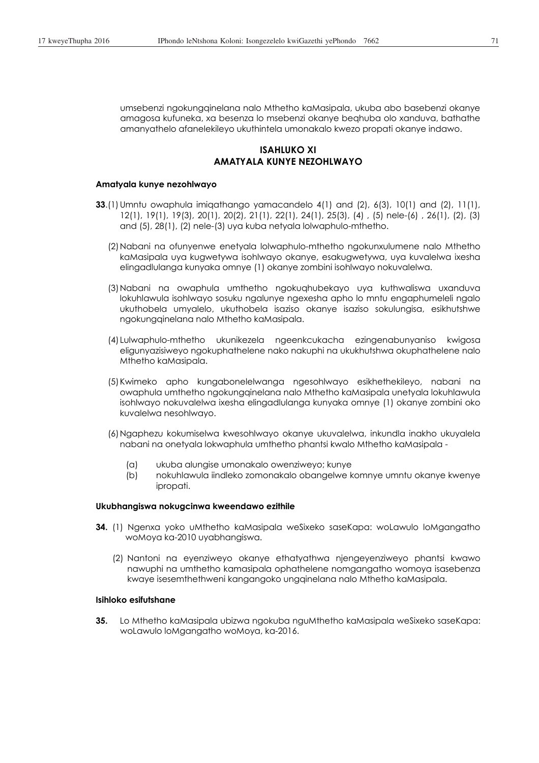umsebenzi ngokungqinelana nalo Mthetho kaMasipala, ukuba abo basebenzi okanye amagosa kufuneka, xa besenza lo msebenzi okanye beqhuba olo xanduva, bathathe amanyathelo afanelekileyo ukuthintela umonakalo kwezo propati okanye indawo.

# **ISAHLUKO XI AMATYALA KUNYE NEZOHLWAYO**

### **Amatyala kunye nezohlwayo**

- **33**.(1) Umntu owaphula imiqathango yamacandelo 4(1) and (2), 6(3), 10(1) and (2), 11(1), 12(1), 19(1), 19(3), 20(1), 20(2), 21(1), 22(1), 24(1), 25(3), (4) , (5) nele-(6) , 26(1), (2), (3) and (5), 28(1), (2) nele-(3) uya kuba netyala lolwaphulo-mthetho.
	- (2) Nabani na ofunyenwe enetyala lolwaphulo-mthetho ngokunxulumene nalo Mthetho kaMasipala uya kugwetywa isohlwayo okanye, esakugwetywa, uya kuvalelwa ixesha elingadlulanga kunyaka omnye (1) okanye zombini isohlwayo nokuvalelwa.
	- (3) Nabani na owaphula umthetho ngokuqhubekayo uya kuthwaliswa uxanduva lokuhlawula isohlwayo sosuku ngalunye ngexesha apho lo mntu engaphumeleli ngalo ukuthobela umyalelo, ukuthobela isaziso okanye isaziso sokulungisa, esikhutshwe ngokungqinelana nalo Mthetho kaMasipala.
	- (4) Lulwaphulo-mthetho ukunikezela ngeenkcukacha ezingenabunyaniso kwigosa eligunyazisiweyo ngokuphathelene nako nakuphi na ukukhutshwa okuphathelene nalo Mthetho kaMasipala.
	- (5) Kwimeko apho kungabonelelwanga ngesohlwayo esikhethekileyo, nabani na owaphula umthetho ngokungqinelana nalo Mthetho kaMasipala unetyala lokuhlawula isohlwayo nokuvalelwa ixesha elingadlulanga kunyaka omnye (1) okanye zombini oko kuvalelwa nesohlwayo.
	- (6) Ngaphezu kokumiselwa kwesohlwayo okanye ukuvalelwa, inkundla inakho ukuyalela nabani na onetyala lokwaphula umthetho phantsi kwalo Mthetho kaMasipala -
		- (a) ukuba alungise umonakalo owenziweyo; kunye
		- (b) nokuhlawula iindleko zomonakalo obangelwe komnye umntu okanye kwenye ipropati.

### **Ukubhangiswa nokugcinwa kweendawo ezithile**

- **34.** (1) Ngenxa yoko uMthetho kaMasipala weSixeko saseKapa: woLawulo loMgangatho woMoya ka-2010 uyabhangiswa.
	- (2) Nantoni na eyenziweyo okanye ethatyathwa njengeyenziweyo phantsi kwawo nawuphi na umthetho kamasipala ophathelene nomgangatho womoya isasebenza kwaye isesemthethweni kangangoko ungqinelana nalo Mthetho kaMasipala.

## **Isihloko esifutshane**

**35.** Lo Mthetho kaMasipala ubizwa ngokuba nguMthetho kaMasipala weSixeko saseKapa: woLawulo loMgangatho woMoya, ka-2016.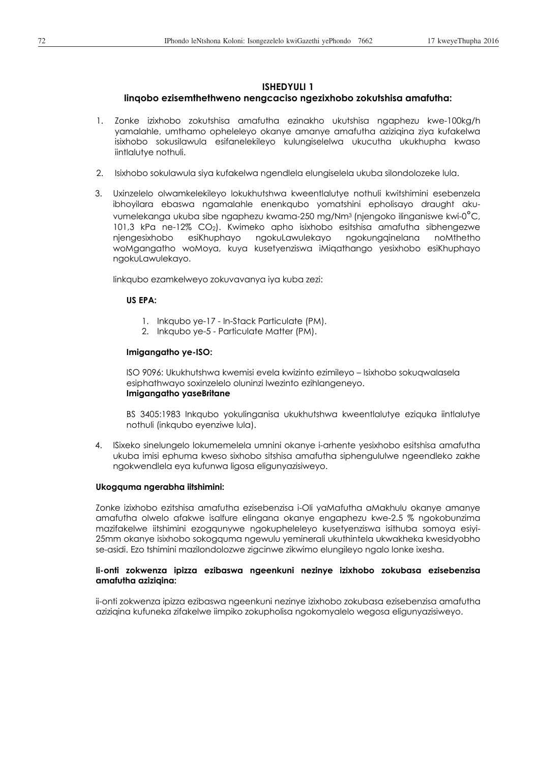# **ISHEDYULI 1**

## **Iinqobo ezisemthethweno nengcaciso ngezixhobo zokutshisa amafutha:**

- 1. Zonke izixhobo zokutshisa amafutha ezinakho ukutshisa ngaphezu kwe-100kg/h yamalahle, umthamo opheleleyo okanye amanye amafutha aziziqina ziya kufakelwa isixhobo sokusilawula esifanelekileyo kulungiselelwa ukucutha ukukhupha kwaso iintlalutye nothuli.
- 2. Isixhobo sokulawula siya kufakelwa ngendlela elungiselela ukuba silondolozeke lula.
- 3. Uxinzelelo olwamkelekileyo lokukhutshwa kweentlalutye nothuli kwitshimini esebenzela ibhoyilara ebaswa ngamalahle enenkqubo yomatshini epholisayo draught akuvumelekanga ukuba sibe ngaphezu kwama-250 mg/Nm3 (njengoko ilinganiswe kwi-0°C, 101,3 kPa ne-12% CO2). Kwimeko apho isixhobo esitshisa amafutha sibhengezwe njengesixhobo esiKhuphayo ngokuLawulekayo ngokungqinelana noMthetho woMgangatho woMoya, kuya kusetyenziswa iMiqathango yesixhobo esiKhuphayo ngokuLawulekayo.

Iinkqubo ezamkelweyo zokuvavanya iya kuba zezi:

## **US EPA:**

- 1. Inkqubo ye-17 In-Stack Particulate (PM).
- 2. Inkqubo ye-5 Particulate Matter (PM).

## **Imigangatho ye-ISO:**

ISO 9096: Ukukhutshwa kwemisi evela kwizinto ezimileyo – Isixhobo sokuqwalasela esiphathwayo soxinzelelo oluninzi lwezinto ezihlangeneyo. **Imigangatho yaseBritane** 

BS 3405:1983 Inkqubo yokulinganisa ukukhutshwa kweentlalutye eziquka iintlalutye nothuli (inkqubo eyenziwe lula).

4. ISixeko sinelungelo lokumemelela umnini okanye i-arhente yesixhobo esitshisa amafutha ukuba imisi ephuma kweso sixhobo sitshisa amafutha siphengululwe ngeendleko zakhe ngokwendlela eya kufunwa ligosa eligunyazisiweyo.

### **Ukogquma ngerabha iitshimini:**

Zonke izixhobo ezitshisa amafutha ezisebenzisa i-Oli yaMafutha aMakhulu okanye amanye amafutha olwelo afakwe isalfure elingana okanye engaphezu kwe-2.5 % ngokobunzima mazifakelwe iitshimini ezogqunywe ngokupheleleyo kusetyenziswa isithuba somoya esiyi-25mm okanye isixhobo sokogquma ngewulu yeminerali ukuthintela ukwakheka kwesidyobho se-asidi. Ezo tshimini mazilondolozwe zigcinwe zikwimo elungileyo ngalo lonke ixesha.

### **Ii-onti zokwenza ipizza ezibaswa ngeenkuni nezinye izixhobo zokubasa ezisebenzisa amafutha aziziqina:**

ii-onti zokwenza ipizza ezibaswa ngeenkuni nezinye izixhobo zokubasa ezisebenzisa amafutha aziziqina kufuneka zifakelwe iimpiko zokupholisa ngokomyalelo wegosa eligunyazisiweyo.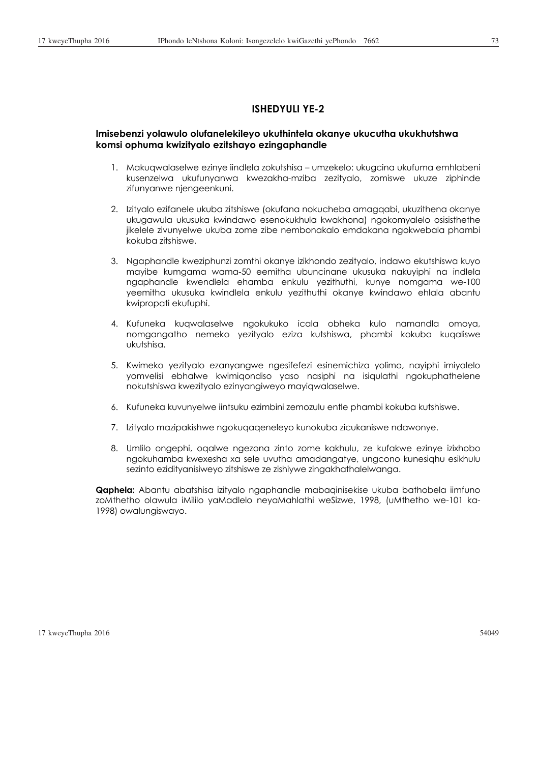## **ISHEDYULI YE-2**

## **Imisebenzi yolawulo olufanelekileyo ukuthintela okanye ukucutha ukukhutshwa komsi ophuma kwizityalo ezitshayo ezingaphandle**

- 1. Makuqwalaselwe ezinye iindlela zokutshisa umzekelo: ukugcina ukufuma emhlabeni kusenzelwa ukufunyanwa kwezakha-mziba zezityalo, zomiswe ukuze ziphinde zifunyanwe njengeenkuni.
- 2. Izityalo ezifanele ukuba zitshiswe (okufana nokucheba amagqabi, ukuzithena okanye ukugawula ukusuka kwindawo esenokukhula kwakhona) ngokomyalelo osisisthethe jikelele zivunyelwe ukuba zome zibe nembonakalo emdakana ngokwebala phambi kokuba zitshiswe.
- 3. Ngaphandle kweziphunzi zomthi okanye izikhondo zezityalo, indawo ekutshiswa kuyo mayibe kumgama wama-50 eemitha ubuncinane ukusuka nakuyiphi na indlela ngaphandle kwendlela ehamba enkulu yezithuthi, kunye nomgama we-100 yeemitha ukusuka kwindlela enkulu yezithuthi okanye kwindawo ehlala abantu kwipropati ekufuphi.
- 4. Kufuneka kuqwalaselwe ngokukuko icala obheka kulo namandla omoya, nomgangatho nemeko yezityalo eziza kutshiswa, phambi kokuba kuqaliswe ukutshisa.
- 5. Kwimeko yezityalo ezanyangwe ngesifefezi esinemichiza yolimo, nayiphi imiyalelo yomvelisi ebhalwe kwimiqondiso yaso nasiphi na isiqulathi ngokuphathelene nokutshiswa kwezityalo ezinyangiweyo mayiqwalaselwe.
- 6. Kufuneka kuvunyelwe iintsuku ezimbini zemozulu entle phambi kokuba kutshiswe.
- 7. Izityalo mazipakishwe ngokuqaqeneleyo kunokuba zicukaniswe ndawonye.
- 8. Umlilo ongephi, oqalwe ngezona zinto zome kakhulu, ze kufakwe ezinye izixhobo ngokuhamba kwexesha xa sele uvutha amadangatye, ungcono kunesiqhu esikhulu sezinto ezidityanisiweyo zitshiswe ze zishiywe zingakhathalelwanga.

**Qaphela:** Abantu abatshisa izityalo ngaphandle mabaqinisekise ukuba bathobela iimfuno zoMthetho olawula iMililo yaMadlelo neyaMahlathi weSizwe, 1998, (uMthetho we-101 ka-1998) owalungiswayo.

17 kweyeThupha 2016 54049